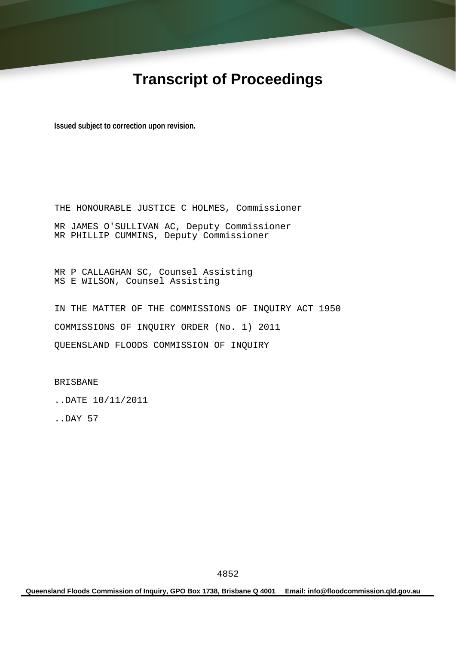# **Transcript of Proceedings**

**Issued subject to correction upon revision.** 

THE HONOURABLE JUSTICE C HOLMES, Commissioner MR JAMES O'SULLIVAN AC, Deputy Commissioner MR PHILLIP CUMMINS, Deputy Commissioner

MR P CALLAGHAN SC, Counsel Assisting MS E WILSON, Counsel Assisting

IN THE MATTER OF THE COMMISSIONS OF INQUIRY ACT 1950 COMMISSIONS OF INQUIRY ORDER (No. 1) 2011 QUEENSLAND FLOODS COMMISSION OF INQUIRY

BRISBANE

..DATE 10/11/2011

..DAY 57

**Queensland Floods Commission of Inquiry, GPO Box 1738, Brisbane Q 4001 Email: info@floodcommission.qld.gov.au**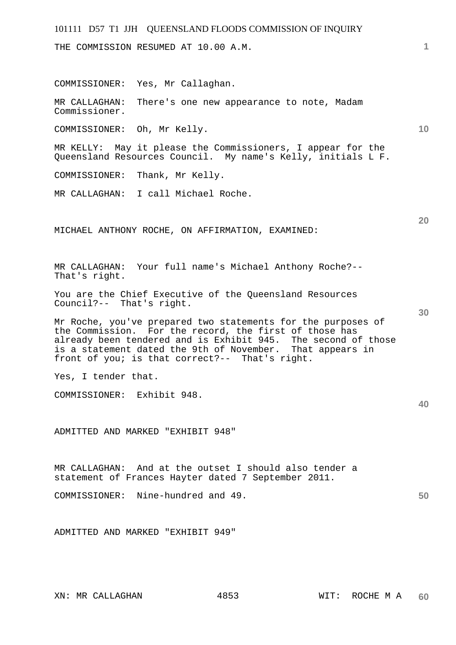THE COMMISSION RESUMED AT 10.00 A.M.

COMMISSIONER: Yes, Mr Callaghan.

MR CALLAGHAN: There's one new appearance to note, Madam Commissioner.

COMMISSIONER: Oh, Mr Kelly.

MR KELLY: May it please the Commissioners, I appear for the Queensland Resources Council. My name's Kelly, initials L F.

COMMISSIONER: Thank, Mr Kelly.

MR CALLAGHAN: I call Michael Roche.

MICHAEL ANTHONY ROCHE, ON AFFIRMATION, EXAMINED:

MR CALLAGHAN: Your full name's Michael Anthony Roche?-- That's right.

You are the Chief Executive of the Queensland Resources Council?-- That's right.

Mr Roche, you've prepared two statements for the purposes of the Commission. For the record, the first of those has already been tendered and is Exhibit 945. The second of those is a statement dated the 9th of November. That appears in front of you; is that correct?-- That's right.

Yes, I tender that.

COMMISSIONER: Exhibit 948.

ADMITTED AND MARKED "EXHIBIT 948"

MR CALLAGHAN: And at the outset I should also tender a statement of Frances Hayter dated 7 September 2011.

COMMISSIONER: Nine-hundred and 49.

ADMITTED AND MARKED "EXHIBIT 949"

**1**

**10** 

**20** 

**30** 

**40**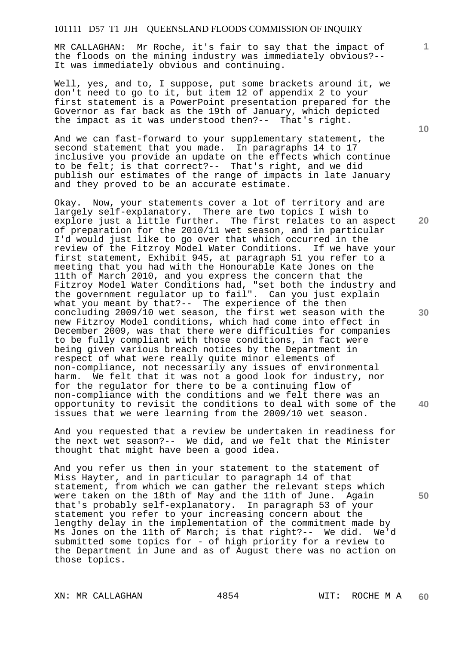MR CALLAGHAN: Mr Roche, it's fair to say that the impact of the floods on the mining industry was immediately obvious?-- It was immediately obvious and continuing.

Well, yes, and to, I suppose, put some brackets around it, we don't need to go to it, but item 12 of appendix 2 to your first statement is a PowerPoint presentation prepared for the Governor as far back as the 19th of January, which depicted the impact as it was understood then?-- That's right.

And we can fast-forward to your supplementary statement, the second statement that you made. In paragraphs 14 to 17 inclusive you provide an update on the effects which continue to be felt; is that correct?-- That's right, and we did publish our estimates of the range of impacts in late January and they proved to be an accurate estimate.

Okay. Now, your statements cover a lot of territory and are largely self-explanatory. There are two topics I wish to explore just a little further. The first relates to an aspect of preparation for the 2010/11 wet season, and in particular I'd would just like to go over that which occurred in the review of the Fitzroy Model Water Conditions. If we have your first statement, Exhibit 945, at paragraph 51 you refer to a meeting that you had with the Honourable Kate Jones on the 11th of March 2010, and you express the concern that the Fitzroy Model Water Conditions had, "set both the industry and the government regulator up to fail". Can you just explain what you meant by that?-- The experience of the then concluding 2009/10 wet season, the first wet season with the new Fitzroy Model conditions, which had come into effect in December 2009, was that there were difficulties for companies to be fully compliant with those conditions, in fact were being given various breach notices by the Department in respect of what were really quite minor elements of non-compliance, not necessarily any issues of environmental harm. We felt that it was not a good look for industry, nor for the regulator for there to be a continuing flow of non-compliance with the conditions and we felt there was an opportunity to revisit the conditions to deal with some of the issues that we were learning from the 2009/10 wet season.

And you requested that a review be undertaken in readiness for the next wet season?-- We did, and we felt that the Minister thought that might have been a good idea.

And you refer us then in your statement to the statement of Miss Hayter, and in particular to paragraph 14 of that statement, from which we can gather the relevant steps which were taken on the 18th of May and the 11th of June. Again that's probably self-explanatory. In paragraph 53 of your statement you refer to your increasing concern about the lengthy delay in the implementation of the commitment made by Ms Jones on the 11th of March; is that right?-- We did. We'd submitted some topics for - of high priority for a review to the Department in June and as of August there was no action on those topics.

**10** 

**1**

**20** 

**30** 

**40**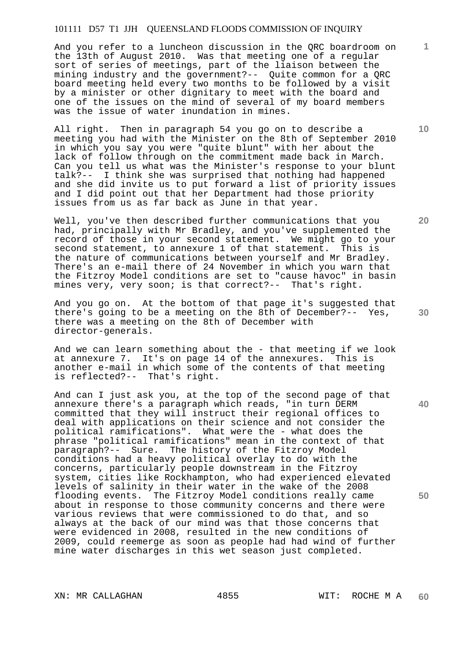And you refer to a luncheon discussion in the QRC boardroom on the 13th of August 2010. Was that meeting one of a regular sort of series of meetings, part of the liaison between the mining industry and the government?-- Quite common for a QRC board meeting held every two months to be followed by a visit by a minister or other dignitary to meet with the board and one of the issues on the mind of several of my board members was the issue of water inundation in mines.

All right. Then in paragraph 54 you go on to describe a meeting you had with the Minister on the 8th of September 2010 in which you say you were "quite blunt" with her about the lack of follow through on the commitment made back in March. Can you tell us what was the Minister's response to your blunt talk?-- I think she was surprised that nothing had happened and she did invite us to put forward a list of priority issues and I did point out that her Department had those priority issues from us as far back as June in that year.

Well, you've then described further communications that you had, principally with Mr Bradley, and you've supplemented the record of those in your second statement. We might go to your second statement, to annexure 1 of that statement. This is the nature of communications between yourself and Mr Bradley. There's an e-mail there of 24 November in which you warn that the Fitzroy Model conditions are set to "cause havoc" in basin mines very, very soon; is that correct?-- That's right.

And you go on. At the bottom of that page it's suggested that there's going to be a meeting on the 8th of December?-- Yes, there was a meeting on the 8th of December with director-generals.

And we can learn something about the - that meeting if we look at annexure 7. It's on page 14 of the annexures. This is another e-mail in which some of the contents of that meeting is reflected?-- That's right.

And can I just ask you, at the top of the second page of that annexure there's a paragraph which reads, "in turn DERM committed that they will instruct their regional offices to deal with applications on their science and not consider the political ramifications". What were the - what does the phrase "political ramifications" mean in the context of that paragraph?-- Sure. The history of the Fitzroy Model conditions had a heavy political overlay to do with the concerns, particularly people downstream in the Fitzroy system, cities like Rockhampton, who had experienced elevated levels of salinity in their water in the wake of the 2008 flooding events. The Fitzroy Model conditions really came about in response to those community concerns and there were various reviews that were commissioned to do that, and so always at the back of our mind was that those concerns that were evidenced in 2008, resulted in the new conditions of 2009, could reemerge as soon as people had had wind of further mine water discharges in this wet season just completed.

**20** 

**10** 

**1**

**40**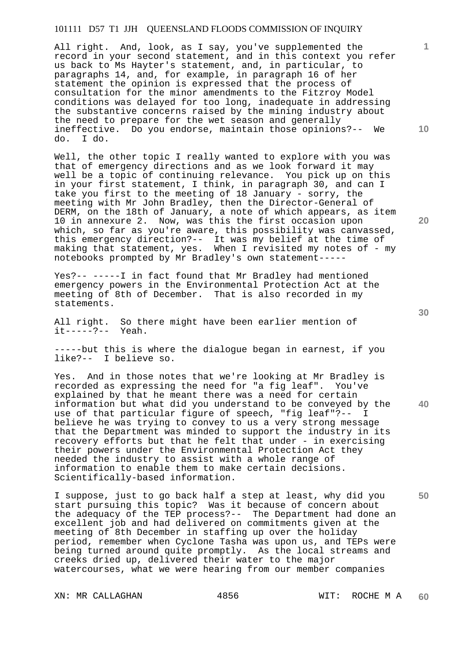All right. And, look, as I say, you've supplemented the record in your second statement, and in this context you refer us back to Ms Hayter's statement, and, in particular, to paragraphs 14, and, for example, in paragraph 16 of her statement the opinion is expressed that the process of consultation for the minor amendments to the Fitzroy Model conditions was delayed for too long, inadequate in addressing the substantive concerns raised by the mining industry about the need to prepare for the wet season and generally ineffective. Do you endorse, maintain those opinions?-- We do. I do.

Well, the other topic I really wanted to explore with you was that of emergency directions and as we look forward it may well be a topic of continuing relevance. You pick up on this in your first statement, I think, in paragraph 30, and can I take you first to the meeting of 18 January - sorry, the meeting with Mr John Bradley, then the Director-General of DERM, on the 18th of January, a note of which appears, as item 10 in annexure 2. Now, was this the first occasion upon which, so far as you're aware, this possibility was canvassed, this emergency direction?-- It was my belief at the time of making that statement, yes. When I revisited my notes of - my notebooks prompted by Mr Bradley's own statement-----

Yes?-- -----I in fact found that Mr Bradley had mentioned emergency powers in the Environmental Protection Act at the meeting of 8th of December. That is also recorded in my statements.

All right. So there might have been earlier mention of  $it---?--$  Yeah.

-----but this is where the dialogue began in earnest, if you like?-- I believe so.

Yes. And in those notes that we're looking at Mr Bradley is recorded as expressing the need for "a fig leaf". You've explained by that he meant there was a need for certain information but what did you understand to be conveyed by the use of that particular figure of speech, "fig leaf"?-- I believe he was trying to convey to us a very strong message that the Department was minded to support the industry in its recovery efforts but that he felt that under - in exercising their powers under the Environmental Protection Act they needed the industry to assist with a whole range of information to enable them to make certain decisions. Scientifically-based information.

I suppose, just to go back half a step at least, why did you start pursuing this topic? Was it because of concern about the adequacy of the TEP process?-- The Department had done an excellent job and had delivered on commitments given at the meeting of 8th December in staffing up over the holiday period, remember when Cyclone Tasha was upon us, and TEPs were being turned around quite promptly. As the local streams and creeks dried up, delivered their water to the major watercourses, what we were hearing from our member companies

XN: MR CALLAGHAN 4856 WIT: ROCHE M A

**20** 

**40** 

**10** 

**1**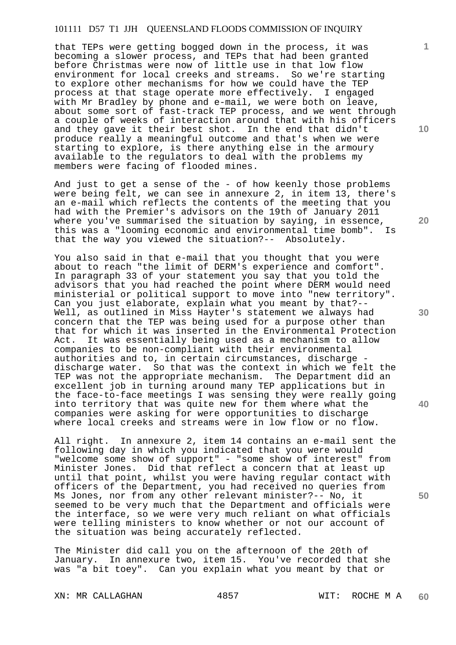that TEPs were getting bogged down in the process, it was becoming a slower process, and TEPs that had been granted before Christmas were now of little use in that low flow environment for local creeks and streams. So we're starting to explore other mechanisms for how we could have the TEP process at that stage operate more effectively. I engaged with Mr Bradley by phone and e-mail, we were both on leave, about some sort of fast-track TEP process, and we went through a couple of weeks of interaction around that with his officers and they gave it their best shot. In the end that didn't produce really a meaningful outcome and that's when we were starting to explore, is there anything else in the armoury available to the regulators to deal with the problems my members were facing of flooded mines.

And just to get a sense of the - of how keenly those problems were being felt, we can see in annexure 2, in item 13, there's an e-mail which reflects the contents of the meeting that you had with the Premier's advisors on the 19th of January 2011 where you've summarised the situation by saying, in essence, this was a "looming economic and environmental time bomb". Is that the way you viewed the situation?-- Absolutely.

You also said in that e-mail that you thought that you were about to reach "the limit of DERM's experience and comfort". In paragraph 33 of your statement you say that you told the advisors that you had reached the point where DERM would need ministerial or political support to move into "new territory". Can you just elaborate, explain what you meant by that?-- Well, as outlined in Miss Hayter's statement we always had concern that the TEP was being used for a purpose other than that for which it was inserted in the Environmental Protection<br>Act. It was essentially being used as a mechanism to allow It was essentially being used as a mechanism to allow companies to be non-compliant with their environmental authorities and to, in certain circumstances, discharge discharge water. So that was the context in which we felt the TEP was not the appropriate mechanism. The Department did an excellent job in turning around many TEP applications but in the face-to-face meetings I was sensing they were really going into territory that was quite new for them where what the companies were asking for were opportunities to discharge where local creeks and streams were in low flow or no flow.

All right. In annexure 2, item 14 contains an e-mail sent the following day in which you indicated that you were would "welcome some show of support" - "some show of interest" from Minister Jones. Did that reflect a concern that at least up until that point, whilst you were having regular contact with officers of the Department, you had received no queries from Ms Jones, nor from any other relevant minister?-- No, it seemed to be very much that the Department and officials were the interface, so we were very much reliant on what officials were telling ministers to know whether or not our account of the situation was being accurately reflected.

The Minister did call you on the afternoon of the 20th of January. In annexure two, item 15. You've recorded that she was "a bit toey". Can you explain what you meant by that or

XN: MR CALLAGHAN 4857 WIT: ROCHE M A

**10** 

**1**

**20** 

**30** 

**40**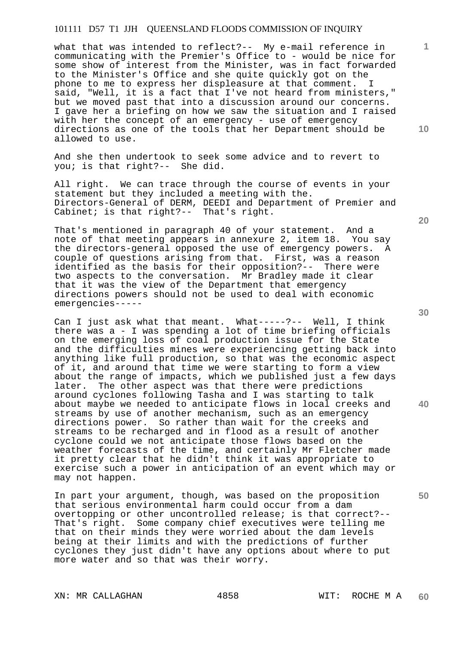what that was intended to reflect?-- My e-mail reference in communicating with the Premier's Office to - would be nice for some show of interest from the Minister, was in fact forwarded to the Minister's Office and she quite quickly got on the phone to me to express her displeasure at that comment. I said, "Well, it is a fact that I've not heard from ministers," but we moved past that into a discussion around our concerns. I gave her a briefing on how we saw the situation and I raised with her the concept of an emergency - use of emergency directions as one of the tools that her Department should be allowed to use.

And she then undertook to seek some advice and to revert to you; is that right?-- She did.

All right. We can trace through the course of events in your statement but they included a meeting with the. Directors-General of DERM, DEEDI and Department of Premier and Cabinet; is that right?-- That's right.

That's mentioned in paragraph 40 of your statement. And a note of that meeting appears in annexure 2, item 18. You say the directors-general opposed the use of emergency powers. A couple of questions arising from that. First, was a reason identified as the basis for their opposition?-- There were two aspects to the conversation. Mr Bradley made it clear that it was the view of the Department that emergency directions powers should not be used to deal with economic emergencies-----

Can I just ask what that meant. What-----?-- Well, I think there was a - I was spending a lot of time briefing officials on the emerging loss of coal production issue for the State and the difficulties mines were experiencing getting back into anything like full production, so that was the economic aspect of it, and around that time we were starting to form a view about the range of impacts, which we published just a few days later. The other aspect was that there were predictions around cyclones following Tasha and I was starting to talk about maybe we needed to anticipate flows in local creeks and streams by use of another mechanism, such as an emergency directions power. So rather than wait for the creeks and streams to be recharged and in flood as a result of another cyclone could we not anticipate those flows based on the weather forecasts of the time, and certainly Mr Fletcher made it pretty clear that he didn't think it was appropriate to exercise such a power in anticipation of an event which may or may not happen.

In part your argument, though, was based on the proposition that serious environmental harm could occur from a dam overtopping or other uncontrolled release; is that correct?-- That's right. Some company chief executives were telling me that on their minds they were worried about the dam levels being at their limits and with the predictions of further cyclones they just didn't have any options about where to put more water and so that was their worry.

XN: MR CALLAGHAN 4858 WIT: ROCHE M A

**20** 

**1**

**10** 

**40**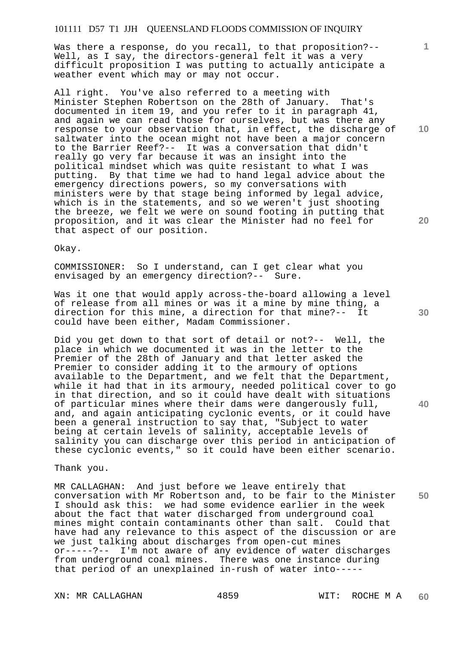Was there a response, do you recall, to that proposition?-- Well, as I say, the directors-general felt it was a very difficult proposition I was putting to actually anticipate a weather event which may or may not occur.

All right. You've also referred to a meeting with Minister Stephen Robertson on the 28th of January. That's documented in item 19, and you refer to it in paragraph 41, and again we can read those for ourselves, but was there any response to your observation that, in effect, the discharge of saltwater into the ocean might not have been a major concern to the Barrier Reef?-- It was a conversation that didn't really go very far because it was an insight into the political mindset which was quite resistant to what I was putting. By that time we had to hand legal advice about the emergency directions powers, so my conversations with ministers were by that stage being informed by legal advice, which is in the statements, and so we weren't just shooting the breeze, we felt we were on sound footing in putting that proposition, and it was clear the Minister had no feel for that aspect of our position.

Okay.

COMMISSIONER: So I understand, can I get clear what you envisaged by an emergency direction?-- Sure.

Was it one that would apply across-the-board allowing a level of release from all mines or was it a mine by mine thing, a direction for this mine, a direction for that mine?-- It could have been either, Madam Commissioner.

Did you get down to that sort of detail or not?-- Well, the place in which we documented it was in the letter to the Premier of the 28th of January and that letter asked the Premier to consider adding it to the armoury of options available to the Department, and we felt that the Department, while it had that in its armoury, needed political cover to go in that direction, and so it could have dealt with situations of particular mines where their dams were dangerously full, and, and again anticipating cyclonic events, or it could have been a general instruction to say that, "Subject to water being at certain levels of salinity, acceptable levels of salinity you can discharge over this period in anticipation of these cyclonic events," so it could have been either scenario.

Thank you.

**50**  MR CALLAGHAN: And just before we leave entirely that conversation with Mr Robertson and, to be fair to the Minister I should ask this: we had some evidence earlier in the week about the fact that water discharged from underground coal mines might contain contaminants other than salt. Could that have had any relevance to this aspect of the discussion or are we just talking about discharges from open-cut mines or-----?-- I'm not aware of any evidence of water discharges from underground coal mines. There was one instance during that period of an unexplained in-rush of water into-----

**10** 

**1**

**20** 

**30**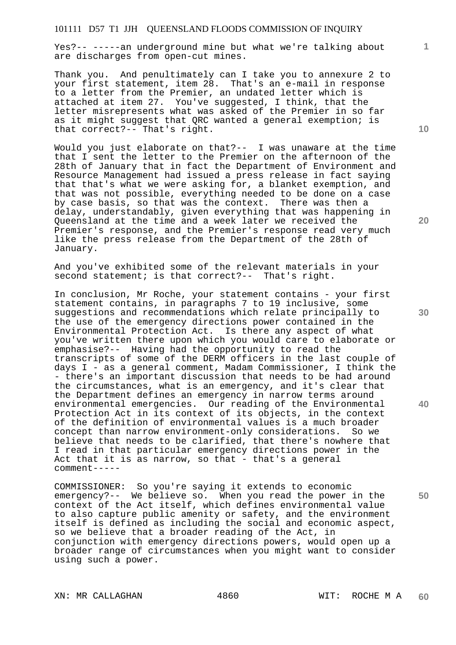Yes?-- -----an underground mine but what we're talking about are discharges from open-cut mines.

Thank you. And penultimately can I take you to annexure 2 to your first statement, item 28. That's an e-mail in response to a letter from the Premier, an undated letter which is attached at item 27. You've suggested, I think, that the letter misrepresents what was asked of the Premier in so far as it might suggest that QRC wanted a general exemption; is that correct?-- That's right.

Would you just elaborate on that?-- I was unaware at the time that I sent the letter to the Premier on the afternoon of the 28th of January that in fact the Department of Environment and Resource Management had issued a press release in fact saying that that's what we were asking for, a blanket exemption, and that was not possible, everything needed to be done on a case by case basis, so that was the context. There was then a delay, understandably, given everything that was happening in Queensland at the time and a week later we received the Premier's response, and the Premier's response read very much like the press release from the Department of the 28th of January.

And you've exhibited some of the relevant materials in your second statement; is that correct?-- That's right.

In conclusion, Mr Roche, your statement contains - your first statement contains, in paragraphs 7 to 19 inclusive, some suggestions and recommendations which relate principally to the use of the emergency directions power contained in the Environmental Protection Act. Is there any aspect of what you've written there upon which you would care to elaborate or emphasise?-- Having had the opportunity to read the transcripts of some of the DERM officers in the last couple of days I - as a general comment, Madam Commissioner, I think the - there's an important discussion that needs to be had around the circumstances, what is an emergency, and it's clear that the Department defines an emergency in narrow terms around environmental emergencies. Our reading of the Environmental Protection Act in its context of its objects, in the context of the definition of environmental values is a much broader concept than narrow environment-only considerations. So we believe that needs to be clarified, that there's nowhere that I read in that particular emergency directions power in the Act that it is as narrow, so that - that's a general comment-----

COMMISSIONER: So you're saying it extends to economic emergency?-- We believe so. When you read the power in the context of the Act itself, which defines environmental value to also capture public amenity or safety, and the environment itself is defined as including the social and economic aspect, so we believe that a broader reading of the Act, in conjunction with emergency directions powers, would open up a broader range of circumstances when you might want to consider using such a power.

XN: MR CALLAGHAN 4860 WIT: ROCHE M A

**10** 

**1**

**40**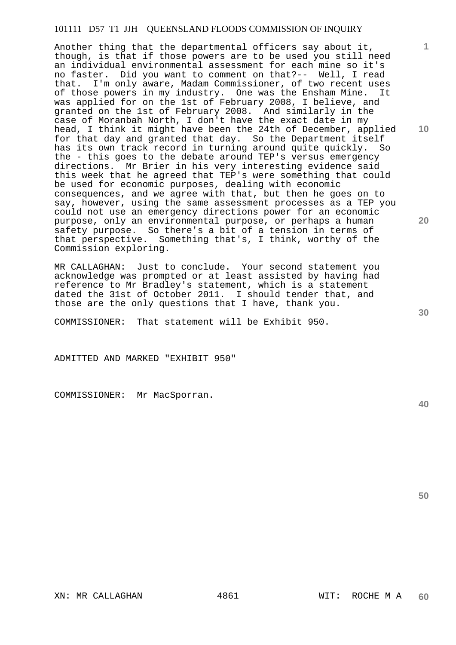Another thing that the departmental officers say about it, though, is that if those powers are to be used you still need an individual environmental assessment for each mine so it's no faster. Did you want to comment on that?-- Well, I read that. I'm only aware, Madam Commissioner, of two recent uses of those powers in my industry. One was the Ensham Mine. It was applied for on the 1st of February 2008, I believe, and granted on the 1st of February 2008. And similarly in the case of Moranbah North, I don't have the exact date in my head, I think it might have been the 24th of December, applied for that day and granted that day. So the Department itself has its own track record in turning around quite quickly. So the - this goes to the debate around TEP's versus emergency directions. Mr Brier in his very interesting evidence said this week that he agreed that TEP's were something that could be used for economic purposes, dealing with economic consequences, and we agree with that, but then he goes on to say, however, using the same assessment processes as a TEP you could not use an emergency directions power for an economic purpose, only an environmental purpose, or perhaps a human safety purpose. So there's a bit of a tension in terms of that perspective. Something that's, I think, worthy of the Commission exploring.

MR CALLAGHAN: Just to conclude. Your second statement you acknowledge was prompted or at least assisted by having had reference to Mr Bradley's statement, which is a statement dated the 31st of October 2011. I should tender that, and those are the only questions that I have, thank you.

COMMISSIONER: That statement will be Exhibit 950.

ADMITTED AND MARKED "EXHIBIT 950"

COMMISSIONER: Mr MacSporran.

**40** 

**50** 

**10** 

**1**

**20**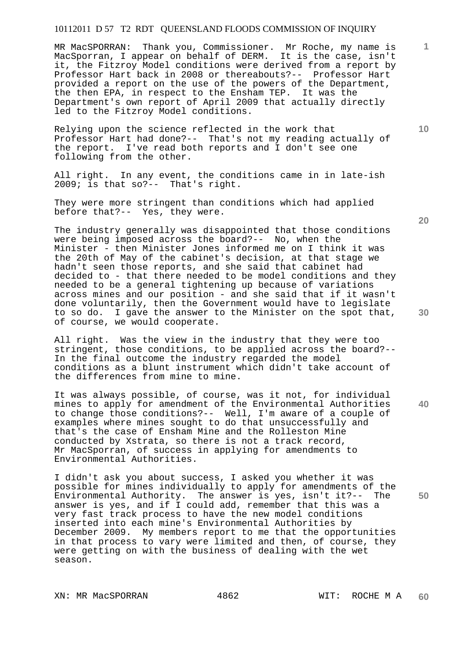MR MacSPORRAN: Thank you, Commissioner. Mr Roche, my name is MacSporran, I appear on behalf of DERM. It is the case, isn't it, the Fitzroy Model conditions were derived from a report by Professor Hart back in 2008 or thereabouts?-- Professor Hart provided a report on the use of the powers of the Department, the then EPA, in respect to the Ensham TEP. It was the Department's own report of April 2009 that actually directly led to the Fitzroy Model conditions.

Relying upon the science reflected in the work that Professor Hart had done?-- That's not my reading actually of the report. I've read both reports and I don't see one following from the other.

All right. In any event, the conditions came in in late-ish 2009; is that so?-- That's right.

They were more stringent than conditions which had applied before that?-- Yes, they were.

The industry generally was disappointed that those conditions were being imposed across the board?-- No, when the Minister - then Minister Jones informed me on I think it was the 20th of May of the cabinet's decision, at that stage we hadn't seen those reports, and she said that cabinet had decided to - that there needed to be model conditions and they needed to be a general tightening up because of variations across mines and our position - and she said that if it wasn't done voluntarily, then the Government would have to legislate to so do. I gave the answer to the Minister on the spot that, of course, we would cooperate.

All right. Was the view in the industry that they were too stringent, those conditions, to be applied across the board?-- In the final outcome the industry regarded the model conditions as a blunt instrument which didn't take account of the differences from mine to mine.

It was always possible, of course, was it not, for individual mines to apply for amendment of the Environmental Authorities to change those conditions?-- Well, I'm aware of a couple of examples where mines sought to do that unsuccessfully and that's the case of Ensham Mine and the Rolleston Mine conducted by Xstrata, so there is not a track record, Mr MacSporran, of success in applying for amendments to Environmental Authorities.

I didn't ask you about success, I asked you whether it was possible for mines individually to apply for amendments of the Environmental Authority. The answer is yes, isn't it?-- The answer is yes, and if I could add, remember that this was a very fast track process to have the new model conditions inserted into each mine's Environmental Authorities by December 2009. My members report to me that the opportunities in that process to vary were limited and then, of course, they were getting on with the business of dealing with the wet season.

XN: MR MacSPORRAN 4862 WIT: ROCHE M A

**20** 

**40** 

**50** 

**10**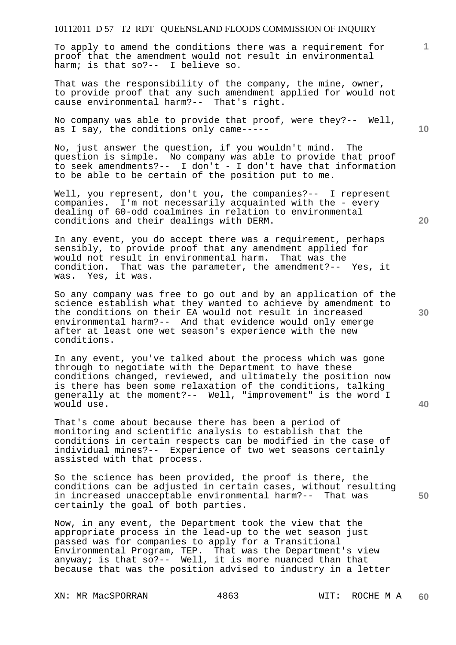To apply to amend the conditions there was a requirement for proof that the amendment would not result in environmental harm; is that so?-- I believe so.

That was the responsibility of the company, the mine, owner, to provide proof that any such amendment applied for would not cause environmental harm?-- That's right.

No company was able to provide that proof, were they?-- Well, as I say, the conditions only came-----

No, just answer the question, if you wouldn't mind. The question is simple. No company was able to provide that proof to seek amendments?-- I don't - I don't have that information to be able to be certain of the position put to me.

Well, you represent, don't you, the companies?-- I represent companies. I'm not necessarily acquainted with the - every dealing of 60-odd coalmines in relation to environmental conditions and their dealings with DERM.

In any event, you do accept there was a requirement, perhaps sensibly, to provide proof that any amendment applied for would not result in environmental harm. That was the condition. That was the parameter, the amendment?-- Yes, it was. Yes, it was.

So any company was free to go out and by an application of the science establish what they wanted to achieve by amendment to the conditions on their EA would not result in increased environmental harm?-- And that evidence would only emerge after at least one wet season's experience with the new conditions.

In any event, you've talked about the process which was gone through to negotiate with the Department to have these conditions changed, reviewed, and ultimately the position now is there has been some relaxation of the conditions, talking generally at the moment?-- Well, "improvement" is the word I would use.

That's come about because there has been a period of monitoring and scientific analysis to establish that the conditions in certain respects can be modified in the case of individual mines?-- Experience of two wet seasons certainly assisted with that process.

So the science has been provided, the proof is there, the conditions can be adjusted in certain cases, without resulting in increased unacceptable environmental harm?-- That was certainly the goal of both parties.

Now, in any event, the Department took the view that the appropriate process in the lead-up to the wet season just passed was for companies to apply for a Transitional Environmental Program, TEP. That was the Department's view anyway; is that so?-- Well, it is more nuanced than that because that was the position advised to industry in a letter

XN: MR MacSPORRAN 4863 WIT: ROCHE M A

**20** 

**10** 

**1**

**40**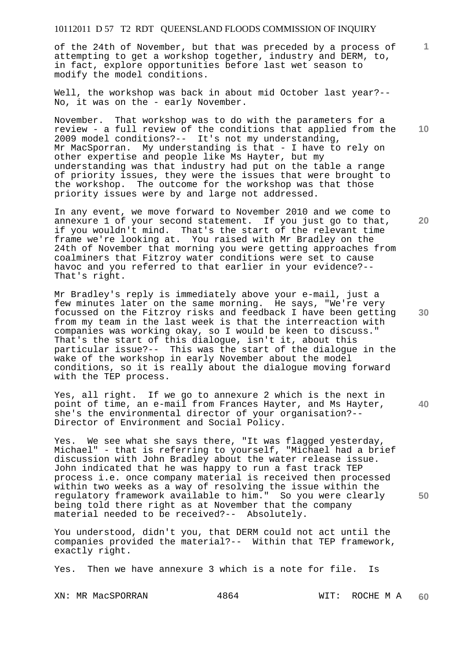of the 24th of November, but that was preceded by a process of attempting to get a workshop together, industry and DERM, to, in fact, explore opportunities before last wet season to modify the model conditions.

Well, the workshop was back in about mid October last year?-- No, it was on the - early November.

November. That workshop was to do with the parameters for a review - a full review of the conditions that applied from the 2009 model conditions?-- It's not my understanding, Mr MacSporran. My understanding is that - I have to rely on other expertise and people like Ms Hayter, but my understanding was that industry had put on the table a range of priority issues, they were the issues that were brought to the workshop. The outcome for the workshop was that those priority issues were by and large not addressed.

In any event, we move forward to November 2010 and we come to annexure 1 of your second statement. If you just go to that, if you wouldn't mind. That's the start of the relevant time frame we're looking at. You raised with Mr Bradley on the 24th of November that morning you were getting approaches from coalminers that Fitzroy water conditions were set to cause havoc and you referred to that earlier in your evidence?-- That's right.

Mr Bradley's reply is immediately above your e-mail, just a few minutes later on the same morning. He says, "We're very focussed on the Fitzroy risks and feedback I have been getting from my team in the last week is that the interreaction with companies was working okay, so I would be keen to discuss." That's the start of this dialogue, isn't it, about this particular issue?-- This was the start of the dialogue in the wake of the workshop in early November about the model conditions, so it is really about the dialogue moving forward with the TEP process.

Yes, all right. If we go to annexure 2 which is the next in point of time, an e-mail from Frances Hayter, and Ms Hayter, she's the environmental director of your organisation?-- Director of Environment and Social Policy.

Yes. We see what she says there, "It was flagged yesterday, Michael" - that is referring to yourself, "Michael had a brief discussion with John Bradley about the water release issue. John indicated that he was happy to run a fast track TEP process i.e. once company material is received then processed within two weeks as a way of resolving the issue within the regulatory framework available to him." So you were clearly being told there right as at November that the company material needed to be received?-- Absolutely.

You understood, didn't you, that DERM could not act until the companies provided the material?-- Within that TEP framework, exactly right.

Yes. Then we have annexure 3 which is a note for file. Is

XN: MR MacSPORRAN 4864 WIT: ROCHE M A

**20** 

**10** 

**1**

**30** 

**50**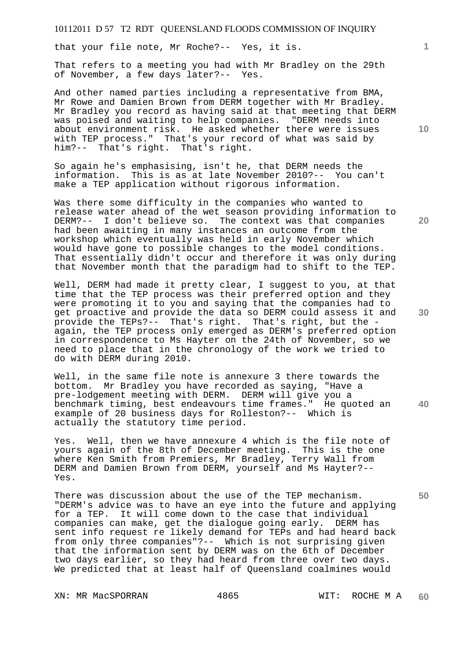that your file note, Mr Roche?-- Yes, it is.

That refers to a meeting you had with Mr Bradley on the 29th of November, a few days later?-- Yes.

And other named parties including a representative from BMA, Mr Rowe and Damien Brown from DERM together with Mr Bradley. Mr Bradley you record as having said at that meeting that DERM was poised and waiting to help companies. "DERM needs into about environment risk. He asked whether there were issues with TEP process." That's your record of what was said by him?-- That's right. That's right.

So again he's emphasising, isn't he, that DERM needs the information. This is as at late November 2010?-- You can't make a TEP application without rigorous information.

Was there some difficulty in the companies who wanted to release water ahead of the wet season providing information to DERM?-- I don't believe so. The context was that companies had been awaiting in many instances an outcome from the workshop which eventually was held in early November which would have gone to possible changes to the model conditions. That essentially didn't occur and therefore it was only during that November month that the paradigm had to shift to the TEP.

Well, DERM had made it pretty clear, I suggest to you, at that time that the TEP process was their preferred option and they were promoting it to you and saying that the companies had to get proactive and provide the data so DERM could assess it and provide the TEPs?-- That's right. That's right, but the again, the TEP process only emerged as DERM's preferred option in correspondence to Ms Hayter on the 24th of November, so we need to place that in the chronology of the work we tried to do with DERM during 2010.

**40**  Well, in the same file note is annexure 3 there towards the bottom. Mr Bradley you have recorded as saying, "Have a pre-lodgement meeting with DERM. DERM will give you a benchmark timing, best endeavours time frames." He quoted an example of 20 business days for Rolleston?-- Which is actually the statutory time period.

Yes. Well, then we have annexure 4 which is the file note of yours again of the 8th of December meeting. This is the one where Ken Smith from Premiers, Mr Bradley, Terry Wall from DERM and Damien Brown from DERM, yourself and Ms Hayter?-- Yes.

There was discussion about the use of the TEP mechanism. "DERM's advice was to have an eye into the future and applying for a TEP. It will come down to the case that individual companies can make, get the dialogue going early. DERM has sent info request re likely demand for TEPs and had heard back from only three companies"?-- Which is not surprising given that the information sent by DERM was on the 6th of December two days earlier, so they had heard from three over two days. We predicted that at least half of Queensland coalmines would

XN: MR MacSPORRAN 4865 WIT: ROCHE M A

**10** 

**1**

**20**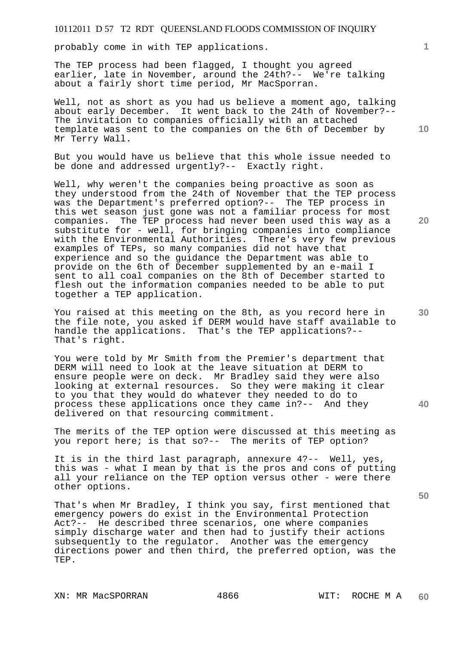probably come in with TEP applications.

The TEP process had been flagged, I thought you agreed earlier, late in November, around the 24th?-- We're talking about a fairly short time period, Mr MacSporran.

Well, not as short as you had us believe a moment ago, talking about early December. It went back to the 24th of November?-- The invitation to companies officially with an attached template was sent to the companies on the 6th of December by Mr Terry Wall.

But you would have us believe that this whole issue needed to be done and addressed urgently?-- Exactly right.

Well, why weren't the companies being proactive as soon as they understood from the 24th of November that the TEP process was the Department's preferred option?-- The TEP process in this wet season just gone was not a familiar process for most companies. The TEP process had never been used this way as a substitute for - well, for bringing companies into compliance with the Environmental Authorities. There's very few previous examples of TEPs, so many companies did not have that experience and so the guidance the Department was able to provide on the 6th of December supplemented by an e-mail I sent to all coal companies on the 8th of December started to flesh out the information companies needed to be able to put together a TEP application.

You raised at this meeting on the 8th, as you record here in the file note, you asked if DERM would have staff available to handle the applications. That's the TEP applications?-- That's right.

You were told by Mr Smith from the Premier's department that DERM will need to look at the leave situation at DERM to ensure people were on deck. Mr Bradley said they were also looking at external resources. So they were making it clear to you that they would do whatever they needed to do to process these applications once they came in?-- And they delivered on that resourcing commitment.

The merits of the TEP option were discussed at this meeting as you report here; is that so?-- The merits of TEP option?

It is in the third last paragraph, annexure 4?-- Well, yes, this was - what I mean by that is the pros and cons of putting all your reliance on the TEP option versus other - were there other options.

That's when Mr Bradley, I think you say, first mentioned that emergency powers do exist in the Environmental Protection Act?-- He described three scenarios, one where companies simply discharge water and then had to justify their actions subsequently to the regulator. Another was the emergency directions power and then third, the preferred option, was the TEP.

**20** 

**10** 

**30** 

**40**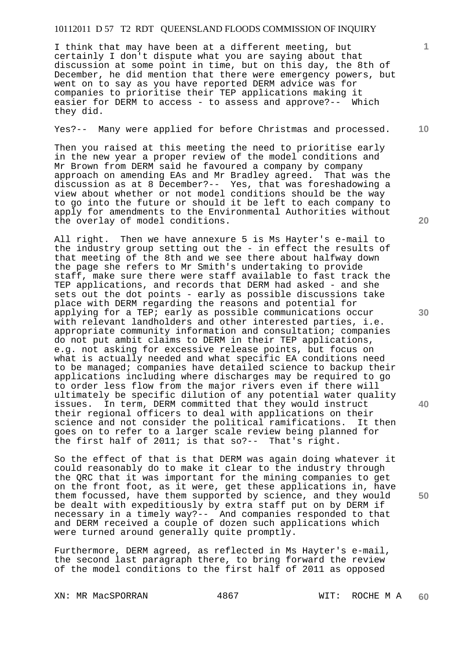I think that may have been at a different meeting, but certainly I don't dispute what you are saying about that discussion at some point in time, but on this day, the 8th of December, he did mention that there were emergency powers, but went on to say as you have reported DERM advice was for companies to prioritise their TEP applications making it easier for DERM to access - to assess and approve?-- Which they did.

Yes?-- Many were applied for before Christmas and processed.

Then you raised at this meeting the need to prioritise early in the new year a proper review of the model conditions and Mr Brown from DERM said he favoured a company by company approach on amending EAs and Mr Bradley agreed. That was the discussion as at 8 December?-- Yes, that was foreshadowing a view about whether or not model conditions should be the way to go into the future or should it be left to each company to apply for amendments to the Environmental Authorities without the overlay of model conditions.

All right. Then we have annexure 5 is Ms Hayter's e-mail to the industry group setting out the - in effect the results of that meeting of the 8th and we see there about halfway down the page she refers to Mr Smith's undertaking to provide staff, make sure there were staff available to fast track the TEP applications, and records that DERM had asked - and she sets out the dot points - early as possible discussions take place with DERM regarding the reasons and potential for applying for a TEP; early as possible communications occur with relevant landholders and other interested parties, i.e. appropriate community information and consultation; companies do not put ambit claims to DERM in their TEP applications, e.g. not asking for excessive release points, but focus on what is actually needed and what specific EA conditions need to be managed; companies have detailed science to backup their applications including where discharges may be required to go to order less flow from the major rivers even if there will ultimately be specific dilution of any potential water quality issues. In term, DERM committed that they would instruct their regional officers to deal with applications on their science and not consider the political ramifications. It then goes on to refer to a larger scale review being planned for the first half of 2011; is that so?-- That's right.

So the effect of that is that DERM was again doing whatever it could reasonably do to make it clear to the industry through the QRC that it was important for the mining companies to get on the front foot, as it were, get these applications in, have them focussed, have them supported by science, and they would be dealt with expeditiously by extra staff put on by DERM if necessary in a timely way?-- And companies responded to that and DERM received a couple of dozen such applications which were turned around generally quite promptly.

Furthermore, DERM agreed, as reflected in Ms Hayter's e-mail, the second last paragraph there, to bring forward the review of the model conditions to the first half of 2011 as opposed

XN: MR MacSPORRAN 4867 WIT: ROCHE M A

**20** 

**30** 

**50** 

**10**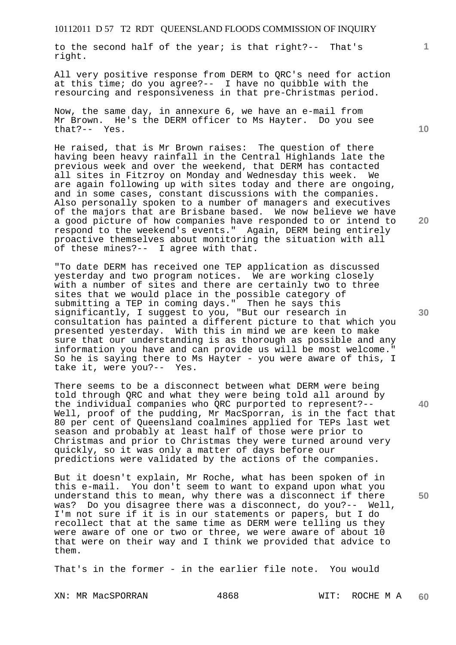to the second half of the year; is that right?-- That's right.

All very positive response from DERM to QRC's need for action at this time; do you agree?-- I have no quibble with the resourcing and responsiveness in that pre-Christmas period.

Now, the same day, in annexure 6, we have an e-mail from Mr Brown. He's the DERM officer to Ms Hayter. Do you see that?-- Yes.

He raised, that is Mr Brown raises: The question of there having been heavy rainfall in the Central Highlands late the previous week and over the weekend, that DERM has contacted all sites in Fitzroy on Monday and Wednesday this week. We are again following up with sites today and there are ongoing, and in some cases, constant discussions with the companies. Also personally spoken to a number of managers and executives of the majors that are Brisbane based. We now believe we have a good picture of how companies have responded to or intend to respond to the weekend's events." Again, DERM being entirely proactive themselves about monitoring the situation with all of these mines?-- I agree with that.

"To date DERM has received one TEP application as discussed yesterday and two program notices. We are working closely with a number of sites and there are certainly two to three sites that we would place in the possible category of submitting a TEP in coming days." Then he says this significantly, I suggest to you, "But our research in consultation has painted a different picture to that which you presented yesterday. With this in mind we are keen to make sure that our understanding is as thorough as possible and any information you have and can provide us will be most welcome." So he is saying there to Ms Hayter - you were aware of this, I take it, were you?-- Yes.

There seems to be a disconnect between what DERM were being told through QRC and what they were being told all around by the individual companies who QRC purported to represent?-- Well, proof of the pudding, Mr MacSporran, is in the fact that 80 per cent of Queensland coalmines applied for TEPs last wet season and probably at least half of those were prior to Christmas and prior to Christmas they were turned around very quickly, so it was only a matter of days before our predictions were validated by the actions of the companies.

But it doesn't explain, Mr Roche, what has been spoken of in this e-mail. You don't seem to want to expand upon what you understand this to mean, why there was a disconnect if there was? Do you disagree there was a disconnect, do you?-- Well, I'm not sure if it is in our statements or papers, but I do recollect that at the same time as DERM were telling us they were aware of one or two or three, we were aware of about 10 that were on their way and I think we provided that advice to them.

That's in the former - in the earlier file note. You would

XN: MR MacSPORRAN 4868 WIT: ROCHE M A

**1**

**20** 

**30** 

**50**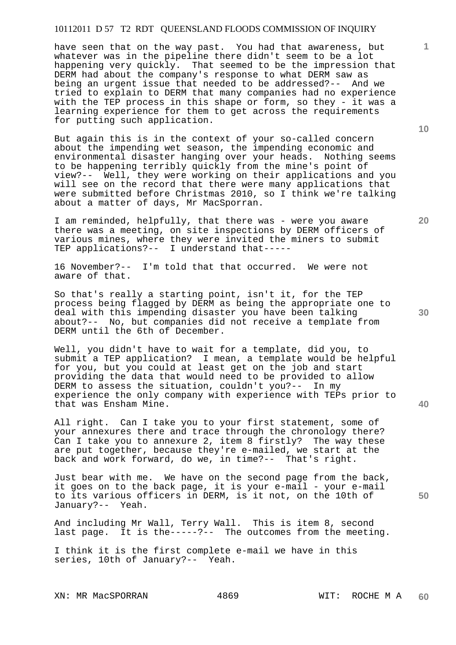have seen that on the way past. You had that awareness, but whatever was in the pipeline there didn't seem to be a lot happening very quickly. That seemed to be the impression that DERM had about the company's response to what DERM saw as being an urgent issue that needed to be addressed?-- And we tried to explain to DERM that many companies had no experience with the TEP process in this shape or form, so they - it was a learning experience for them to get across the requirements for putting such application.

But again this is in the context of your so-called concern about the impending wet season, the impending economic and environmental disaster hanging over your heads. Nothing seems to be happening terribly quickly from the mine's point of view?-- Well, they were working on their applications and you will see on the record that there were many applications that were submitted before Christmas 2010, so I think we're talking about a matter of days, Mr MacSporran.

I am reminded, helpfully, that there was - were you aware there was a meeting, on site inspections by DERM officers of various mines, where they were invited the miners to submit TEP applications?-- I understand that-----

16 November?-- I'm told that that occurred. We were not aware of that.

So that's really a starting point, isn't it, for the TEP process being flagged by DERM as being the appropriate one to deal with this impending disaster you have been talking about?-- No, but companies did not receive a template from DERM until the 6th of December.

Well, you didn't have to wait for a template, did you, to submit a TEP application? I mean, a template would be helpful for you, but you could at least get on the job and start providing the data that would need to be provided to allow DERM to assess the situation, couldn't you?-- In my experience the only company with experience with TEPs prior to that was Ensham Mine.

All right. Can I take you to your first statement, some of your annexures there and trace through the chronology there? Can I take you to annexure 2, item 8 firstly? The way these are put together, because they're e-mailed, we start at the back and work forward, do we, in time?-- That's right.

Just bear with me. We have on the second page from the back, it goes on to the back page, it is your e-mail - your e-mail to its various officers in DERM, is it not, on the 10th of January?-- Yeah.

And including Mr Wall, Terry Wall. This is item 8, second last page. It is the-----?-- The outcomes from the meeting.

I think it is the first complete e-mail we have in this series, 10th of January?-- Yeah.

**10** 

**20** 

**1**

**30** 

**50**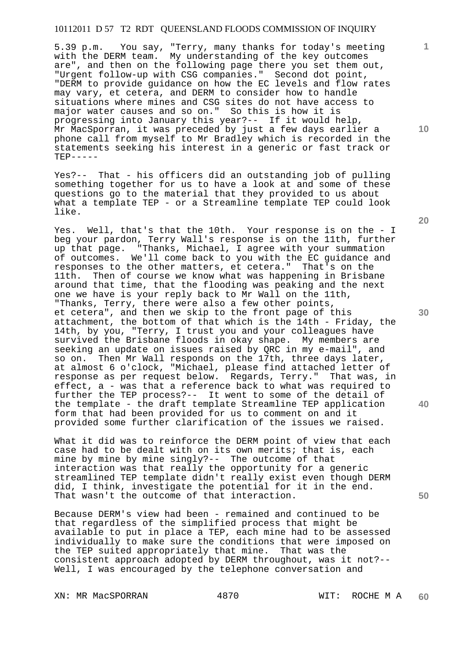5.39 p.m. You say, "Terry, many thanks for today's meeting with the DERM team. My understanding of the key outcomes are", and then on the following page there you set them out, "Urgent follow-up with CSG companies." Second dot point, "DERM to provide guidance on how the EC levels and flow rates may vary, et cetera, and DERM to consider how to handle situations where mines and CSG sites do not have access to major water causes and so on." So this is how it is progressing into January this year?-- If it would help, Mr MacSporran, it was preceded by just a few days earlier a phone call from myself to Mr Bradley which is recorded in the statements seeking his interest in a generic or fast track or  $TRP----$ 

Yes?-- That - his officers did an outstanding job of pulling something together for us to have a look at and some of these questions go to the material that they provided to us about what a template TEP - or a Streamline template TEP could look like.

Yes. Well, that's that the 10th. Your response is on the - I beg your pardon, Terry Wall's response is on the 11th, further up that page. "Thanks, Michael, I agree with your summation of outcomes. We'll come back to you with the EC guidance and responses to the other matters, et cetera." That's on the 11th. Then of course we know what was happening in Brisbane around that time, that the flooding was peaking and the next one we have is your reply back to Mr Wall on the 11th, "Thanks, Terry, there were also a few other points, et cetera", and then we skip to the front page of this attachment, the bottom of that which is the 14th - Friday, the 14th, by you, "Terry, I trust you and your colleagues have survived the Brisbane floods in okay shape. My members are seeking an update on issues raised by QRC in my e-mail", and so on. Then Mr Wall responds on the 17th, three days later, at almost 6 o'clock, "Michael, please find attached letter of response as per request below. Regards, Terry." That was, in effect, a - was that a reference back to what was required to further the TEP process?-- It went to some of the detail of the template - the draft template Streamline TEP application form that had been provided for us to comment on and it provided some further clarification of the issues we raised.

What it did was to reinforce the DERM point of view that each case had to be dealt with on its own merits; that is, each mine by mine by mine singly?-- The outcome of that interaction was that really the opportunity for a generic streamlined TEP template didn't really exist even though DERM did, I think, investigate the potential for it in the end. That wasn't the outcome of that interaction.

Because DERM's view had been - remained and continued to be that regardless of the simplified process that might be available to put in place a TEP, each mine had to be assessed individually to make sure the conditions that were imposed on the TEP suited appropriately that mine. That was the consistent approach adopted by DERM throughout, was it not?-- Well, I was encouraged by the telephone conversation and

XN: MR MacSPORRAN 4870 WIT: ROCHE M A

**20** 

**10** 

**1**

**30** 

**40**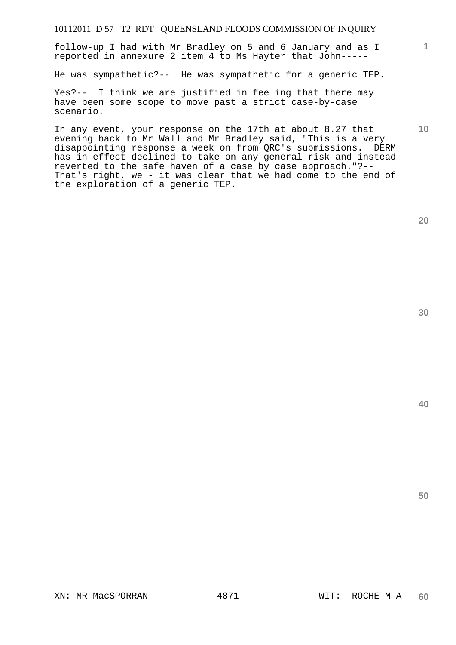follow-up I had with Mr Bradley on 5 and 6 January and as I reported in annexure 2 item 4 to Ms Hayter that John-----

He was sympathetic?-- He was sympathetic for a generic TEP.

Yes?-- I think we are justified in feeling that there may have been some scope to move past a strict case-by-case scenario.

In any event, your response on the 17th at about 8.27 that evening back to Mr Wall and Mr Bradley said, "This is a very disappointing response a week on from QRC's submissions. DERM has in effect declined to take on any general risk and instead reverted to the safe haven of a case by case approach."?-- That's right, we - it was clear that we had come to the end of the exploration of a generic TEP.

**20** 

**1**

**10** 

**30**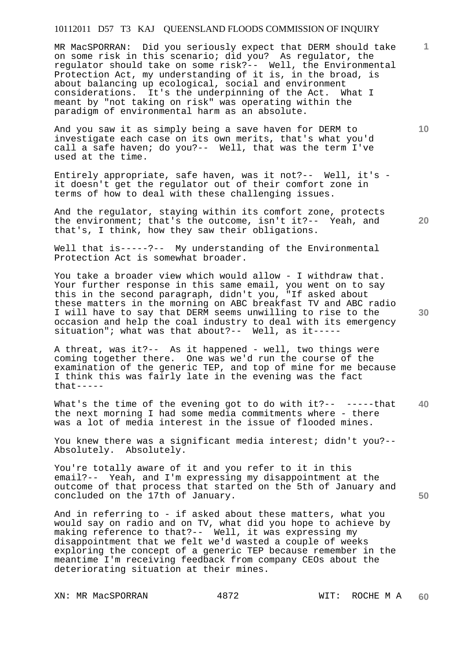MR MacSPORRAN: Did you seriously expect that DERM should take on some risk in this scenario; did you? As regulator, the regulator should take on some risk?-- Well, the Environmental Protection Act, my understanding of it is, in the broad, is about balancing up ecological, social and environment considerations. It's the underpinning of the Act. What I meant by "not taking on risk" was operating within the paradigm of environmental harm as an absolute.

And you saw it as simply being a save haven for DERM to investigate each case on its own merits, that's what you'd call a safe haven; do you?-- Well, that was the term I've used at the time.

Entirely appropriate, safe haven, was it not?-- Well, it's it doesn't get the regulator out of their comfort zone in terms of how to deal with these challenging issues.

And the regulator, staying within its comfort zone, protects the environment; that's the outcome, isn't it?-- Yeah, and that's, I think, how they saw their obligations.

Well that is-----?-- My understanding of the Environmental Protection Act is somewhat broader.

You take a broader view which would allow - I withdraw that. Your further response in this same email, you went on to say this in the second paragraph, didn't you, "If asked about these matters in the morning on ABC breakfast TV and ABC radio I will have to say that DERM seems unwilling to rise to the occasion and help the coal industry to deal with its emergency situation"; what was that about?-- Well, as it-----

A threat, was it?-- As it happened - well, two things were coming together there. One was we'd run the course of the examination of the generic TEP, and top of mine for me because I think this was fairly late in the evening was the fact  $that---$ 

**40**  What's the time of the evening got to do with it?-- -----that the next morning I had some media commitments where - there was a lot of media interest in the issue of flooded mines.

You knew there was a significant media interest; didn't you?--Absolutely. Absolutely.

You're totally aware of it and you refer to it in this email?-- Yeah, and I'm expressing my disappointment at the outcome of that process that started on the 5th of January and concluded on the 17th of January.

And in referring to - if asked about these matters, what you would say on radio and on TV, what did you hope to achieve by making reference to that?-- Well, it was expressing my disappointment that we felt we'd wasted a couple of weeks exploring the concept of a generic TEP because remember in the meantime I'm receiving feedback from company CEOs about the deteriorating situation at their mines.

XN: MR MacSPORRAN 4872 WIT: ROCHE M A

**20** 

**10** 

**1**

**30**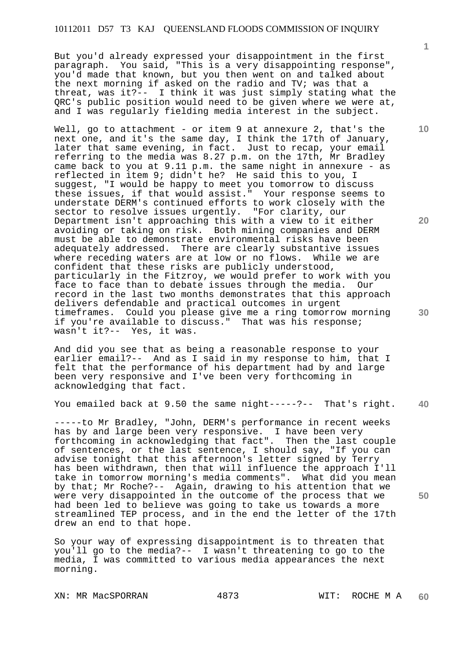But you'd already expressed your disappointment in the first paragraph. You said, "This is a very disappointing response", you'd made that known, but you then went on and talked about the next morning if asked on the radio and TV; was that a threat, was it?-- I think it was just simply stating what the QRC's public position would need to be given where we were at, and I was regularly fielding media interest in the subject.

Well, go to attachment - or item 9 at annexure 2, that's the next one, and it's the same day, I think the 17th of January, later that same evening, in fact. Just to recap, your email referring to the media was 8.27 p.m. on the 17th, Mr Bradley came back to you at 9.11 p.m. the same night in annexure - as reflected in item 9; didn't he? He said this to you, I suggest, "I would be happy to meet you tomorrow to discuss these issues, if that would assist." Your response seems to understate DERM's continued efforts to work closely with the sector to resolve issues urgently. "For clarity, our Department isn't approaching this with a view to it either avoiding or taking on risk. Both mining companies and DERM must be able to demonstrate environmental risks have been adequately addressed. There are clearly substantive issues where receding waters are at low or no flows. While we are confident that these risks are publicly understood, particularly in the Fitzroy, we would prefer to work with you face to face than to debate issues through the media. Our record in the last two months demonstrates that this approach delivers defendable and practical outcomes in urgent timeframes. Could you please give me a ring tomorrow morning if you're available to discuss." That was his response; wasn't it?-- Yes, it was.

And did you see that as being a reasonable response to your earlier email?-- And as I said in my response to him, that I felt that the performance of his department had by and large been very responsive and I've been very forthcoming in acknowledging that fact.

**40**  You emailed back at 9.50 the same night-----?-- That's right.

-----to Mr Bradley, "John, DERM's performance in recent weeks has by and large been very responsive. I have been very forthcoming in acknowledging that fact". Then the last couple of sentences, or the last sentence, I should say, "If you can advise tonight that this afternoon's letter signed by Terry has been withdrawn, then that will influence the approach I'll take in tomorrow morning's media comments". What did you mean by that; Mr Roche?-- Again, drawing to his attention that we were very disappointed in the outcome of the process that we had been led to believe was going to take us towards a more streamlined TEP process, and in the end the letter of the 17th drew an end to that hope.

So your way of expressing disappointment is to threaten that you'll go to the media?-- I wasn't threatening to go to the media, I was committed to various media appearances the next morning.

**10** 

**1**

**20**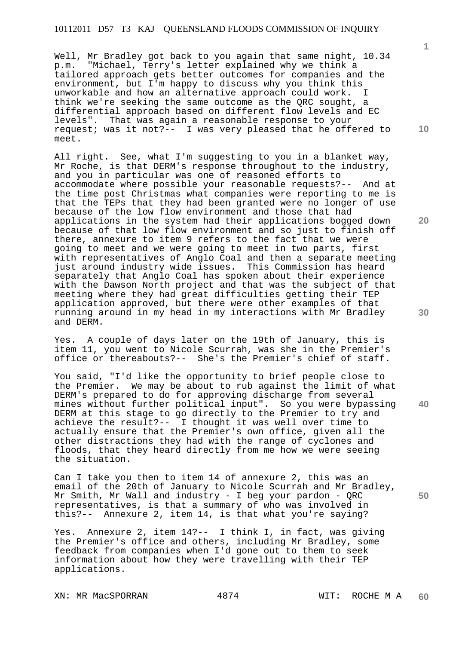Well, Mr Bradley got back to you again that same night, 10.34<br>p.m. "Michael, Terry's letter explained why we think a "Michael, Terry's letter explained why we think a tailored approach gets better outcomes for companies and the environment, but I'm happy to discuss why you think this unworkable and how an alternative approach could work. I think we're seeking the same outcome as the QRC sought, a differential approach based on different flow levels and EC levels". That was again a reasonable response to your request; was it not?-- I was very pleased that he offered to meet.

All right. See, what I'm suggesting to you in a blanket way, Mr Roche, is that DERM's response throughout to the industry, and you in particular was one of reasoned efforts to accommodate where possible your reasonable requests?-- And at the time post Christmas what companies were reporting to me is that the TEPs that they had been granted were no longer of use because of the low flow environment and those that had applications in the system had their applications bogged down because of that low flow environment and so just to finish off there, annexure to item 9 refers to the fact that we were going to meet and we were going to meet in two parts, first with representatives of Anglo Coal and then a separate meeting just around industry wide issues. This Commission has heard separately that Anglo Coal has spoken about their experience with the Dawson North project and that was the subject of that meeting where they had great difficulties getting their TEP application approved, but there were other examples of that running around in my head in my interactions with Mr Bradley and DERM.

Yes. A couple of days later on the 19th of January, this is item 11, you went to Nicole Scurrah, was she in the Premier's office or thereabouts?-- She's the Premier's chief of staff.

You said, "I'd like the opportunity to brief people close to the Premier. We may be about to rub against the limit of what DERM's prepared to do for approving discharge from several mines without further political input". So you were bypassing DERM at this stage to go directly to the Premier to try and achieve the result?-- I thought it was well over time to actually ensure that the Premier's own office, given all the other distractions they had with the range of cyclones and floods, that they heard directly from me how we were seeing the situation.

Can I take you then to item 14 of annexure 2, this was an email of the 20th of January to Nicole Scurrah and Mr Bradley, Mr Smith, Mr Wall and industry - I beg your pardon - QRC representatives, is that a summary of who was involved in this?-- Annexure 2, item 14, is that what you're saying?

Yes. Annexure 2, item 14?-- I think I, in fact, was giving the Premier's office and others, including Mr Bradley, some feedback from companies when I'd gone out to them to seek information about how they were travelling with their TEP applications.

XN: MR MacSPORRAN 4874 WIT: ROCHE M A

**10** 

**1**

**30** 

**40** 

**50**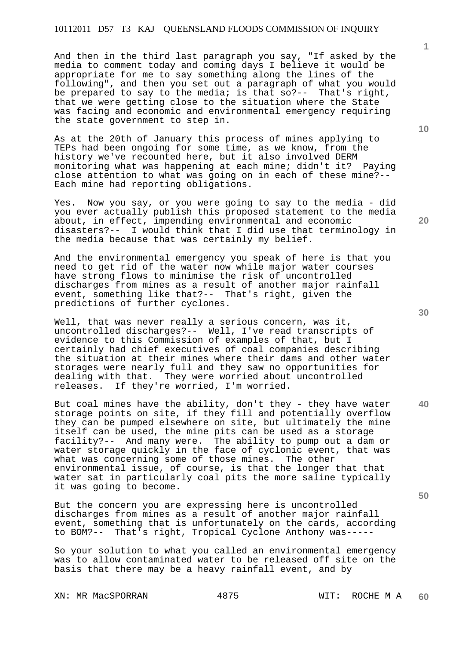And then in the third last paragraph you say, "If asked by the media to comment today and coming days I believe it would be appropriate for me to say something along the lines of the following", and then you set out a paragraph of what you would be prepared to say to the media; is that so?-- That's right, that we were getting close to the situation where the State was facing and economic and environmental emergency requiring the state government to step in.

As at the 20th of January this process of mines applying to TEPs had been ongoing for some time, as we know, from the history we've recounted here, but it also involved DERM monitoring what was happening at each mine; didn't it? Paying close attention to what was going on in each of these mine?-- Each mine had reporting obligations.

Yes. Now you say, or you were going to say to the media - did you ever actually publish this proposed statement to the media about, in effect, impending environmental and economic disasters?-- I would think that I did use that terminology in the media because that was certainly my belief.

And the environmental emergency you speak of here is that you need to get rid of the water now while major water courses have strong flows to minimise the risk of uncontrolled discharges from mines as a result of another major rainfall event, something like that?-- That's right, given the predictions of further cyclones.

Well, that was never really a serious concern, was it, uncontrolled discharges?-- Well, I've read transcripts of evidence to this Commission of examples of that, but I certainly had chief executives of coal companies describing the situation at their mines where their dams and other water storages were nearly full and they saw no opportunities for dealing with that. They were worried about uncontrolled releases. If they're worried, I'm worried.

But coal mines have the ability, don't they - they have water storage points on site, if they fill and potentially overflow they can be pumped elsewhere on site, but ultimately the mine itself can be used, the mine pits can be used as a storage facility?-- And many were. The ability to pump out a dam or water storage quickly in the face of cyclonic event, that was what was concerning some of those mines. The other environmental issue, of course, is that the longer that that water sat in particularly coal pits the more saline typically it was going to become.

But the concern you are expressing here is uncontrolled discharges from mines as a result of another major rainfall event, something that is unfortunately on the cards, according to BOM?-- That's right, Tropical Cyclone Anthony was-----

So your solution to what you called an environmental emergency was to allow contaminated water to be released off site on the basis that there may be a heavy rainfall event, and by

XN: MR MacSPORRAN 4875 WIT: ROCHE M A

**20** 

**10** 

**1**

**50**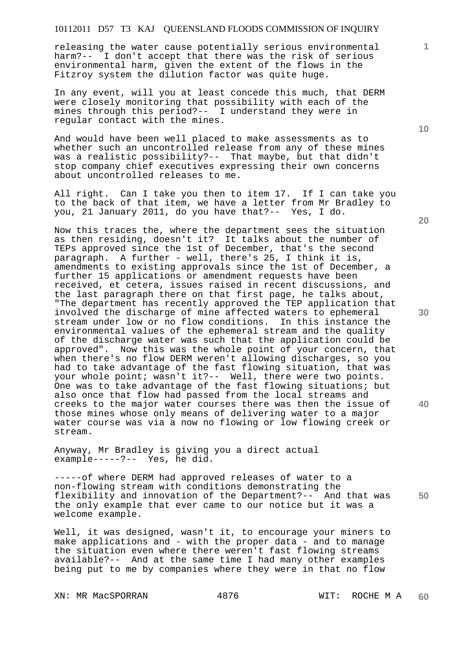releasing the water cause potentially serious environmental harm?-- I don't accept that there was the risk of serious environmental harm, given the extent of the flows in the Fitzroy system the dilution factor was quite huge.

In any event, will you at least concede this much, that DERM were closely monitoring that possibility with each of the mines through this period?-- I understand they were in regular contact with the mines.

And would have been well placed to make assessments as to whether such an uncontrolled release from any of these mines was a realistic possibility?-- That maybe, but that didn't stop company chief executives expressing their own concerns about uncontrolled releases to me.

All right. Can I take you then to item 17. If I can take you to the back of that item, we have a letter from Mr Bradley to you, 21 January 2011, do you have that?-- Yes, I do.

Now this traces the, where the department sees the situation as then residing, doesn't it? It talks about the number of TEPs approved since the 1st of December, that's the second paragraph. A further - well, there's 25, I think it is, amendments to existing approvals since the 1st of December, a further 15 applications or amendment requests have been received, et cetera, issues raised in recent discussions, and the last paragraph there on that first page, he talks about, "The department has recently approved the TEP application that involved the discharge of mine affected waters to ephemeral stream under low or no flow conditions. In this instance the environmental values of the ephemeral stream and the quality of the discharge water was such that the application could be approved". Now this was the whole point of your concern, that when there's no flow DERM weren't allowing discharges, so you had to take advantage of the fast flowing situation, that was your whole point; wasn't it?-- Well, there were two points. One was to take advantage of the fast flowing situations; but also once that flow had passed from the local streams and creeks to the major water courses there was then the issue of those mines whose only means of delivering water to a major water course was via a now no flowing or low flowing creek or stream.

Anyway, Mr Bradley is giving you a direct actual example-----?-- Yes, he did.

**50**  -----of where DERM had approved releases of water to a non-flowing stream with conditions demonstrating the flexibility and innovation of the Department?-- And that was the only example that ever came to our notice but it was a welcome example.

Well, it was designed, wasn't it, to encourage your miners to make applications and - with the proper data - and to manage the situation even where there weren't fast flowing streams available?-- And at the same time I had many other examples being put to me by companies where they were in that no flow

XN: MR MacSPORRAN 4876 WIT: ROCHE M A

**10** 

**1**

**20** 

**30**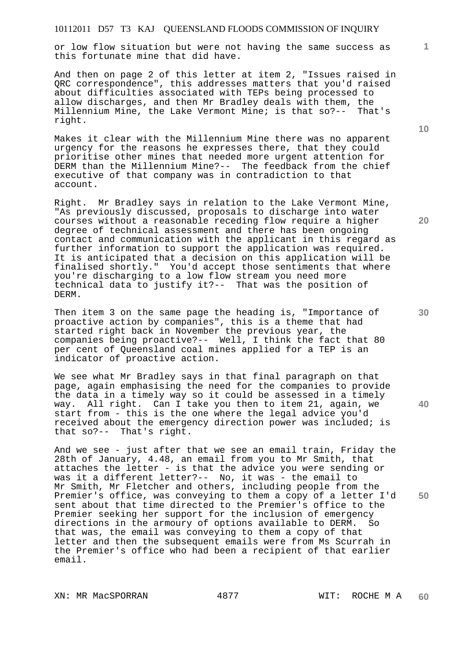or low flow situation but were not having the same success as this fortunate mine that did have.

And then on page 2 of this letter at item 2, "Issues raised in QRC correspondence", this addresses matters that you'd raised about difficulties associated with TEPs being processed to allow discharges, and then Mr Bradley deals with them, the Millennium Mine, the Lake Vermont Mine; is that so?-- That's right.

Makes it clear with the Millennium Mine there was no apparent urgency for the reasons he expresses there, that they could prioritise other mines that needed more urgent attention for DERM than the Millennium Mine?-- The feedback from the chief executive of that company was in contradiction to that account.

Right. Mr Bradley says in relation to the Lake Vermont Mine, "As previously discussed, proposals to discharge into water courses without a reasonable receding flow require a higher degree of technical assessment and there has been ongoing contact and communication with the applicant in this regard as further information to support the application was required. It is anticipated that a decision on this application will be finalised shortly." You'd accept those sentiments that where you're discharging to a low flow stream you need more technical data to justify it?-- That was the position of DERM.

Then item 3 on the same page the heading is, "Importance of proactive action by companies", this is a theme that had started right back in November the previous year, the companies being proactive?-- Well, I think the fact that 80 per cent of Queensland coal mines applied for a TEP is an indicator of proactive action.

We see what Mr Bradley says in that final paragraph on that page, again emphasising the need for the companies to provide the data in a timely way so it could be assessed in a timely way. All right. Can I take you then to item 21, again, we start from - this is the one where the legal advice you'd received about the emergency direction power was included; is that so?-- That's right.

And we see - just after that we see an email train, Friday the 28th of January, 4.48, an email from you to Mr Smith, that attaches the letter - is that the advice you were sending or was it a different letter?-- No, it was - the email to Mr Smith, Mr Fletcher and others, including people from the Premier's office, was conveying to them a copy of a letter I'd sent about that time directed to the Premier's office to the Premier seeking her support for the inclusion of emergency directions in the armoury of options available to DERM. So that was, the email was conveying to them a copy of that letter and then the subsequent emails were from Ms Scurrah in the Premier's office who had been a recipient of that earlier email.

XN: MR MacSPORRAN 4877 WIT: ROCHE M A

**10** 

**20** 

**1**

**40**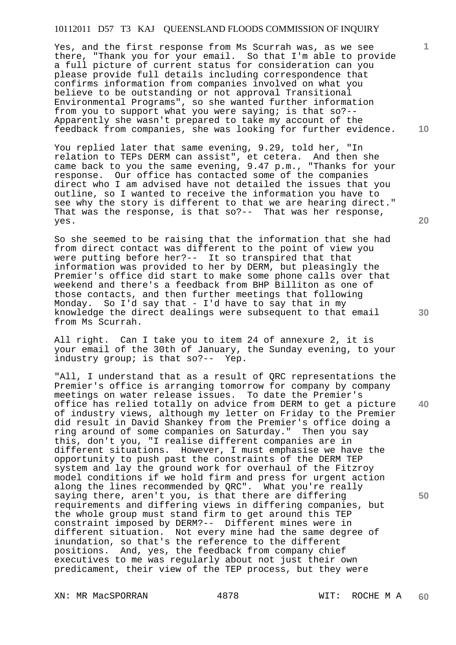Yes, and the first response from Ms Scurrah was, as we see there, "Thank you for your email. So that I'm able to provide a full picture of current status for consideration can you please provide full details including correspondence that confirms information from companies involved on what you believe to be outstanding or not approval Transitional Environmental Programs", so she wanted further information from you to support what you were saying; is that so?-- Apparently she wasn't prepared to take my account of the feedback from companies, she was looking for further evidence.

You replied later that same evening, 9.29, told her, "In relation to TEPs DERM can assist", et cetera. And then she came back to you the same evening, 9.47 p.m., "Thanks for your response. Our office has contacted some of the companies direct who I am advised have not detailed the issues that you outline, so I wanted to receive the information you have to see why the story is different to that we are hearing direct." That was the response, is that so?-- That was her response, yes.

So she seemed to be raising that the information that she had from direct contact was different to the point of view you were putting before her?-- It so transpired that that information was provided to her by DERM, but pleasingly the Premier's office did start to make some phone calls over that weekend and there's a feedback from BHP Billiton as one of those contacts, and then further meetings that following Monday. So I'd say that - I'd have to say that in my knowledge the direct dealings were subsequent to that email from Ms Scurrah.

All right. Can I take you to item 24 of annexure 2, it is your email of the 30th of January, the Sunday evening, to your industry group; is that so?-- Yep.

"All, I understand that as a result of QRC representations the Premier's office is arranging tomorrow for company by company meetings on water release issues. To date the Premier's office has relied totally on advice from DERM to get a picture of industry views, although my letter on Friday to the Premier did result in David Shankey from the Premier's office doing a ring around of some companies on Saturday." Then you say this, don't you, "I realise different companies are in different situations. However, I must emphasise we have the opportunity to push past the constraints of the DERM TEP system and lay the ground work for overhaul of the Fitzroy model conditions if we hold firm and press for urgent action along the lines recommended by QRC". What you're really saying there, aren't you, is that there are differing requirements and differing views in differing companies, but the whole group must stand firm to get around this TEP constraint imposed by DERM?-- Different mines were in different situation. Not every mine had the same degree of inundation, so that's the reference to the different positions. And, yes, the feedback from company chief executives to me was regularly about not just their own predicament, their view of the TEP process, but they were

XN: MR MacSPORRAN 4878 WIT: ROCHE M A

**20** 

**1**

**10** 

**40**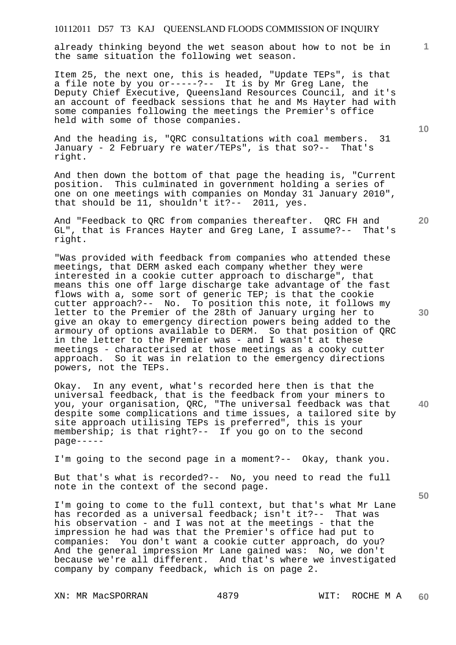already thinking beyond the wet season about how to not be in the same situation the following wet season.

Item 25, the next one, this is headed, "Update TEPs", is that a file note by you or-----?-- It is by Mr Greg Lane, the Deputy Chief Executive, Queensland Resources Council, and it's an account of feedback sessions that he and Ms Hayter had with some companies following the meetings the Premier's office held with some of those companies.

And the heading is, "QRC consultations with coal members. 31 January - 2 February re water/TEPs", is that so?-- That's right.

And then down the bottom of that page the heading is, "Current position. This culminated in government holding a series of one on one meetings with companies on Monday 31 January 2010", that should be 11, shouldn't it?-- 2011, yes.

And "Feedback to QRC from companies thereafter. QRC FH and GL", that is Frances Hayter and Greg Lane, I assume?-- That's right.

"Was provided with feedback from companies who attended these meetings, that DERM asked each company whether they were interested in a cookie cutter approach to discharge", that means this one off large discharge take advantage of the fast flows with a, some sort of generic TEP; is that the cookie cutter approach?-- No. To position this note, it follows my letter to the Premier of the 28th of January urging her to give an okay to emergency direction powers being added to the armoury of options available to DERM. So that position of QRC in the letter to the Premier was - and I wasn't at these meetings - characterised at those meetings as a cooky cutter approach. So it was in relation to the emergency directions powers, not the TEPs.

Okay. In any event, what's recorded here then is that the universal feedback, that is the feedback from your miners to you, your organisation, QRC, "The universal feedback was that despite some complications and time issues, a tailored site by site approach utilising TEPs is preferred", this is your membership; is that right?-- If you go on to the second page-----

I'm going to the second page in a moment?-- Okay, thank you.

But that's what is recorded?-- No, you need to read the full note in the context of the second page.

I'm going to come to the full context, but that's what Mr Lane has recorded as a universal feedback; isn't it?-- That was his observation - and I was not at the meetings - that the impression he had was that the Premier's office had put to companies: You don't want a cookie cutter approach, do you? And the general impression Mr Lane gained was: No, we don't because we're all different. And that's where we investigated company by company feedback, which is on page 2.

XN: MR MacSPORRAN 4879 WIT: ROCHE M A

**10** 

**1**

**30** 

**20** 

**40**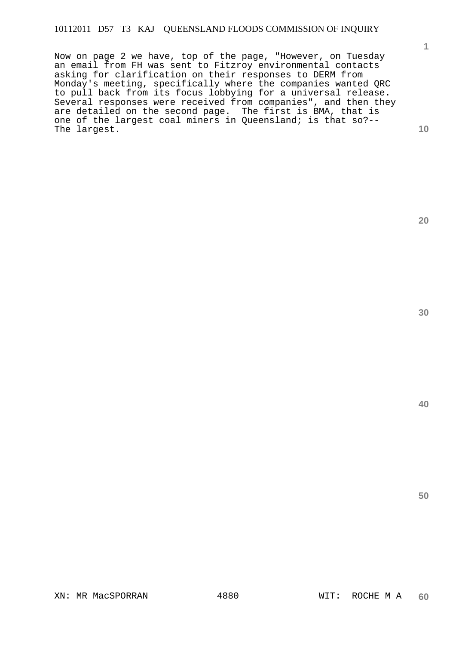Now on page 2 we have, top of the page, "However, on Tuesday an email from FH was sent to Fitzroy environmental contacts asking for clarification on their responses to DERM from Monday's meeting, specifically where the companies wanted QRC to pull back from its focus lobbying for a universal release. Several responses were received from companies", and then they are detailed on the second page. The first is BMA, that is one of the largest coal miners in Queensland; is that so?-- The largest.

**30** 

**20** 

**1**

**10**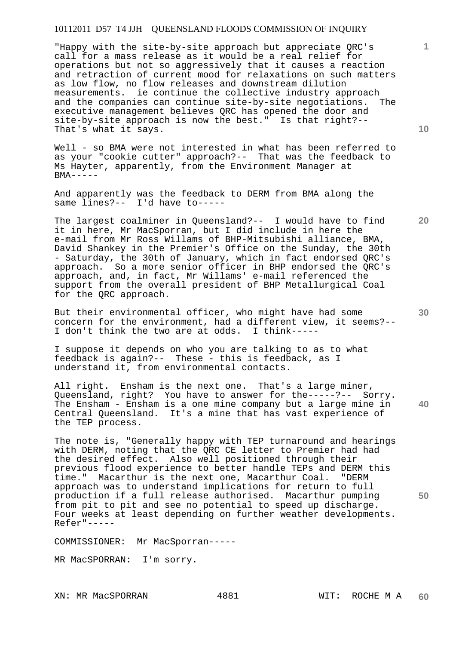"Happy with the site-by-site approach but appreciate QRC's call for a mass release as it would be a real relief for operations but not so aggressively that it causes a reaction and retraction of current mood for relaxations on such matters as low flow, no flow releases and downstream dilution measurements. ie continue the collective industry approach and the companies can continue site-by-site negotiations. The executive management believes QRC has opened the door and site-by-site approach is now the best." Is that right?-- That's what it says.

Well - so BMA were not interested in what has been referred to as your "cookie cutter" approach?-- That was the feedback to Ms Hayter, apparently, from the Environment Manager at  $BMA---$ 

And apparently was the feedback to DERM from BMA along the same lines?-- I'd have to-----

The largest coalminer in Queensland?-- I would have to find it in here, Mr MacSporran, but I did include in here the e-mail from Mr Ross Willams of BHP-Mitsubishi alliance, BMA, David Shankey in the Premier's Office on the Sunday, the 30th - Saturday, the 30th of January, which in fact endorsed QRC's approach. So a more senior officer in BHP endorsed the QRC's approach, and, in fact, Mr Willams' e-mail referenced the support from the overall president of BHP Metallurgical Coal for the QRC approach.

But their environmental officer, who might have had some concern for the environment, had a different view, it seems?-- I don't think the two are at odds. I think-----

I suppose it depends on who you are talking to as to what feedback is again?-- These - this is feedback, as I understand it, from environmental contacts.

**40**  All right. Ensham is the next one. That's a large miner, Queensland, right? You have to answer for the-----?-- Sorry. The Ensham - Ensham is a one mine company but a large mine in Central Queensland. It's a mine that has vast experience of the TEP process.

The note is, "Generally happy with TEP turnaround and hearings with DERM, noting that the QRC CE letter to Premier had had the desired effect. Also well positioned through their previous flood experience to better handle TEPs and DERM this time." Macarthur is the next one, Macarthur Coal. "DERM approach was to understand implications for return to full production if a full release authorised. Macarthur pumping from pit to pit and see no potential to speed up discharge. Four weeks at least depending on further weather developments. Refer"-----

COMMISSIONER: Mr MacSporran-----

MR MacSPORRAN: I'm sorry.

XN: MR MacSPORRAN 4881 WIT: ROCHE M A

**10** 

**1**

**30** 

**50**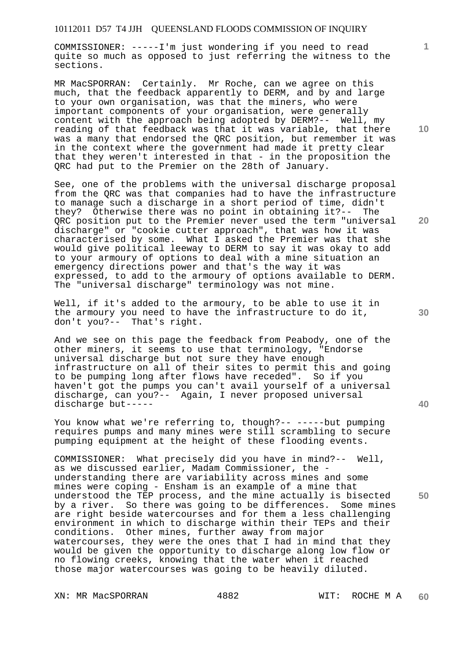COMMISSIONER: -----I'm just wondering if you need to read quite so much as opposed to just referring the witness to the sections.

MR MacSPORRAN: Certainly. Mr Roche, can we agree on this much, that the feedback apparently to DERM, and by and large to your own organisation, was that the miners, who were important components of your organisation, were generally content with the approach being adopted by DERM?-- Well, my reading of that feedback was that it was variable, that there was a many that endorsed the QRC position, but remember it was in the context where the government had made it pretty clear that they weren't interested in that - in the proposition the QRC had put to the Premier on the 28th of January.

See, one of the problems with the universal discharge proposal from the QRC was that companies had to have the infrastructure to manage such a discharge in a short period of time, didn't they? Otherwise there was no point in obtaining it?-- The ORC position put to the Premier never used the term "universal discharge" or "cookie cutter approach", that was how it was characterised by some. What I asked the Premier was that she would give political leeway to DERM to say it was okay to add to your armoury of options to deal with a mine situation an emergency directions power and that's the way it was expressed, to add to the armoury of options available to DERM. The "universal discharge" terminology was not mine.

Well, if it's added to the armoury, to be able to use it in the armoury you need to have the infrastructure to do it, don't you?-- That's right.

And we see on this page the feedback from Peabody, one of the other miners, it seems to use that terminology, "Endorse universal discharge but not sure they have enough infrastructure on all of their sites to permit this and going to be pumping long after flows have receded". So if you haven't got the pumps you can't avail yourself of a universal discharge, can you?-- Again, I never proposed universal discharge but-----

You know what we're referring to, though?-- -----but pumping requires pumps and many mines were still scrambling to secure pumping equipment at the height of these flooding events.

COMMISSIONER: What precisely did you have in mind?-- Well, as we discussed earlier, Madam Commissioner, the understanding there are variability across mines and some mines were coping - Ensham is an example of a mine that understood the TEP process, and the mine actually is bisected by a river. So there was going to be differences. Some mines are right beside watercourses and for them a less challenging environment in which to discharge within their TEPs and their conditions. Other mines, further away from major watercourses, they were the ones that I had in mind that they would be given the opportunity to discharge along low flow or no flowing creeks, knowing that the water when it reached those major watercourses was going to be heavily diluted.

XN: MR MacSPORRAN 4882 WIT: ROCHE M A

**10** 

**1**

**20** 

**30** 

**40**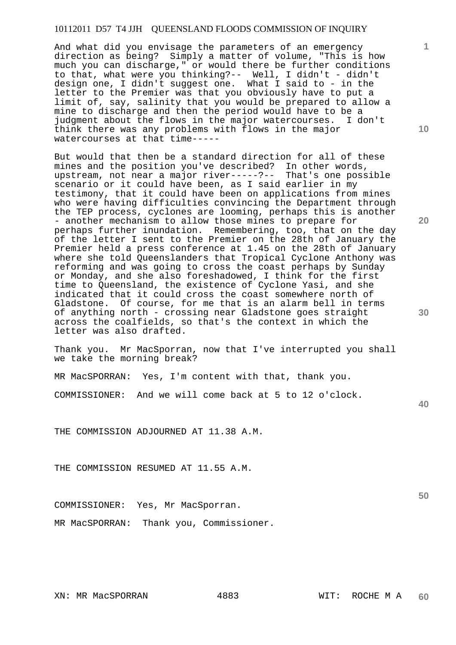And what did you envisage the parameters of an emergency direction as being? Simply a matter of volume, "This is how much you can discharge," or would there be further conditions to that, what were you thinking?-- Well, I didn't - didn't design one, I didn't suggest one. What I said to - in the letter to the Premier was that you obviously have to put a limit of, say, salinity that you would be prepared to allow a mine to discharge and then the period would have to be a judgment about the flows in the major watercourses. I don't think there was any problems with flows in the major watercourses at that time-----

But would that then be a standard direction for all of these mines and the position you've described? In other words, upstream, not near a major river-----?-- That's one possible scenario or it could have been, as I said earlier in my testimony, that it could have been on applications from mines who were having difficulties convincing the Department through the TEP process, cyclones are looming, perhaps this is another - another mechanism to allow those mines to prepare for perhaps further inundation. Remembering, too, that on the day of the letter I sent to the Premier on the 28th of January the Premier held a press conference at 1.45 on the 28th of January where she told Queenslanders that Tropical Cyclone Anthony was reforming and was going to cross the coast perhaps by Sunday or Monday, and she also foreshadowed, I think for the first time to Queensland, the existence of Cyclone Yasi, and she indicated that it could cross the coast somewhere north of Gladstone. Of course, for me that is an alarm bell in terms of anything north - crossing near Gladstone goes straight across the coalfields, so that's the context in which the letter was also drafted.

Thank you. Mr MacSporran, now that I've interrupted you shall we take the morning break?

MR MacSPORRAN: Yes, I'm content with that, thank you.

COMMISSIONER: And we will come back at 5 to 12 o'clock.

THE COMMISSION ADJOURNED AT 11.38 A.M.

THE COMMISSION RESUMED AT 11.55 A.M.

COMMISSIONER: Yes, Mr MacSporran.

MR MacSPORRAN: Thank you, Commissioner.

**1**

**30** 

**20** 

**50**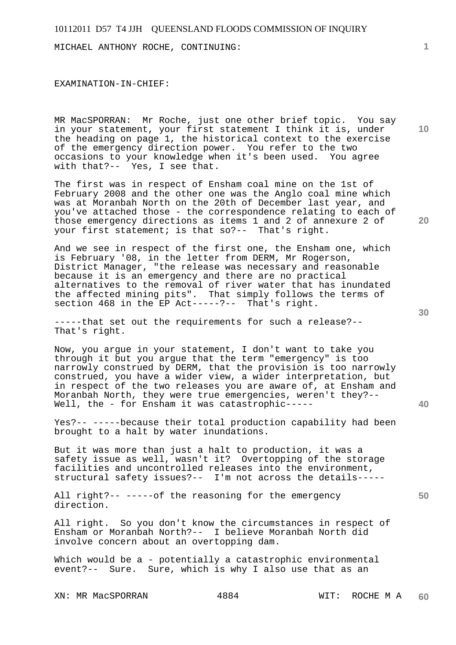MICHAEL ANTHONY ROCHE, CONTINUING:

EXAMINATION-IN-CHIEF:

MR MacSPORRAN: Mr Roche, just one other brief topic. You say in your statement, your first statement I think it is, under the heading on page 1, the historical context to the exercise of the emergency direction power. You refer to the two occasions to your knowledge when it's been used. You agree with that?-- Yes, I see that.

The first was in respect of Ensham coal mine on the 1st of February 2008 and the other one was the Anglo coal mine which was at Moranbah North on the 20th of December last year, and you've attached those - the correspondence relating to each of those emergency directions as items 1 and 2 of annexure 2 of your first statement; is that so?-- That's right.

And we see in respect of the first one, the Ensham one, which is February '08, in the letter from DERM, Mr Rogerson, District Manager, "the release was necessary and reasonable because it is an emergency and there are no practical alternatives to the removal of river water that has inundated the affected mining pits". That simply follows the terms of section 468 in the EP Act-----?-- That's right.

-----that set out the requirements for such a release?-- That's right.

Now, you argue in your statement, I don't want to take you through it but you argue that the term "emergency" is too narrowly construed by DERM, that the provision is too narrowly construed, you have a wider view, a wider interpretation, but in respect of the two releases you are aware of, at Ensham and Moranbah North, they were true emergencies, weren't they?-- Well, the - for Ensham it was catastrophic-----

Yes?-- -----because their total production capability had been brought to a halt by water inundations.

But it was more than just a halt to production, it was a safety issue as well, wasn't it? Overtopping of the storage facilities and uncontrolled releases into the environment, structural safety issues?-- I'm not across the details-----

All right?-- -----of the reasoning for the emergency direction.

All right. So you don't know the circumstances in respect of Ensham or Moranbah North?-- I believe Moranbah North did involve concern about an overtopping dam.

Which would be a - potentially a catastrophic environmental event?-- Sure. Sure, which is why I also use that as an

XN: MR MacSPORRAN 4884 WIT: ROCHE M A

**1**

**10** 

**20** 

**30** 

**40**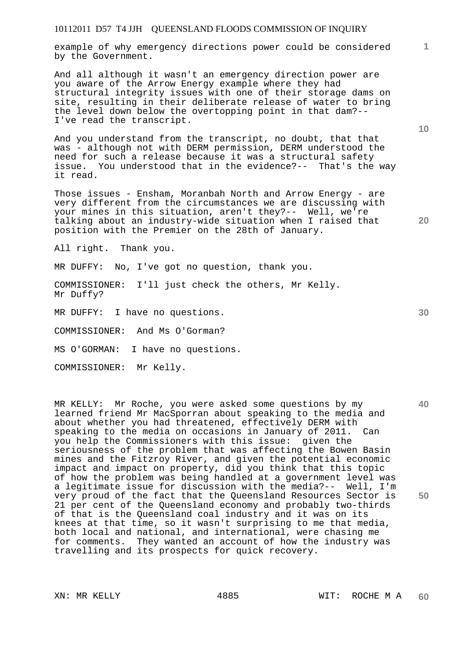example of why emergency directions power could be considered by the Government.

And all although it wasn't an emergency direction power are you aware of the Arrow Energy example where they had structural integrity issues with one of their storage dams on site, resulting in their deliberate release of water to bring the level down below the overtopping point in that dam?-- I've read the transcript.

And you understand from the transcript, no doubt, that that was - although not with DERM permission, DERM understood the need for such a release because it was a structural safety issue. You understood that in the evidence?-- That's the way it read.

Those issues - Ensham, Moranbah North and Arrow Energy - are very different from the circumstances we are discussing with your mines in this situation, aren't they?-- Well, we're talking about an industry-wide situation when I raised that position with the Premier on the 28th of January.

All right. Thank you.

MR DUFFY: No, I've got no question, thank you.

COMMISSIONER: I'll just check the others, Mr Kelly. Mr Duffy?

MR DUFFY: I have no questions.

COMMISSIONER: And Ms O'Gorman?

MS O'GORMAN: I have no questions.

COMMISSIONER: Mr Kelly.

MR KELLY: Mr Roche, you were asked some questions by my learned friend Mr MacSporran about speaking to the media and about whether you had threatened, effectively DERM with speaking to the media on occasions in January of 2011. Can you help the Commissioners with this issue: given the seriousness of the problem that was affecting the Bowen Basin mines and the Fitzroy River, and given the potential economic impact and impact on property, did you think that this topic of how the problem was being handled at a government level was a legitimate issue for discussion with the media?-- Well, I'm very proud of the fact that the Queensland Resources Sector is 21 per cent of the Queensland economy and probably two-thirds of that is the Queensland coal industry and it was on its knees at that time, so it wasn't surprising to me that media, both local and national, and international, were chasing me for comments. They wanted an account of how the industry was travelling and its prospects for quick recovery.

**10** 

**1**

**50**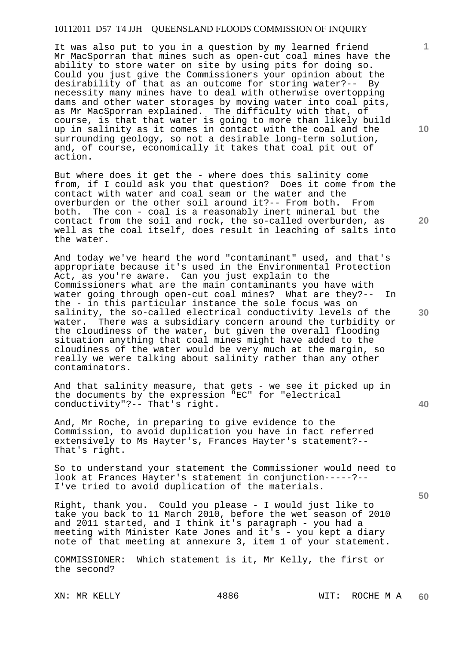It was also put to you in a question by my learned friend Mr MacSporran that mines such as open-cut coal mines have the ability to store water on site by using pits for doing so. Could you just give the Commissioners your opinion about the desirability of that as an outcome for storing water?-- By necessity many mines have to deal with otherwise overtopping dams and other water storages by moving water into coal pits, as Mr MacSporran explained. The difficulty with that, of course, is that that water is going to more than likely build up in salinity as it comes in contact with the coal and the surrounding geology, so not a desirable long-term solution, and, of course, economically it takes that coal pit out of action.

But where does it get the - where does this salinity come from, if I could ask you that question? Does it come from the contact with water and coal seam or the water and the overburden or the other soil around it?-- From both. From both. The con - coal is a reasonably inert mineral but the contact from the soil and rock, the so-called overburden, as well as the coal itself, does result in leaching of salts into the water.

And today we've heard the word "contaminant" used, and that's appropriate because it's used in the Environmental Protection Act, as you're aware. Can you just explain to the Commissioners what are the main contaminants you have with water going through open-cut coal mines? What are they?-- In the - in this particular instance the sole focus was on salinity, the so-called electrical conductivity levels of the water. There was a subsidiary concern around the turbidity or the cloudiness of the water, but given the overall flooding situation anything that coal mines might have added to the cloudiness of the water would be very much at the margin, so really we were talking about salinity rather than any other contaminators.

And that salinity measure, that gets - we see it picked up in the documents by the expression "EC" for "electrical conductivity"?-- That's right.

And, Mr Roche, in preparing to give evidence to the Commission, to avoid duplication you have in fact referred extensively to Ms Hayter's, Frances Hayter's statement?-- That's right.

So to understand your statement the Commissioner would need to look at Frances Hayter's statement in conjunction-----?-- I've tried to avoid duplication of the materials.

Right, thank you. Could you please - I would just like to take you back to 11 March 2010, before the wet season of 2010 and 2011 started, and I think it's paragraph - you had a meeting with Minister Kate Jones and it's - you kept a diary note of that meeting at annexure 3, item 1 of your statement.

COMMISSIONER: Which statement is it, Mr Kelly, the first or the second?

**10** 

**1**

**20** 

**30** 

**40**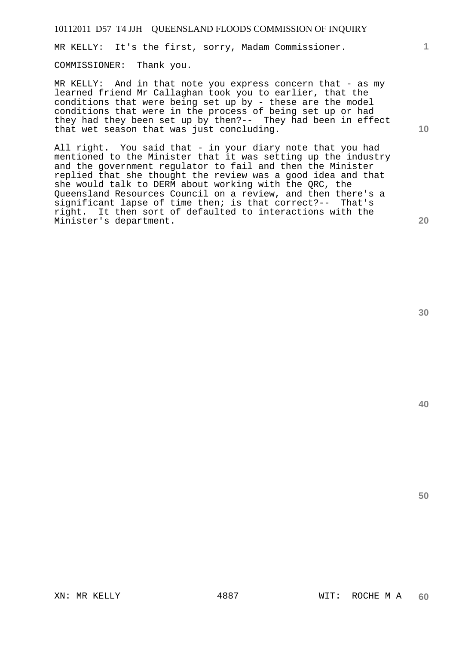MR KELLY: It's the first, sorry, Madam Commissioner.

COMMISSIONER: Thank you.

MR KELLY: And in that note you express concern that - as my learned friend Mr Callaghan took you to earlier, that the conditions that were being set up by - these are the model conditions that were in the process of being set up or had they had they been set up by then?-- They had been in effect that wet season that was just concluding.

All right. You said that - in your diary note that you had mentioned to the Minister that it was setting up the industry and the government regulator to fail and then the Minister replied that she thought the review was a good idea and that she would talk to DERM about working with the QRC, the Queensland Resources Council on a review, and then there's a significant lapse of time then; is that correct?-- That's right. It then sort of defaulted to interactions with the Minister's department.

**30** 

**50** 

**10**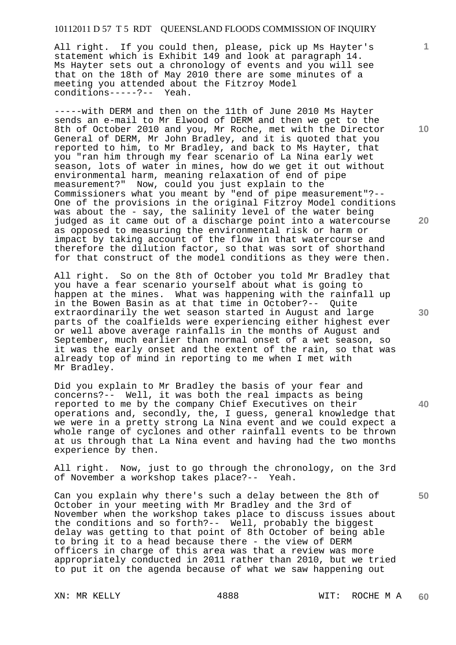All right. If you could then, please, pick up Ms Hayter's statement which is Exhibit 149 and look at paragraph 14. Ms Hayter sets out a chronology of events and you will see that on the 18th of May 2010 there are some minutes of a meeting you attended about the Fitzroy Model conditions-----?-- Yeah.

-----with DERM and then on the 11th of June 2010 Ms Hayter sends an e-mail to Mr Elwood of DERM and then we get to the 8th of October 2010 and you, Mr Roche, met with the Director General of DERM, Mr John Bradley, and it is quoted that you reported to him, to Mr Bradley, and back to Ms Hayter, that you "ran him through my fear scenario of La Nina early wet season, lots of water in mines, how do we get it out without environmental harm, meaning relaxation of end of pipe measurement?" Now, could you just explain to the Commissioners what you meant by "end of pipe measurement"?-- One of the provisions in the original Fitzroy Model conditions was about the - say, the salinity level of the water being judged as it came out of a discharge point into a watercourse as opposed to measuring the environmental risk or harm or impact by taking account of the flow in that watercourse and therefore the dilution factor, so that was sort of shorthand for that construct of the model conditions as they were then.

All right. So on the 8th of October you told Mr Bradley that you have a fear scenario yourself about what is going to happen at the mines. What was happening with the rainfall up in the Bowen Basin as at that time in October?-- Quite extraordinarily the wet season started in August and large parts of the coalfields were experiencing either highest ever or well above average rainfalls in the months of August and September, much earlier than normal onset of a wet season, so it was the early onset and the extent of the rain, so that was already top of mind in reporting to me when I met with Mr Bradley.

Did you explain to Mr Bradley the basis of your fear and concerns?-- Well, it was both the real impacts as being reported to me by the company Chief Executives on their operations and, secondly, the, I guess, general knowledge that we were in a pretty strong La Nina event and we could expect a whole range of cyclones and other rainfall events to be thrown at us through that La Nina event and having had the two months experience by then.

All right. Now, just to go through the chronology, on the 3rd of November a workshop takes place?-- Yeah.

Can you explain why there's such a delay between the 8th of October in your meeting with Mr Bradley and the 3rd of November when the workshop takes place to discuss issues about the conditions and so forth?-- Well, probably the biggest delay was getting to that point of 8th October of being able to bring it to a head because there - the view of DERM officers in charge of this area was that a review was more appropriately conducted in 2011 rather than 2010, but we tried to put it on the agenda because of what we saw happening out

**10** 

**1**

**20** 

**30** 

**40**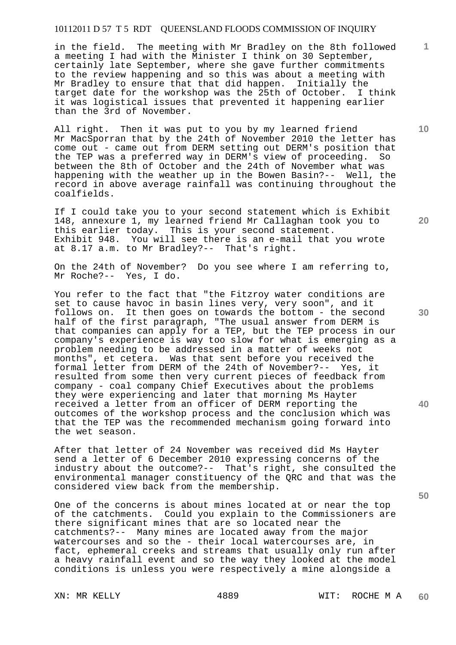in the field. The meeting with Mr Bradley on the 8th followed a meeting I had with the Minister I think on 30 September, certainly late September, where she gave further commitments to the review happening and so this was about a meeting with Mr Bradley to ensure that that did happen. Initially the target date for the workshop was the 25th of October. I think it was logistical issues that prevented it happening earlier than the 3rd of November.

All right. Then it was put to you by my learned friend Mr MacSporran that by the 24th of November 2010 the letter has come out - came out from DERM setting out DERM's position that the TEP was a preferred way in DERM's view of proceeding. So between the 8th of October and the 24th of November what was happening with the weather up in the Bowen Basin?-- Well, the record in above average rainfall was continuing throughout the coalfields.

If I could take you to your second statement which is Exhibit 148, annexure 1, my learned friend Mr Callaghan took you to this earlier today. This is your second statement. Exhibit 948. You will see there is an e-mail that you wrote at 8.17 a.m. to Mr Bradley?-- That's right.

On the 24th of November? Do you see where I am referring to, Mr Roche?-- Yes, I do.

You refer to the fact that "the Fitzroy water conditions are set to cause havoc in basin lines very, very soon", and it follows on. It then goes on towards the bottom - the second half of the first paragraph, "The usual answer from DERM is that companies can apply for a TEP, but the TEP process in our company's experience is way too slow for what is emerging as a problem needing to be addressed in a matter of weeks not months", et cetera. Was that sent before you received the formal letter from DERM of the 24th of November?-- Yes, it resulted from some then very current pieces of feedback from company - coal company Chief Executives about the problems they were experiencing and later that morning Ms Hayter received a letter from an officer of DERM reporting the outcomes of the workshop process and the conclusion which was that the TEP was the recommended mechanism going forward into the wet season.

After that letter of 24 November was received did Ms Hayter send a letter of 6 December 2010 expressing concerns of the industry about the outcome?-- That's right, she consulted the environmental manager constituency of the QRC and that was the considered view back from the membership.

One of the concerns is about mines located at or near the top of the catchments. Could you explain to the Commissioners are there significant mines that are so located near the catchments?-- Many mines are located away from the major watercourses and so the - their local watercourses are, in fact, ephemeral creeks and streams that usually only run after a heavy rainfall event and so the way they looked at the model conditions is unless you were respectively a mine alongside a

**20** 

**40** 

**50** 

**30** 

**10**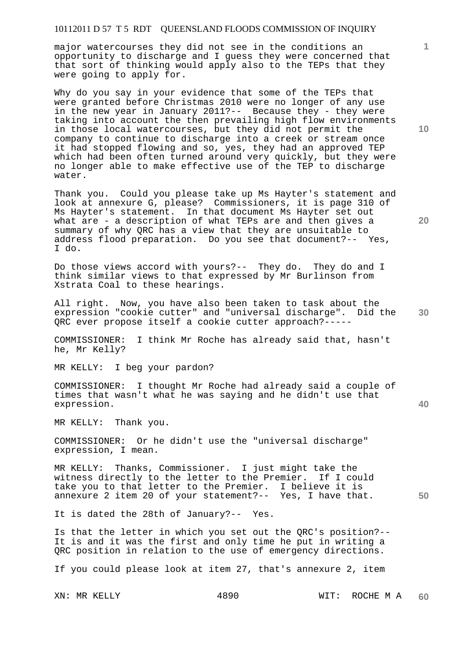major watercourses they did not see in the conditions an opportunity to discharge and I guess they were concerned that that sort of thinking would apply also to the TEPs that they were going to apply for.

Why do you say in your evidence that some of the TEPs that were granted before Christmas 2010 were no longer of any use in the new year in January 2011?-- Because they - they were taking into account the then prevailing high flow environments in those local watercourses, but they did not permit the company to continue to discharge into a creek or stream once it had stopped flowing and so, yes, they had an approved TEP which had been often turned around very quickly, but they were no longer able to make effective use of the TEP to discharge water.

Thank you. Could you please take up Ms Hayter's statement and look at annexure G, please? Commissioners, it is page 310 of Ms Hayter's statement. In that document Ms Hayter set out what are - a description of what TEPs are and then gives a summary of why QRC has a view that they are unsuitable to address flood preparation. Do you see that document?-- Yes, I do.

Do those views accord with yours?-- They do. They do and I think similar views to that expressed by Mr Burlinson from Xstrata Coal to these hearings.

**30**  All right. Now, you have also been taken to task about the expression "cookie cutter" and "universal discharge". Did the QRC ever propose itself a cookie cutter approach?-----

COMMISSIONER: I think Mr Roche has already said that, hasn't he, Mr Kelly?

MR KELLY: I beg your pardon?

COMMISSIONER: I thought Mr Roche had already said a couple of times that wasn't what he was saying and he didn't use that expression.

MR KELLY: Thank you.

COMMISSIONER: Or he didn't use the "universal discharge" expression, I mean.

MR KELLY: Thanks, Commissioner. I just might take the witness directly to the letter to the Premier. If I could take you to that letter to the Premier. I believe it is annexure 2 item 20 of your statement?-- Yes, I have that.

It is dated the 28th of January?-- Yes.

Is that the letter in which you set out the QRC's position?-- It is and it was the first and only time he put in writing a QRC position in relation to the use of emergency directions.

If you could please look at item 27, that's annexure 2, item

**10** 

**1**

**20** 

**40**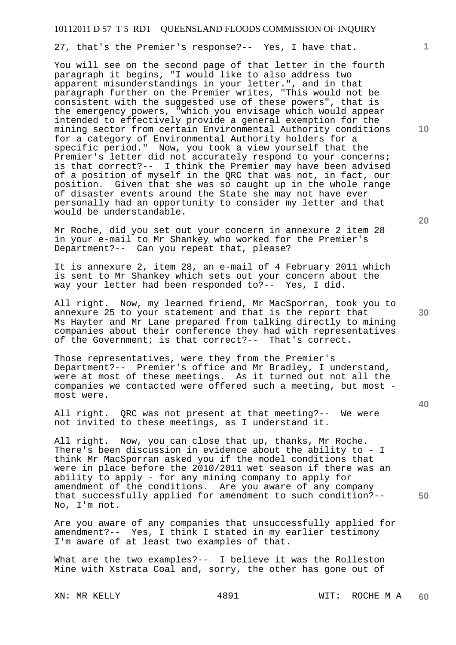27, that's the Premier's response?-- Yes, I have that.

You will see on the second page of that letter in the fourth paragraph it begins, "I would like to also address two apparent misunderstandings in your letter.", and in that paragraph further on the Premier writes, "This would not be consistent with the suggested use of these powers", that is the emergency powers, "which you envisage which would appear intended to effectively provide a general exemption for the mining sector from certain Environmental Authority conditions for a category of Environmental Authority holders for a specific period." Now, you took a view yourself that the Premier's letter did not accurately respond to your concerns; is that correct?-- I think the Premier may have been advised of a position of myself in the QRC that was not, in fact, our position. Given that she was so caught up in the whole range of disaster events around the State she may not have ever personally had an opportunity to consider my letter and that would be understandable.

Mr Roche, did you set out your concern in annexure 2 item 28 in your e-mail to Mr Shankey who worked for the Premier's Department?-- Can you repeat that, please?

It is annexure 2, item 28, an e-mail of 4 February 2011 which is sent to Mr Shankey which sets out your concern about the way your letter had been responded to?-- Yes, I did.

All right. Now, my learned friend, Mr MacSporran, took you to annexure 25 to your statement and that is the report that Ms Hayter and Mr Lane prepared from talking directly to mining companies about their conference they had with representatives of the Government; is that correct?-- That's correct.

Those representatives, were they from the Premier's Department?-- Premier's office and Mr Bradley, I understand, were at most of these meetings. As it turned out not all the companies we contacted were offered such a meeting, but most most were.

All right. QRC was not present at that meeting?-- We were not invited to these meetings, as I understand it.

All right. Now, you can close that up, thanks, Mr Roche. There's been discussion in evidence about the ability to - I think Mr MacSporran asked you if the model conditions that were in place before the 2010/2011 wet season if there was an ability to apply - for any mining company to apply for amendment of the conditions. Are you aware of any company that successfully applied for amendment to such condition?-- No, I'm not.

Are you aware of any companies that unsuccessfully applied for amendment?-- Yes, I think I stated in my earlier testimony I'm aware of at least two examples of that.

What are the two examples?-- I believe it was the Rolleston Mine with Xstrata Coal and, sorry, the other has gone out of

XN: MR KELLY 4891 WIT: ROCHE M A **60** 

**10** 

**1**

**20** 

**30** 

**40**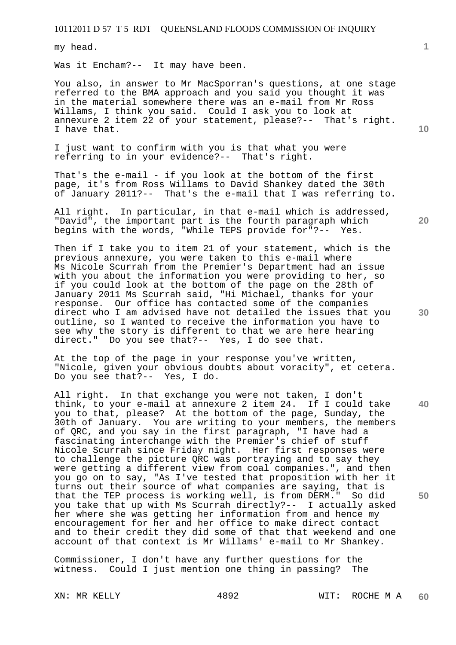my head.

Was it Encham?-- It may have been.

You also, in answer to Mr MacSporran's questions, at one stage referred to the BMA approach and you said you thought it was in the material somewhere there was an e-mail from Mr Ross Willams, I think you said. Could I ask you to look at annexure 2 item 22 of your statement, please?-- That's right. I have that.

I just want to confirm with you is that what you were referring to in your evidence?-- That's right.

That's the e-mail - if you look at the bottom of the first page, it's from Ross Willams to David Shankey dated the 30th of January 2011?-- That's the e-mail that I was referring to.

All right. In particular, in that e-mail which is addressed, "David", the important part is the fourth paragraph which<br>begins with the words, "While TEPS provide for"?-- Yes. begins with the words, "While TEPS provide for"?--

Then if I take you to item 21 of your statement, which is the previous annexure, you were taken to this e-mail where Ms Nicole Scurrah from the Premier's Department had an issue with you about the information you were providing to her, so if you could look at the bottom of the page on the 28th of January 2011 Ms Scurrah said, "Hi Michael, thanks for your response. Our office has contacted some of the companies direct who I am advised have not detailed the issues that you outline, so I wanted to receive the information you have to see why the story is different to that we are here hearing direct." Do you see that?-- Yes, I do see that.

At the top of the page in your response you've written, "Nicole, given your obvious doubts about voracity", et cetera. Do you see that?-- Yes, I do.

All right. In that exchange you were not taken, I don't think, to your e-mail at annexure 2 item 24. If I could take you to that, please? At the bottom of the page, Sunday, the 30th of January. You are writing to your members, the members of QRC, and you say in the first paragraph, "I have had a fascinating interchange with the Premier's chief of stuff Nicole Scurrah since Friday night. Her first responses were to challenge the picture QRC was portraying and to say they were getting a different view from coal companies.", and then you go on to say, "As I've tested that proposition with her it turns out their source of what companies are saying, that is that the TEP process is working well, is from DERM." So did you take that up with Ms Scurrah directly?-- I actually asked her where she was getting her information from and hence my encouragement for her and her office to make direct contact and to their credit they did some of that that weekend and one account of that context is Mr Willams' e-mail to Mr Shankey.

Commissioner, I don't have any further questions for the witness. Could I just mention one thing in passing? The

**1**

**20** 

**10** 

**30** 

**50**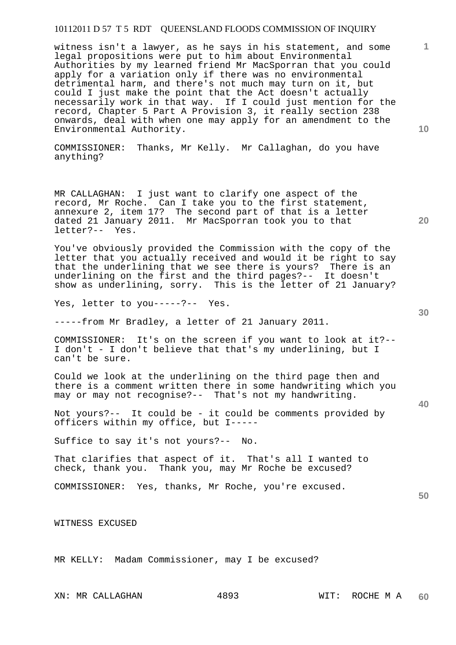witness isn't a lawyer, as he says in his statement, and some legal propositions were put to him about Environmental Authorities by my learned friend Mr MacSporran that you could apply for a variation only if there was no environmental detrimental harm, and there's not much may turn on it, but could I just make the point that the Act doesn't actually necessarily work in that way. If I could just mention for the record, Chapter 5 Part A Provision 3, it really section 238 onwards, deal with when one may apply for an amendment to the Environmental Authority.

COMMISSIONER: Thanks, Mr Kelly. Mr Callaghan, do you have anything?

MR CALLAGHAN: I just want to clarify one aspect of the record, Mr Roche. Can I take you to the first statement, annexure 2, item 17? The second part of that is a letter dated 21 January 2011. Mr MacSporran took you to that letter?-- Yes.

You've obviously provided the Commission with the copy of the letter that you actually received and would it be right to say that the underlining that we see there is yours? There is an underlining on the first and the third pages?-- It doesn't show as underlining, sorry. This is the letter of 21 January?

Yes, letter to you ----- ?-- Yes.

-----from Mr Bradley, a letter of 21 January 2011.

COMMISSIONER: It's on the screen if you want to look at it?-- I don't - I don't believe that that's my underlining, but I can't be sure.

Could we look at the underlining on the third page then and there is a comment written there in some handwriting which you may or may not recognise?-- That's not my handwriting.

Not yours?-- It could be - it could be comments provided by officers within my office, but I-----

Suffice to say it's not yours?-- No.

That clarifies that aspect of it. That's all I wanted to check, thank you. Thank you, may Mr Roche be excused?

COMMISSIONER: Yes, thanks, Mr Roche, you're excused.

WITNESS EXCUSED

MR KELLY: Madam Commissioner, may I be excused?

**40** 

**50** 

**20** 

**10**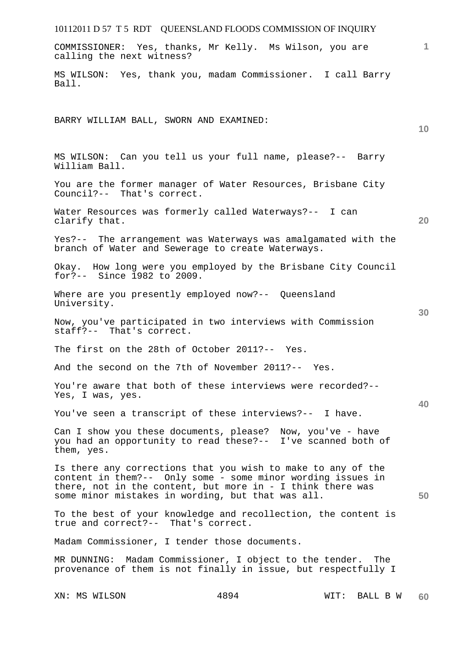| 10112011 D 57 T 5 RDT QUEENSLAND FLOODS COMMISSION OF INQUIRY                                                                                                                                                                                        |
|------------------------------------------------------------------------------------------------------------------------------------------------------------------------------------------------------------------------------------------------------|
| $\mathbf{1}$<br>COMMISSIONER: Yes, thanks, Mr Kelly. Ms Wilson, you are<br>calling the next witness?                                                                                                                                                 |
| MS WILSON: Yes, thank you, madam Commissioner. I call Barry<br>Ball.                                                                                                                                                                                 |
| BARRY WILLIAM BALL, SWORN AND EXAMINED:<br>10                                                                                                                                                                                                        |
| MS WILSON: Can you tell us your full name, please?-- Barry<br>William Ball.                                                                                                                                                                          |
| You are the former manager of Water Resources, Brisbane City<br>Council?-- That's correct.                                                                                                                                                           |
| Water Resources was formerly called Waterways?-- I can<br>20<br>clarify that.                                                                                                                                                                        |
| Yes?-- The arrangement was Waterways was amalgamated with the<br>branch of Water and Sewerage to create Waterways.                                                                                                                                   |
| Okay. How long were you employed by the Brisbane City Council<br>for ?-- Since 1982 to 2009.                                                                                                                                                         |
| Where are you presently employed now?-- Queensland<br>University.<br>30                                                                                                                                                                              |
| Now, you've participated in two interviews with Commission<br>staff?-- That's correct.                                                                                                                                                               |
| The first on the 28th of October 2011?-- Yes.                                                                                                                                                                                                        |
| And the second on the 7th of November 2011?-- Yes.                                                                                                                                                                                                   |
| You're aware that both of these interviews were recorded?--<br>Yes, I was, yes.<br>40                                                                                                                                                                |
| You've seen a transcript of these interviews?-- I have.                                                                                                                                                                                              |
| Can I show you these documents, please? Now, you've - have<br>you had an opportunity to read these?-- I've scanned both of<br>them, yes.                                                                                                             |
| Is there any corrections that you wish to make to any of the<br>content in them?-- Only some - some minor wording issues in<br>there, not in the content, but more in - I think there was<br>some minor mistakes in wording, but that was all.<br>50 |
| To the best of your knowledge and recollection, the content is<br>true and correct?-- That's correct.                                                                                                                                                |
| Madam Commissioner, I tender those documents.                                                                                                                                                                                                        |
| MR DUNNING: Madam Commissioner, I object to the tender. The<br>provenance of them is not finally in issue, but respectfully I                                                                                                                        |

XN: MS WILSON 4894 WIT: BALL B W **60**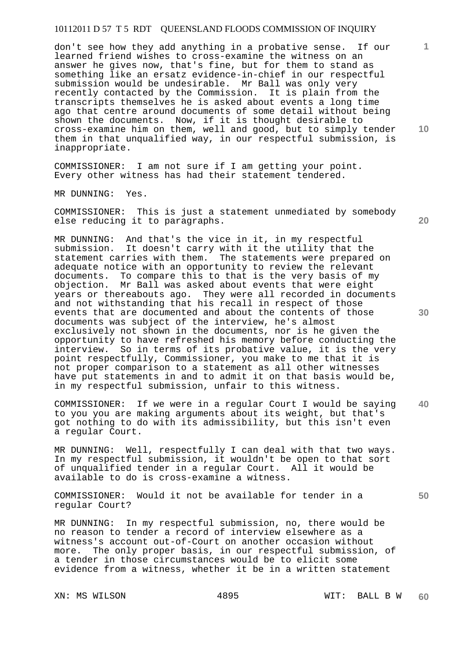don't see how they add anything in a probative sense. If our learned friend wishes to cross-examine the witness on an answer he gives now, that's fine, but for them to stand as something like an ersatz evidence-in-chief in our respectful submission would be undesirable. Mr Ball was only very recently contacted by the Commission. It is plain from the transcripts themselves he is asked about events a long time ago that centre around documents of some detail without being shown the documents. Now, if it is thought desirable to cross-examine him on them, well and good, but to simply tender them in that unqualified way, in our respectful submission, is inappropriate.

COMMISSIONER: I am not sure if I am getting your point. Every other witness has had their statement tendered.

MR DUNNING: Yes.

COMMISSIONER: This is just a statement unmediated by somebody else reducing it to paragraphs.

MR DUNNING: And that's the vice in it, in my respectful submission. It doesn't carry with it the utility that the statement carries with them. The statements were prepared on adequate notice with an opportunity to review the relevant documents. To compare this to that is the very basis of my objection. Mr Ball was asked about events that were eight years or thereabouts ago. They were all recorded in documents and not withstanding that his recall in respect of those events that are documented and about the contents of those documents was subject of the interview, he's almost exclusively not shown in the documents, nor is he given the opportunity to have refreshed his memory before conducting the interview. So in terms of its probative value, it is the very point respectfully, Commissioner, you make to me that it is not proper comparison to a statement as all other witnesses have put statements in and to admit it on that basis would be, in my respectful submission, unfair to this witness.

**40**  COMMISSIONER: If we were in a regular Court I would be saying to you you are making arguments about its weight, but that's got nothing to do with its admissibility, but this isn't even a regular Court.

MR DUNNING: Well, respectfully I can deal with that two ways. In my respectful submission, it wouldn't be open to that sort of unqualified tender in a regular Court. All it would be available to do is cross-examine a witness.

COMMISSIONER: Would it not be available for tender in a regular Court?

MR DUNNING: In my respectful submission, no, there would be no reason to tender a record of interview elsewhere as a witness's account out-of-Court on another occasion without more. The only proper basis, in our respectful submission, of a tender in those circumstances would be to elicit some evidence from a witness, whether it be in a written statement

**10** 

**1**

**20** 

**30**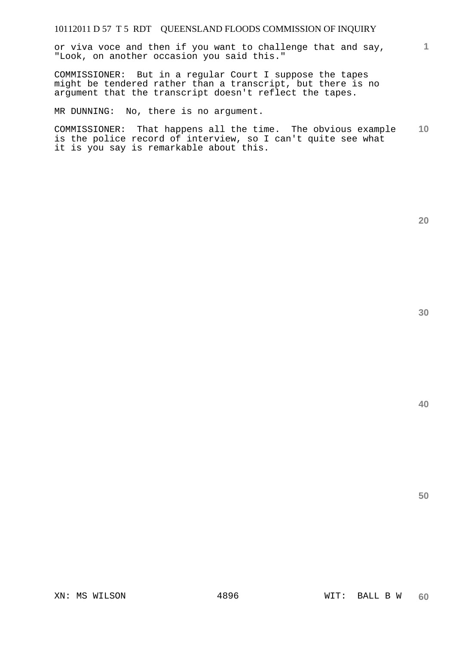or viva voce and then if you want to challenge that and say, "Look, on another occasion you said this."

COMMISSIONER: But in a regular Court I suppose the tapes might be tendered rather than a transcript, but there is no argument that the transcript doesn't reflect the tapes.

MR DUNNING: No, there is no argument.

**10**  COMMISSIONER: That happens all the time. The obvious example is the police record of interview, so I can't quite see what it is you say is remarkable about this.

**40** 

**50** 

**20**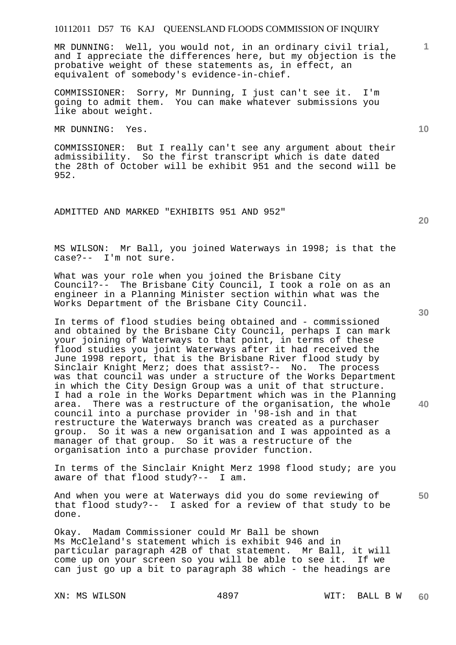MR DUNNING: Well, you would not, in an ordinary civil trial, and I appreciate the differences here, but my objection is the probative weight of these statements as, in effect, an equivalent of somebody's evidence-in-chief.

COMMISSIONER: Sorry, Mr Dunning, I just can't see it. I'm going to admit them. You can make whatever submissions you like about weight.

MR DUNNING: Yes.

COMMISSIONER: But I really can't see any argument about their admissibility. So the first transcript which is date dated the 28th of October will be exhibit 951 and the second will be 952.

ADMITTED AND MARKED "EXHIBITS 951 AND 952"

MS WILSON: Mr Ball, you joined Waterways in 1998; is that the case?-- I'm not sure.

What was your role when you joined the Brisbane City Council?-- The Brisbane City Council, I took a role on as an engineer in a Planning Minister section within what was the Works Department of the Brisbane City Council.

In terms of flood studies being obtained and - commissioned and obtained by the Brisbane City Council, perhaps I can mark your joining of Waterways to that point, in terms of these flood studies you joint Waterways after it had received the June 1998 report, that is the Brisbane River flood study by Sinclair Knight Merz; does that assist?-- No. The process was that council was under a structure of the Works Department in which the City Design Group was a unit of that structure. I had a role in the Works Department which was in the Planning<br>area. There was a restructure of the organisation, the whole There was a restructure of the organisation, the whole council into a purchase provider in '98-ish and in that restructure the Waterways branch was created as a purchaser group. So it was a new organisation and I was appointed as a manager of that group. So it was a restructure of the organisation into a purchase provider function.

In terms of the Sinclair Knight Merz 1998 flood study; are you aware of that flood study?-- I am.

**50**  And when you were at Waterways did you do some reviewing of that flood study?-- I asked for a review of that study to be done.

Okay. Madam Commissioner could Mr Ball be shown Ms McCleland's statement which is exhibit 946 and in particular paragraph 42B of that statement. Mr Ball, it will come up on your screen so you will be able to see it. can just go up a bit to paragraph 38 which - the headings are

**20** 

**10** 

**1**

**30**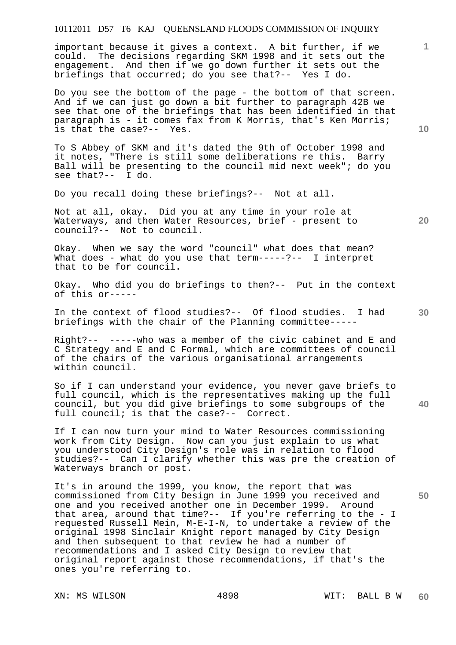important because it gives a context. A bit further, if we could. The decisions regarding SKM 1998 and it sets out the engagement. And then if we go down further it sets out the briefings that occurred; do you see that?-- Yes I do.

Do you see the bottom of the page - the bottom of that screen. And if we can just go down a bit further to paragraph 42B we see that one of the briefings that has been identified in that paragraph is - it comes fax from K Morris, that's Ken Morris; is that the case?-- Yes.

To S Abbey of SKM and it's dated the 9th of October 1998 and it notes, "There is still some deliberations re this. Barry Ball will be presenting to the council mid next week"; do you see that?-- I do.

Do you recall doing these briefings?-- Not at all.

Not at all, okay. Did you at any time in your role at Waterways, and then Water Resources, brief - present to council?-- Not to council.

Okay. When we say the word "council" what does that mean? What does - what do you use that  $term---?--$  I interpret that to be for council.

Okay. Who did you do briefings to then?-- Put in the context of this or-----

In the context of flood studies?-- Of flood studies. I had briefings with the chair of the Planning committee-----

Right?-- -----who was a member of the civic cabinet and E and C Strategy and E and C Formal, which are committees of council of the chairs of the various organisational arrangements within council.

So if I can understand your evidence, you never gave briefs to full council, which is the representatives making up the full council, but you did give briefings to some subgroups of the full council; is that the case?-- Correct.

If I can now turn your mind to Water Resources commissioning work from City Design. Now can you just explain to us what you understood City Design's role was in relation to flood studies?-- Can I clarify whether this was pre the creation of Waterways branch or post.

It's in around the 1999, you know, the report that was commissioned from City Design in June 1999 you received and one and you received another one in December 1999. Around that area, around that time?-- If you're referring to the - I requested Russell Mein, M-E-I-N, to undertake a review of the original 1998 Sinclair Knight report managed by City Design and then subsequent to that review he had a number of recommendations and I asked City Design to review that original report against those recommendations, if that's the ones you're referring to.

**10** 

**1**

**20** 

**40**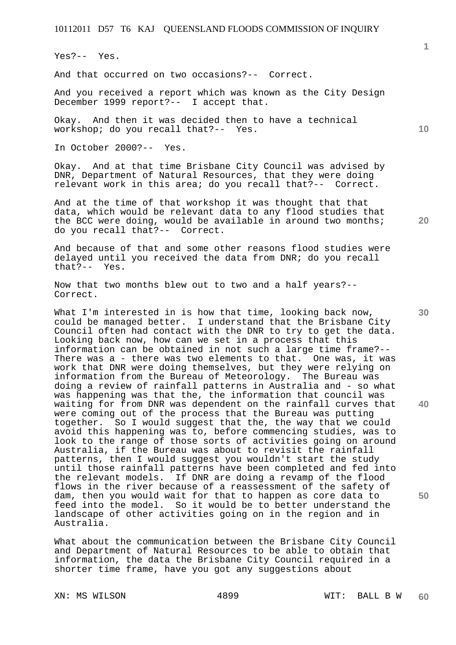Yes?-- Yes.

And that occurred on two occasions?-- Correct.

And you received a report which was known as the City Design December 1999 report?-- I accept that.

Okay. And then it was decided then to have a technical workshop; do you recall that?-- Yes.

In October 2000?-- Yes.

Okay. And at that time Brisbane City Council was advised by DNR, Department of Natural Resources, that they were doing relevant work in this area; do you recall that?-- Correct.

And at the time of that workshop it was thought that that data, which would be relevant data to any flood studies that the BCC were doing, would be available in around two months; do you recall that?-- Correct.

And because of that and some other reasons flood studies were delayed until you received the data from DNR; do you recall that?-- Yes.

Now that two months blew out to two and a half years?-- Correct.

What I'm interested in is how that time, looking back now, could be managed better. I understand that the Brisbane City Council often had contact with the DNR to try to get the data. Looking back now, how can we set in a process that this information can be obtained in not such a large time frame?-- There was a - there was two elements to that. One was, it was work that DNR were doing themselves, but they were relying on information from the Bureau of Meteorology. The Bureau was doing a review of rainfall patterns in Australia and - so what was happening was that the, the information that council was waiting for from DNR was dependent on the rainfall curves that were coming out of the process that the Bureau was putting together. So I would suggest that the, the way that we could avoid this happening was to, before commencing studies, was to look to the range of those sorts of activities going on around Australia, if the Bureau was about to revisit the rainfall patterns, then I would suggest you wouldn't start the study until those rainfall patterns have been completed and fed into the relevant models. If DNR are doing a revamp of the flood flows in the river because of a reassessment of the safety of dam, then you would wait for that to happen as core data to feed into the model. So it would be to better understand the landscape of other activities going on in the region and in Australia.

What about the communication between the Brisbane City Council and Department of Natural Resources to be able to obtain that information, the data the Brisbane City Council required in a shorter time frame, have you got any suggestions about

**1**

**10** 

**30** 

**40** 

**50**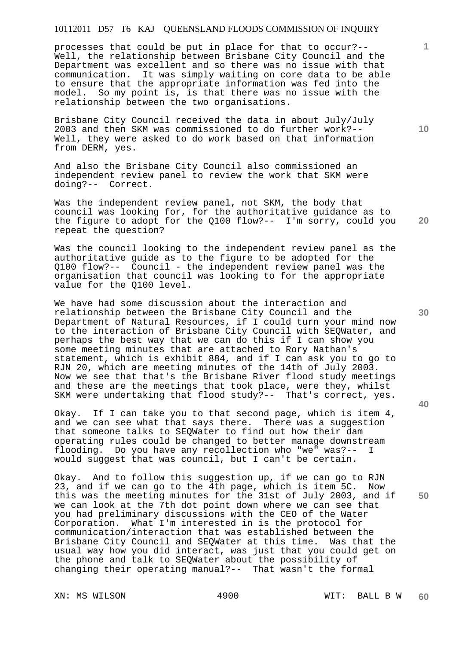processes that could be put in place for that to occur?-- Well, the relationship between Brisbane City Council and the Department was excellent and so there was no issue with that communication. It was simply waiting on core data to be able to ensure that the appropriate information was fed into the model. So my point is, is that there was no issue with the relationship between the two organisations.

Brisbane City Council received the data in about July/July 2003 and then SKM was commissioned to do further work?-- Well, they were asked to do work based on that information from DERM, yes.

And also the Brisbane City Council also commissioned an independent review panel to review the work that SKM were doing?-- Correct.

**20**  Was the independent review panel, not SKM, the body that council was looking for, for the authoritative guidance as to the figure to adopt for the Q100 flow?-- I'm sorry, could you repeat the question?

Was the council looking to the independent review panel as the authoritative guide as to the figure to be adopted for the Q100 flow?-- Council - the independent review panel was the organisation that council was looking to for the appropriate value for the Q100 level.

We have had some discussion about the interaction and relationship between the Brisbane City Council and the Department of Natural Resources, if I could turn your mind now to the interaction of Brisbane City Council with SEQWater, and perhaps the best way that we can do this if I can show you some meeting minutes that are attached to Rory Nathan's statement, which is exhibit 884, and if I can ask you to go to RJN 20, which are meeting minutes of the 14th of July 2003. Now we see that that's the Brisbane River flood study meetings and these are the meetings that took place, were they, whilst SKM were undertaking that flood study?-- That's correct, yes.

Okay. If I can take you to that second page, which is item 4, and we can see what that says there. There was a suggestion that someone talks to SEQWater to find out how their dam operating rules could be changed to better manage downstream flooding. Do you have any recollection who "we" was?-- I would suggest that was council, but I can't be certain.

Okay. And to follow this suggestion up, if we can go to RJN 23, and if we can go to the 4th page, which is item 5C. Now this was the meeting minutes for the 31st of July 2003, and if we can look at the 7th dot point down where we can see that you had preliminary discussions with the CEO of the Water Corporation. What I'm interested in is the protocol for communication/interaction that was established between the Brisbane City Council and SEQWater at this time. Was that the usual way how you did interact, was just that you could get on the phone and talk to SEQWater about the possibility of changing their operating manual?-- That wasn't the formal

**10** 

**1**

**30** 

**40**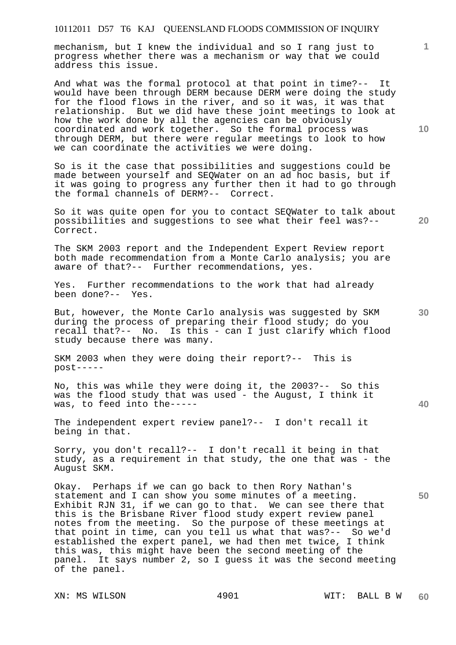mechanism, but I knew the individual and so I rang just to progress whether there was a mechanism or way that we could address this issue.

And what was the formal protocol at that point in time?-- It would have been through DERM because DERM were doing the study for the flood flows in the river, and so it was, it was that relationship. But we did have these joint meetings to look at how the work done by all the agencies can be obviously coordinated and work together. So the formal process was through DERM, but there were regular meetings to look to how we can coordinate the activities we were doing.

So is it the case that possibilities and suggestions could be made between yourself and SEQWater on an ad hoc basis, but if it was going to progress any further then it had to go through the formal channels of DERM?-- Correct.

So it was quite open for you to contact SEQWater to talk about possibilities and suggestions to see what their feel was?-- Correct.

The SKM 2003 report and the Independent Expert Review report both made recommendation from a Monte Carlo analysis; you are aware of that?-- Further recommendations, yes.

Yes. Further recommendations to the work that had already been done?-- Yes.

But, however, the Monte Carlo analysis was suggested by SKM during the process of preparing their flood study; do you recall that?-- No. Is this - can I just clarify which flood study because there was many.

SKM 2003 when they were doing their report?-- This is post-----

No, this was while they were doing it, the 2003?-- So this was the flood study that was used - the August, I think it was, to feed into the-----

The independent expert review panel?-- I don't recall it being in that.

Sorry, you don't recall?-- I don't recall it being in that study, as a requirement in that study, the one that was - the August SKM.

Okay. Perhaps if we can go back to then Rory Nathan's statement and I can show you some minutes of a meeting. Exhibit RJN 31, if we can go to that. We can see there that this is the Brisbane River flood study expert review panel notes from the meeting. So the purpose of these meetings at that point in time, can you tell us what that was?-- So we'd established the expert panel, we had then met twice, I think this was, this might have been the second meeting of the panel. It says number 2, so I guess it was the second meeting of the panel.

**10** 

**1**

**20** 

**40**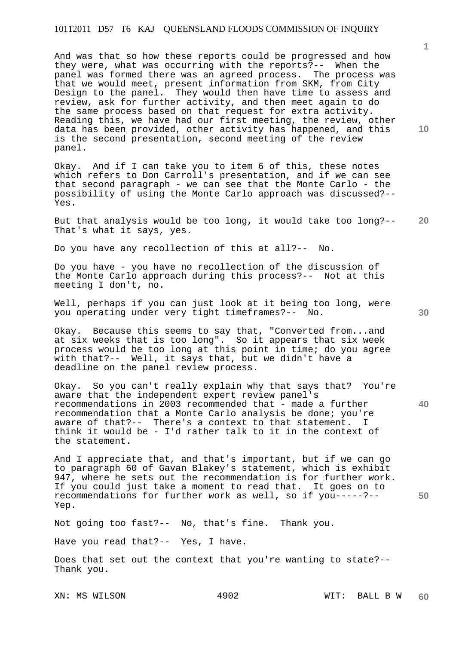And was that so how these reports could be progressed and how they were, what was occurring with the reports?-- When the panel was formed there was an agreed process. The process was that we would meet, present information from SKM, from City Design to the panel. They would then have time to assess and review, ask for further activity, and then meet again to do the same process based on that request for extra activity. Reading this, we have had our first meeting, the review, other data has been provided, other activity has happened, and this is the second presentation, second meeting of the review panel.

Okay. And if I can take you to item 6 of this, these notes which refers to Don Carroll's presentation, and if we can see that second paragraph - we can see that the Monte Carlo - the possibility of using the Monte Carlo approach was discussed?-- Yes.

**20**  But that analysis would be too long, it would take too long?-- That's what it says, yes.

Do you have any recollection of this at all?-- No.

Do you have - you have no recollection of the discussion of the Monte Carlo approach during this process?-- Not at this meeting I don't, no.

Well, perhaps if you can just look at it being too long, were you operating under very tight timeframes?-- No.

Okay. Because this seems to say that, "Converted from...and at six weeks that is too long". So it appears that six week process would be too long at this point in time; do you agree with that?-- Well, it says that, but we didn't have a deadline on the panel review process.

Okay. So you can't really explain why that says that? You're aware that the independent expert review panel's recommendations in 2003 recommended that - made a further recommendation that a Monte Carlo analysis be done; you're aware of that?-- There's a context to that statement. I think it would be - I'd rather talk to it in the context of the statement.

And I appreciate that, and that's important, but if we can go to paragraph 60 of Gavan Blakey's statement, which is exhibit 947, where he sets out the recommendation is for further work. If you could just take a moment to read that. It goes on to recommendations for further work as well, so if you-----?-- Yep.

Not going too fast?-- No, that's fine. Thank you.

Have you read that?-- Yes, I have.

Does that set out the context that you're wanting to state?-- Thank you.

**10** 

**30** 

**40**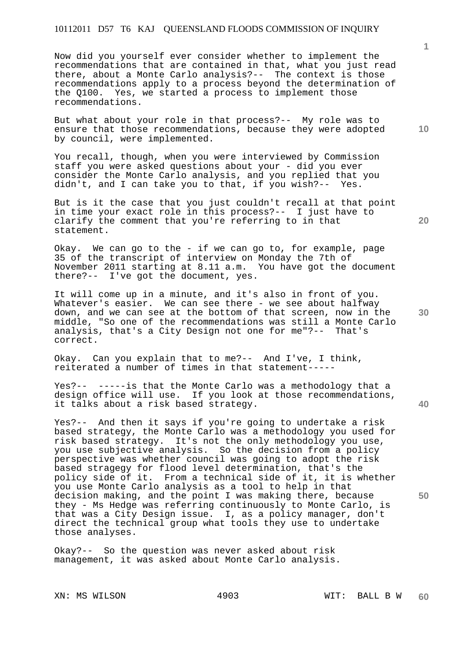Now did you yourself ever consider whether to implement the recommendations that are contained in that, what you just read there, about a Monte Carlo analysis?-- The context is those recommendations apply to a process beyond the determination of the Q100. Yes, we started a process to implement those recommendations.

But what about your role in that process?-- My role was to ensure that those recommendations, because they were adopted by council, were implemented.

You recall, though, when you were interviewed by Commission staff you were asked questions about your - did you ever consider the Monte Carlo analysis, and you replied that you didn't, and I can take you to that, if you wish?-- Yes.

But is it the case that you just couldn't recall at that point in time your exact role in this process?-- I just have to clarify the comment that you're referring to in that statement.

Okay. We can go to the - if we can go to, for example, page 35 of the transcript of interview on Monday the 7th of November 2011 starting at 8.11 a.m. You have got the document there?-- I've got the document, yes.

It will come up in a minute, and it's also in front of you. Whatever's easier. We can see there - we see about halfway down, and we can see at the bottom of that screen, now in the middle, "So one of the recommendations was still a Monte Carlo analysis, that's a City Design not one for me"?-- That's correct.

Okay. Can you explain that to me?-- And I've, I think, reiterated a number of times in that statement-----

Yes?-- -----is that the Monte Carlo was a methodology that a design office will use. If you look at those recommendations, it talks about a risk based strategy.

Yes?-- And then it says if you're going to undertake a risk based strategy, the Monte Carlo was a methodology you used for risk based strategy. It's not the only methodology you use, you use subjective analysis. So the decision from a policy perspective was whether council was going to adopt the risk based stragegy for flood level determination, that's the policy side of it. From a technical side of it, it is whether you use Monte Carlo analysis as a tool to help in that decision making, and the point I was making there, because they - Ms Hedge was referring continuously to Monte Carlo, is that was a City Design issue. I, as a policy manager, don't direct the technical group what tools they use to undertake those analyses.

Okay?-- So the question was never asked about risk management, it was asked about Monte Carlo analysis.

XN: MS WILSON 4903 WIT: BALL B W

**1**

**20** 

**10** 

**30** 

**40**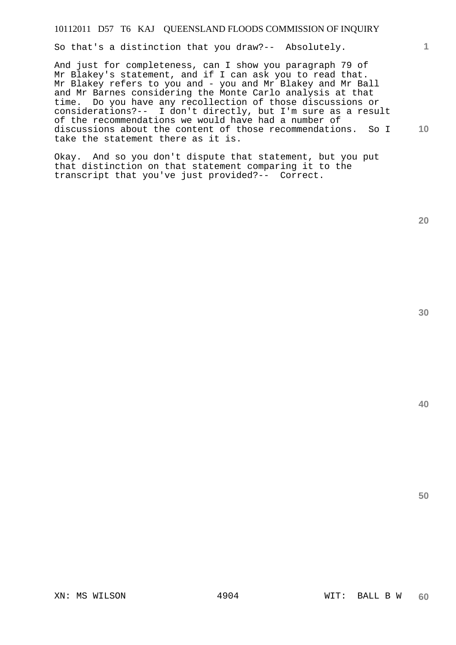So that's a distinction that you draw?-- Absolutely.

**10**  And just for completeness, can I show you paragraph 79 of Mr Blakey's statement, and if I can ask you to read that. Mr Blakey refers to you and - you and Mr Blakey and Mr Ball and Mr Barnes considering the Monte Carlo analysis at that time. Do you have any recollection of those discussions or considerations?-- I don't directly, but I'm sure as a result of the recommendations we would have had a number of discussions about the content of those recommendations. So I take the statement there as it is.

Okay. And so you don't dispute that statement, but you put that distinction on that statement comparing it to the transcript that you've just provided?-- Correct.

**20** 

**1**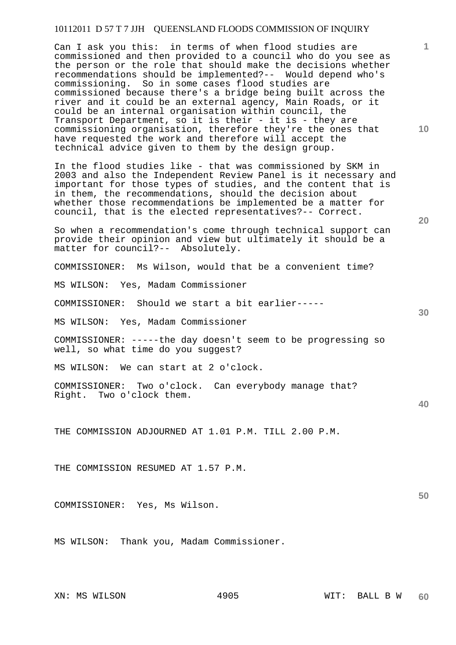Can I ask you this: in terms of when flood studies are commissioned and then provided to a council who do you see as the person or the role that should make the decisions whether recommendations should be implemented?-- Would depend who's commissioning. So in some cases flood studies are commissioned because there's a bridge being built across the river and it could be an external agency, Main Roads, or it could be an internal organisation within council, the Transport Department, so it is their - it is - they are commissioning organisation, therefore they're the ones that have requested the work and therefore will accept the technical advice given to them by the design group.

In the flood studies like - that was commissioned by SKM in 2003 and also the Independent Review Panel is it necessary and important for those types of studies, and the content that is in them, the recommendations, should the decision about whether those recommendations be implemented be a matter for council, that is the elected representatives?-- Correct.

So when a recommendation's come through technical support can provide their opinion and view but ultimately it should be a matter for council?-- Absolutely.

COMMISSIONER: Ms Wilson, would that be a convenient time?

MS WILSON: Yes, Madam Commissioner

COMMISSIONER: Should we start a bit earlier-----

MS WILSON: Yes, Madam Commissioner

COMMISSIONER: -----the day doesn't seem to be progressing so well, so what time do you suggest?

MS WILSON: We can start at 2 o'clock.

COMMISSIONER: Two o'clock. Can everybody manage that? Right. Two o'clock them.

THE COMMISSION ADJOURNED AT 1.01 P.M. TILL 2.00 P.M.

THE COMMISSION RESUMED AT 1.57 P.M.

COMMISSIONER: Yes, Ms Wilson.

MS WILSON: Thank you, Madam Commissioner.

**10** 

**1**

**30** 

**20** 

**40**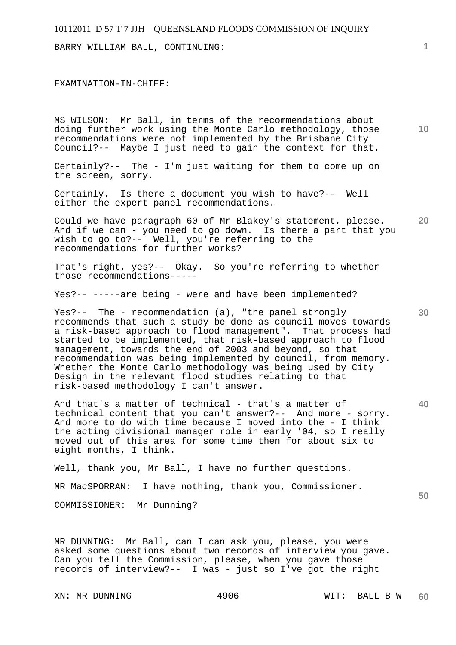BARRY WILLIAM BALL, CONTINUING:

#### EXAMINATION-IN-CHIEF:

MS WILSON: Mr Ball, in terms of the recommendations about doing further work using the Monte Carlo methodology, those recommendations were not implemented by the Brisbane City Council?-- Maybe I just need to gain the context for that.

Certainly?-- The - I'm just waiting for them to come up on the screen, sorry.

Certainly. Is there a document you wish to have?-- Well either the expert panel recommendations.

Could we have paragraph 60 of Mr Blakey's statement, please. And if we can - you need to go down. Is there a part that you wish to go to?-- Well, you're referring to the recommendations for further works?

That's right, yes?-- Okay. So you're referring to whether those recommendations-----

Yes?-- -----are being - were and have been implemented?

Yes?-- The - recommendation (a), "the panel strongly recommends that such a study be done as council moves towards a risk-based approach to flood management". That process had started to be implemented, that risk-based approach to flood management, towards the end of 2003 and beyond, so that recommendation was being implemented by council, from memory. Whether the Monte Carlo methodology was being used by City Design in the relevant flood studies relating to that risk-based methodology I can't answer.

**40**  And that's a matter of technical - that's a matter of technical content that you can't answer?-- And more - sorry. And more to do with time because I moved into the - I think the acting divisional manager role in early '04, so I really moved out of this area for some time then for about six to eight months, I think.

Well, thank you, Mr Ball, I have no further questions.

MR MacSPORRAN: I have nothing, thank you, Commissioner.

COMMISSIONER: Mr Dunning?

MR DUNNING: Mr Ball, can I can ask you, please, you were asked some questions about two records of interview you gave. Can you tell the Commission, please, when you gave those records of interview?-- I was - just so I've got the right

**10** 

**20**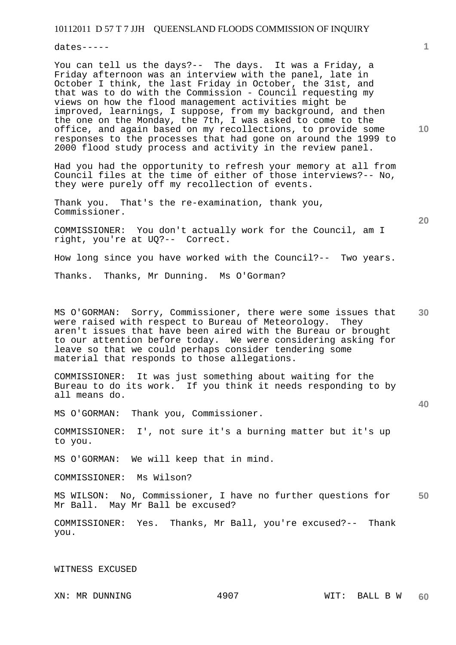dates-----

You can tell us the days?-- The days. It was a Friday, a Friday afternoon was an interview with the panel, late in October I think, the last Friday in October, the 31st, and that was to do with the Commission - Council requesting my views on how the flood management activities might be improved, learnings, I suppose, from my background, and then the one on the Monday, the 7th, I was asked to come to the office, and again based on my recollections, to provide some responses to the processes that had gone on around the 1999 to 2000 flood study process and activity in the review panel.

Had you had the opportunity to refresh your memory at all from Council files at the time of either of those interviews?-- No, they were purely off my recollection of events.

Thank you. That's the re-examination, thank you, Commissioner.

COMMISSIONER: You don't actually work for the Council, am I right, you're at UQ?-- Correct.

How long since you have worked with the Council?-- Two years.

Thanks. Thanks, Mr Dunning. Ms O'Gorman?

MS O'GORMAN: Sorry, Commissioner, there were some issues that were raised with respect to Bureau of Meteorology. They aren't issues that have been aired with the Bureau or brought to our attention before today. We were considering asking for leave so that we could perhaps consider tendering some material that responds to those allegations.

COMMISSIONER: It was just something about waiting for the Bureau to do its work. If you think it needs responding to by all means do.

MS O'GORMAN: Thank you, Commissioner.

COMMISSIONER: I', not sure it's a burning matter but it's up to you.

MS O'GORMAN: We will keep that in mind.

COMMISSIONER: Ms Wilson?

**50**  MS WILSON: No, Commissioner, I have no further questions for Mr Ball. May Mr Ball be excused?

COMMISSIONER: Yes. Thanks, Mr Ball, you're excused?-- Thank you.

WITNESS EXCUSED

XN: MR DUNNING 4907

**10** 

**1**

**30** 

**20**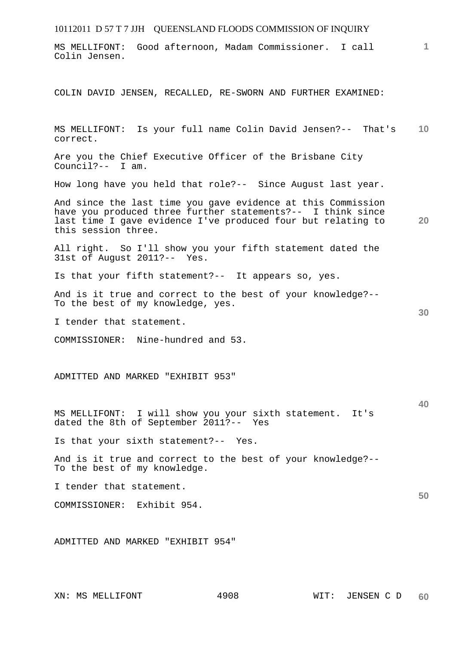| 10112011 D 57 T 7 JJH QUEENSLAND FLOODS COMMISSION OF INQUIRY                                                                                                                                                      |    |
|--------------------------------------------------------------------------------------------------------------------------------------------------------------------------------------------------------------------|----|
| Good afternoon, Madam Commissioner. I call<br>MS MELLIFONT:<br>Colin Jensen.                                                                                                                                       | 1  |
| COLIN DAVID JENSEN, RECALLED, RE-SWORN AND FURTHER EXAMINED:                                                                                                                                                       |    |
| MS MELLIFONT: Is your full name Colin David Jensen?-- That's<br>correct.                                                                                                                                           | 10 |
| Are you the Chief Executive Officer of the Brisbane City<br>Council? $--$ I am.                                                                                                                                    |    |
| How long have you held that role?-- Since August last year.                                                                                                                                                        |    |
| And since the last time you gave evidence at this Commission<br>have you produced three further statements?-- I think since<br>last time I gave evidence I've produced four but relating to<br>this session three. | 20 |
| All right. So I'll show you your fifth statement dated the<br>31st of August 2011?-- Yes.                                                                                                                          |    |
| Is that your fifth statement?-- It appears so, yes.                                                                                                                                                                |    |
| And is it true and correct to the best of your knowledge?--<br>To the best of my knowledge, yes.                                                                                                                   |    |
| I tender that statement.                                                                                                                                                                                           | 30 |
| COMMISSIONER: Nine-hundred and 53.                                                                                                                                                                                 |    |
| ADMITTED AND MARKED "EXHIBIT 953"                                                                                                                                                                                  | 40 |
| MS MELLIFONT: I will show you your sixth statement. It's<br>dated the 8th of September 2011?-- Yes                                                                                                                 |    |
| Is that your sixth statement?-- Yes.                                                                                                                                                                               |    |
| And is it true and correct to the best of your knowledge?--<br>To the best of my knowledge.                                                                                                                        |    |
| I tender that statement.                                                                                                                                                                                           |    |
| COMMISSIONER: Exhibit 954.                                                                                                                                                                                         | 50 |
| ADMITTED AND MARKED "EXHIBIT 954"                                                                                                                                                                                  |    |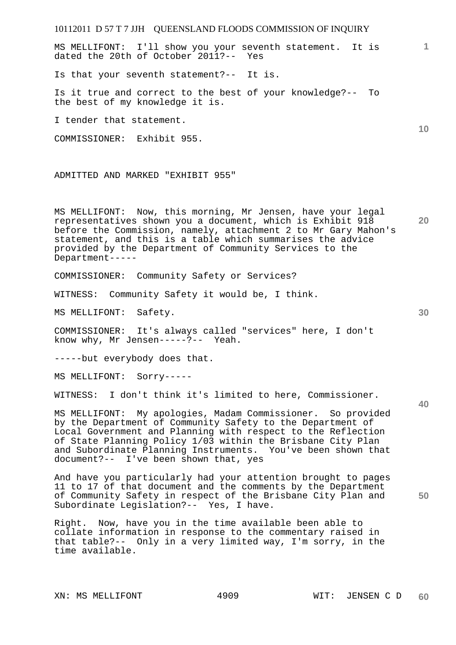10112011 D 57 T 7 JJH QUEENSLAND FLOODS COMMISSION OF INQUIRY **1 10 20 30 40 50**  MS MELLIFONT: I'll show you your seventh statement. It is dated the 20th of October 2011?-- Yes Is that your seventh statement?-- It is. Is it true and correct to the best of your knowledge?-- To the best of my knowledge it is. I tender that statement. COMMISSIONER: Exhibit 955. ADMITTED AND MARKED "EXHIBIT 955" MS MELLIFONT: Now, this morning, Mr Jensen, have your legal representatives shown you a document, which is Exhibit 918 before the Commission, namely, attachment 2 to Mr Gary Mahon's statement, and this is a table which summarises the advice provided by the Department of Community Services to the Department----- COMMISSIONER: Community Safety or Services? WITNESS: Community Safety it would be, I think. MS MELLIFONT: Safety. COMMISSIONER: It's always called "services" here, I don't know why, Mr Jensen-----?-- Yeah. -----but everybody does that. MS MELLIFONT: Sorry----- WITNESS: I don't think it's limited to here, Commissioner. MS MELLIFONT: My apologies, Madam Commissioner. So provided by the Department of Community Safety to the Department of Local Government and Planning with respect to the Reflection of State Planning Policy 1/03 within the Brisbane City Plan and Subordinate Planning Instruments. You've been shown that document?-- I've been shown that, yes And have you particularly had your attention brought to pages 11 to 17 of that document and the comments by the Department of Community Safety in respect of the Brisbane City Plan and Subordinate Legislation?-- Yes, I have.

Right. Now, have you in the time available been able to collate information in response to the commentary raised in that table?-- Only in a very limited way, I'm sorry, in the time available.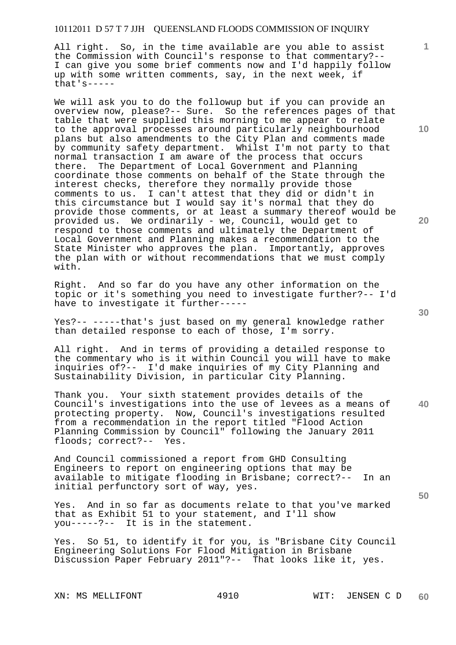All right. So, in the time available are you able to assist the Commission with Council's response to that commentary?-- I can give you some brief comments now and I'd happily follow up with some written comments, say, in the next week, if that's-----

We will ask you to do the followup but if you can provide an overview now, please?-- Sure. So the references pages of that table that were supplied this morning to me appear to relate to the approval processes around particularly neighbourhood plans but also amendments to the City Plan and comments made by community safety department. Whilst I'm not party to that normal transaction I am aware of the process that occurs there. The Department of Local Government and Planning coordinate those comments on behalf of the State through the interest checks, therefore they normally provide those comments to us. I can't attest that they did or didn't in this circumstance but I would say it's normal that they do provide those comments, or at least a summary thereof would be provided us. We ordinarily - we, Council, would get to respond to those comments and ultimately the Department of Local Government and Planning makes a recommendation to the State Minister who approves the plan. Importantly, approves the plan with or without recommendations that we must comply with.

Right. And so far do you have any other information on the topic or it's something you need to investigate further?-- I'd have to investigate it further-----

Yes?-- -----that's just based on my general knowledge rather than detailed response to each of those, I'm sorry.

All right. And in terms of providing a detailed response to the commentary who is it within Council you will have to make inquiries of?-- I'd make inquiries of my City Planning and Sustainability Division, in particular City Planning.

**40**  Thank you. Your sixth statement provides details of the Council's investigations into the use of levees as a means of protecting property. Now, Council's investigations resulted from a recommendation in the report titled "Flood Action Planning Commission by Council" following the January 2011 floods; correct?-- Yes.

And Council commissioned a report from GHD Consulting Engineers to report on engineering options that may be available to mitigate flooding in Brisbane; correct?-- In an initial perfunctory sort of way, yes.

Yes. And in so far as documents relate to that you've marked that as Exhibit 51 to your statement, and I'll show you-----?-- It is in the statement.

Yes. So 51, to identify it for you, is "Brisbane City Council Engineering Solutions For Flood Mitigation in Brisbane Discussion Paper February 2011"?-- That looks like it, yes.

**10** 

**1**

**20** 

**30**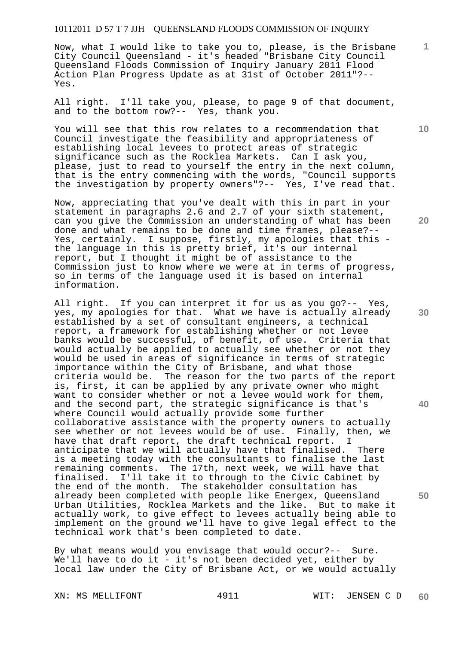Now, what I would like to take you to, please, is the Brisbane City Council Queensland - it's headed "Brisbane City Council Queensland Floods Commission of Inquiry January 2011 Flood Action Plan Progress Update as at 31st of October 2011"?-- Yes.

All right. I'll take you, please, to page 9 of that document, and to the bottom row?-- Yes, thank you.

You will see that this row relates to a recommendation that Council investigate the feasibility and appropriateness of establishing local levees to protect areas of strategic significance such as the Rocklea Markets. Can I ask you, please, just to read to yourself the entry in the next column, that is the entry commencing with the words, "Council supports the investigation by property owners"?-- Yes, I've read that.

Now, appreciating that you've dealt with this in part in your statement in paragraphs 2.6 and 2.7 of your sixth statement, can you give the Commission an understanding of what has been done and what remains to be done and time frames, please?-- Yes, certainly. I suppose, firstly, my apologies that this the language in this is pretty brief, it's our internal report, but I thought it might be of assistance to the Commission just to know where we were at in terms of progress, so in terms of the language used it is based on internal information.

All right. If you can interpret it for us as you go?-- Yes, yes, my apologies for that. What we have is actually already established by a set of consultant engineers, a technical report, a framework for establishing whether or not levee banks would be successful, of benefit, of use. Criteria that would actually be applied to actually see whether or not they would be used in areas of significance in terms of strategic importance within the City of Brisbane, and what those criteria would be. The reason for the two parts of the report is, first, it can be applied by any private owner who might want to consider whether or not a levee would work for them, and the second part, the strategic significance is that's where Council would actually provide some further collaborative assistance with the property owners to actually see whether or not levees would be of use. Finally, then, we have that draft report, the draft technical report. I anticipate that we will actually have that finalised. There is a meeting today with the consultants to finalise the last remaining comments. The 17th, next week, we will have that finalised. I'll take it to through to the Civic Cabinet by the end of the month. The stakeholder consultation has already been completed with people like Energex, Queensland Urban Utilities, Rocklea Markets and the like. But to make it actually work, to give effect to levees actually being able to implement on the ground we'll have to give legal effect to the technical work that's been completed to date.

By what means would you envisage that would occur?-- Sure. We'll have to do it - it's not been decided yet, either by local law under the City of Brisbane Act, or we would actually

XN: MS MELLIFONT 4911 WIT: JENSEN C D **60** 

**20** 

**10** 

**1**

**30** 

**40**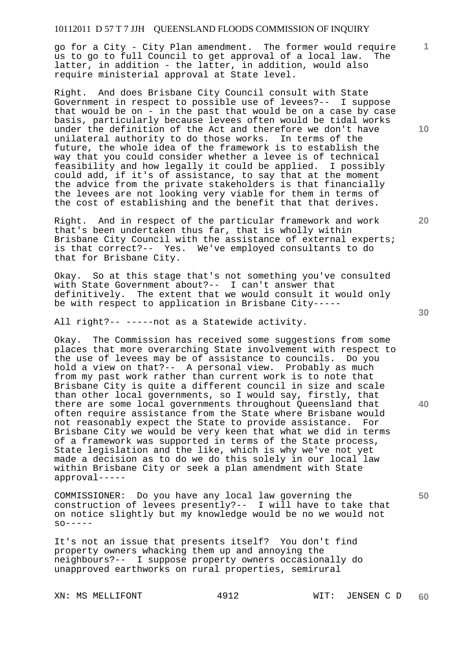go for a City - City Plan amendment. The former would require<br>us to go to full Council to get approval of a local law. The us to go to full Council to get approval of a local law. latter, in addition - the latter, in addition, would also require ministerial approval at State level.

Right. And does Brisbane City Council consult with State Government in respect to possible use of levees?-- I suppose that would be on - in the past that would be on a case by case basis, particularly because levees often would be tidal works under the definition of the Act and therefore we don't have unilateral authority to do those works. In terms of the future, the whole idea of the framework is to establish the way that you could consider whether a levee is of technical feasibility and how legally it could be applied. I possibly could add, if it's of assistance, to say that at the moment the advice from the private stakeholders is that financially the levees are not looking very viable for them in terms of the cost of establishing and the benefit that that derives.

Right. And in respect of the particular framework and work that's been undertaken thus far, that is wholly within Brisbane City Council with the assistance of external experts; is that correct?-- Yes. We've employed consultants to do that for Brisbane City.

Okay. So at this stage that's not something you've consulted with State Government about?-- I can't answer that definitively. The extent that we would consult it would only be with respect to application in Brisbane City-----

All right?-- -----not as a Statewide activity.

Okay. The Commission has received some suggestions from some places that more overarching State involvement with respect to the use of levees may be of assistance to councils. Do you hold a view on that?-- A personal view. Probably as much from my past work rather than current work is to note that Brisbane City is quite a different council in size and scale than other local governments, so I would say, firstly, that there are some local governments throughout Queensland that often require assistance from the State where Brisbane would not reasonably expect the State to provide assistance. For Brisbane City we would be very keen that what we did in terms of a framework was supported in terms of the State process, State legislation and the like, which is why we've not yet made a decision as to do we do this solely in our local law within Brisbane City or seek a plan amendment with State approval-----

COMMISSIONER: Do you have any local law governing the construction of levees presently?-- I will have to take that on notice slightly but my knowledge would be no we would not  $SO-----$ 

It's not an issue that presents itself? You don't find property owners whacking them up and annoying the neighbours?-- I suppose property owners occasionally do unapproved earthworks on rural properties, semirural

XN: MS MELLIFONT 4912 WIT: JENSEN C D

**10** 

**1**

**20** 

**50**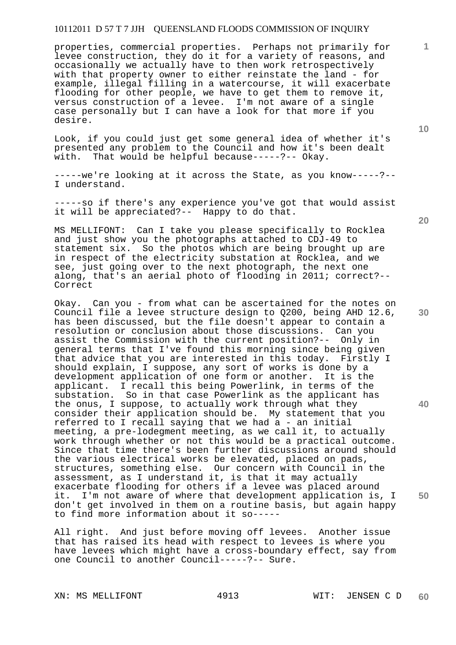properties, commercial properties. Perhaps not primarily for levee construction, they do it for a variety of reasons, and occasionally we actually have to then work retrospectively with that property owner to either reinstate the land - for example, illegal filling in a watercourse, it will exacerbate flooding for other people, we have to get them to remove it, versus construction of a levee. I'm not aware of a single case personally but I can have a look for that more if you desire.

Look, if you could just get some general idea of whether it's presented any problem to the Council and how it's been dealt with. That would be helpful because-----?-- Okay.

-----we're looking at it across the State, as you know-----?-- I understand.

-----so if there's any experience you've got that would assist it will be appreciated?-- Happy to do that.

MS MELLIFONT: Can I take you please specifically to Rocklea and just show you the photographs attached to CDJ-49 to statement six. So the photos which are being brought up are in respect of the electricity substation at Rocklea, and we see, just going over to the next photograph, the next one along, that's an aerial photo of flooding in 2011; correct?-- Correct

Okay. Can you - from what can be ascertained for the notes on Council file a levee structure design to Q200, being AHD 12.6, has been discussed, but the file doesn't appear to contain a resolution or conclusion about those discussions. Can you assist the Commission with the current position?-- Only in general terms that I've found this morning since being given that advice that you are interested in this today. Firstly I should explain, I suppose, any sort of works is done by a development application of one form or another. It is the applicant. I recall this being Powerlink, in terms of the substation. So in that case Powerlink as the applicant has the onus, I suppose, to actually work through what they consider their application should be. My statement that you referred to I recall saying that we had a - an initial meeting, a pre-lodegment meeting, as we call it, to actually work through whether or not this would be a practical outcome. Since that time there's been further discussions around should the various electrical works be elevated, placed on pads, structures, something else. Our concern with Council in the assessment, as I understand it, is that it may actually exacerbate flooding for others if a levee was placed around it. I'm not aware of where that development application is, I don't get involved in them on a routine basis, but again happy to find more information about it so-----

All right. And just before moving off levees. Another issue that has raised its head with respect to levees is where you have levees which might have a cross-boundary effect, say from one Council to another Council-----?-- Sure.

XN: MS MELLIFONT 4913 WIT: JENSEN C D

**20** 

**10** 

**1**



**30** 

**40**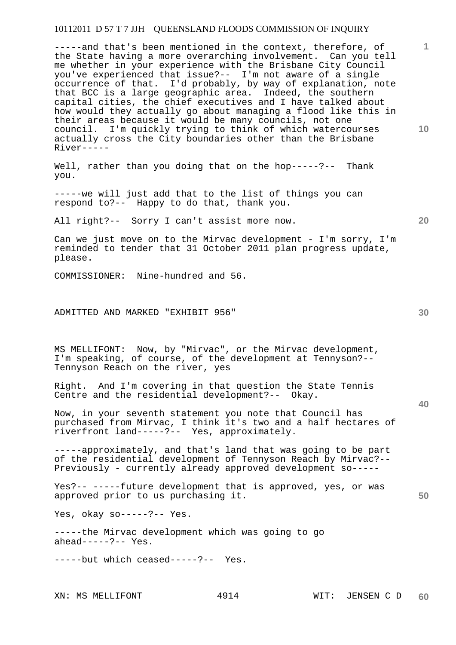-----and that's been mentioned in the context, therefore, of the State having a more overarching involvement. Can you tell me whether in your experience with the Brisbane City Council you've experienced that issue?-- I'm not aware of a single occurrence of that. I'd probably, by way of explanation, note that BCC is a large geographic area. Indeed, the southern capital cities, the chief executives and I have talked about how would they actually go about managing a flood like this in their areas because it would be many councils, not one council. I'm quickly trying to think of which watercourses actually cross the City boundaries other than the Brisbane River-----

Well, rather than you doing that on the hop-----?-- Thank you.

-----we will just add that to the list of things you can respond to?-- Happy to do that, thank you.

All right?-- Sorry I can't assist more now.

Can we just move on to the Mirvac development - I'm sorry, I'm reminded to tender that 31 October 2011 plan progress update, please.

COMMISSIONER: Nine-hundred and 56.

ADMITTED AND MARKED "EXHIBIT 956"

MS MELLIFONT: Now, by "Mirvac", or the Mirvac development, I'm speaking, of course, of the development at Tennyson?-- Tennyson Reach on the river, yes

Right. And I'm covering in that question the State Tennis Centre and the residential development?-- Okay.

Now, in your seventh statement you note that Council has purchased from Mirvac, I think it's two and a half hectares of riverfront land-----?-- Yes, approximately.

-----approximately, and that's land that was going to be part of the residential development of Tennyson Reach by Mirvac?-- Previously - currently already approved development so-----

Yes?-- -----future development that is approved, yes, or was approved prior to us purchasing it.

Yes, okay so-----?-- Yes.

-----the Mirvac development which was going to go ahead-----?-- Yes.

-----but which ceased-----?-- Yes.

**30** 

**20** 

**50** 

**10**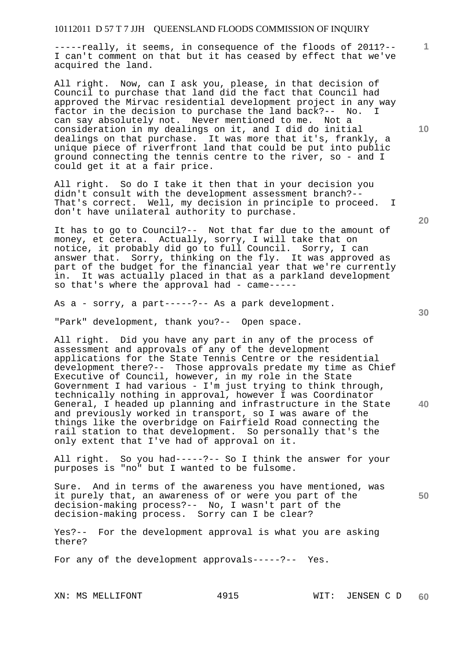-----really, it seems, in consequence of the floods of 2011?-- I can't comment on that but it has ceased by effect that we've acquired the land.

All right. Now, can I ask you, please, in that decision of Council to purchase that land did the fact that Council had approved the Mirvac residential development project in any way factor in the decision to purchase the land back?-- No. can say absolutely not. Never mentioned to me. Not a consideration in my dealings on it, and I did do initial dealings on that purchase. It was more that it's, frankly, a unique piece of riverfront land that could be put into public ground connecting the tennis centre to the river, so - and I could get it at a fair price.

All right. So do I take it then that in your decision you didn't consult with the development assessment branch?-- That's correct. Well, my decision in principle to proceed. I don't have unilateral authority to purchase.

It has to go to Council?-- Not that far due to the amount of money, et cetera. Actually, sorry, I will take that on notice, it probably did go to full Council. Sorry, I can answer that. Sorry, thinking on the fly. It was approved as part of the budget for the financial year that we're currently in. It was actually placed in that as a parkland development so that's where the approval had - came-----

As a - sorry, a part-----?-- As a park development.

"Park" development, thank you?-- Open space.

All right. Did you have any part in any of the process of assessment and approvals of any of the development applications for the State Tennis Centre or the residential development there?-- Those approvals predate my time as Chief Executive of Council, however, in my role in the State Government I had various -  $I'm$  just trying to think through, technically nothing in approval, however I was Coordinator General, I headed up planning and infrastructure in the State and previously worked in transport, so I was aware of the things like the overbridge on Fairfield Road connecting the rail station to that development. So personally that's the only extent that I've had of approval on it.

All right. So you had-----?-- So I think the answer for your purposes is "no" but I wanted to be fulsome.

**50**  Sure. And in terms of the awareness you have mentioned, was it purely that, an awareness of or were you part of the decision-making process?-- No, I wasn't part of the decision-making process. Sorry can I be clear?

Yes?-- For the development approval is what you are asking there?

For any of the development approvals-----?-- Yes.

**10** 

**20** 

**1**

**30**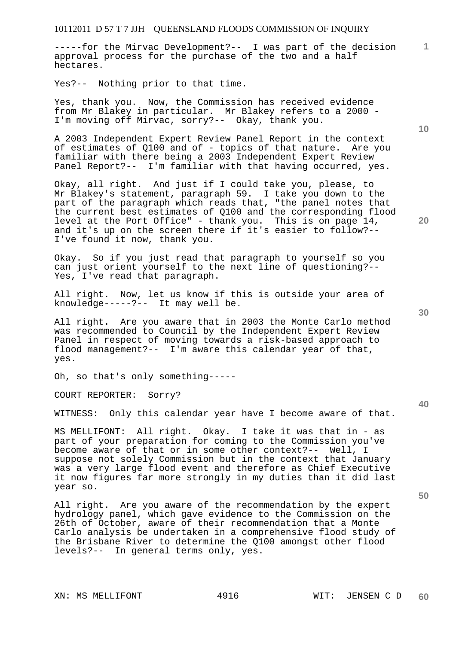-----for the Mirvac Development?-- I was part of the decision approval process for the purchase of the two and a half hectares.

Yes?-- Nothing prior to that time.

Yes, thank you. Now, the Commission has received evidence from Mr Blakey in particular. Mr Blakey refers to a 2000 - I'm moving off Mirvac, sorry?-- Okay, thank you.

A 2003 Independent Expert Review Panel Report in the context of estimates of Q100 and of - topics of that nature. Are you familiar with there being a 2003 Independent Expert Review Panel Report?-- I'm familiar with that having occurred, yes.

Okay, all right. And just if I could take you, please, to Mr Blakey's statement, paragraph 59. I take you down to the part of the paragraph which reads that, "the panel notes that the current best estimates of Q100 and the corresponding flood level at the Port Office" - thank you. This is on page 14, and it's up on the screen there if it's easier to follow?-- I've found it now, thank you.

Okay. So if you just read that paragraph to yourself so you can just orient yourself to the next line of questioning?-- Yes, I've read that paragraph.

All right. Now, let us know if this is outside your area of knowledge-----?-- It may well be.

All right. Are you aware that in 2003 the Monte Carlo method was recommended to Council by the Independent Expert Review Panel in respect of moving towards a risk-based approach to flood management?-- I'm aware this calendar year of that, yes.

Oh, so that's only something-----

COURT REPORTER: Sorry?

WITNESS: Only this calendar year have I become aware of that.

MS MELLIFONT: All right. Okay. I take it was that in - as part of your preparation for coming to the Commission you've become aware of that or in some other context?-- Well, I suppose not solely Commission but in the context that January was a very large flood event and therefore as Chief Executive it now figures far more strongly in my duties than it did last year so.

All right. Are you aware of the recommendation by the expert hydrology panel, which gave evidence to the Commission on the 26th of October, aware of their recommendation that a Monte Carlo analysis be undertaken in a comprehensive flood study of the Brisbane River to determine the Q100 amongst other flood levels?-- In general terms only, yes.

**20** 

**10** 

**1**

**30** 

**40**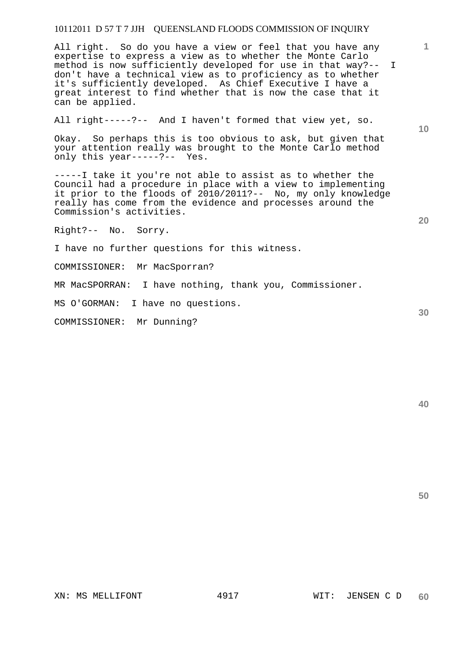All right. So do you have a view or feel that you have any expertise to express a view as to whether the Monte Carlo method is now sufficiently developed for use in that way?-- I don't have a technical view as to proficiency as to whether it's sufficiently developed. As Chief Executive I have a great interest to find whether that is now the case that it can be applied.

All right-----?-- And I haven't formed that view yet, so.

Okay. So perhaps this is too obvious to ask, but given that your attention really was brought to the Monte Carlo method only this year-----?-- Yes.

-----I take it you're not able to assist as to whether the Council had a procedure in place with a view to implementing it prior to the floods of 2010/2011?-- No, my only knowledge really has come from the evidence and processes around the Commission's activities.

Right?-- No. Sorry.

I have no further questions for this witness.

COMMISSIONER: Mr MacSporran?

MR MacSPORRAN: I have nothing, thank you, Commissioner.

MS O'GORMAN: I have no questions.

COMMISSIONER: Mr Dunning?

**10** 

**20** 

**1**

**40** 

**50**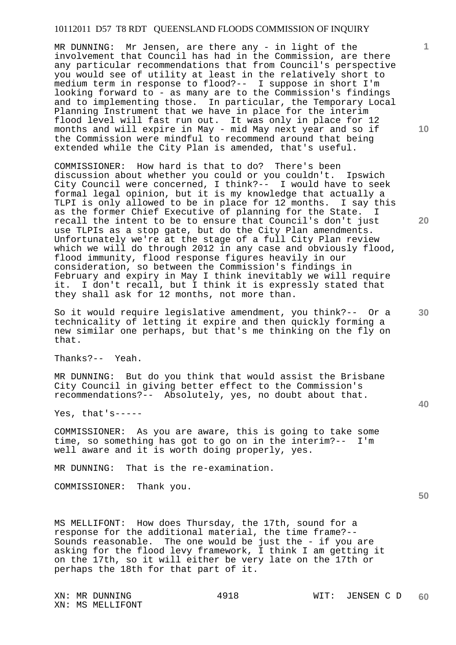MR DUNNING: Mr Jensen, are there any - in light of the involvement that Council has had in the Commission, are there any particular recommendations that from Council's perspective you would see of utility at least in the relatively short to medium term in response to flood?-- I suppose in short I'm looking forward to - as many are to the Commission's findings and to implementing those. In particular, the Temporary Local Planning Instrument that we have in place for the interim flood level will fast run out. It was only in place for 12 months and will expire in May - mid May next year and so if the Commission were mindful to recommend around that being extended while the City Plan is amended, that's useful.

COMMISSIONER: How hard is that to do? There's been discussion about whether you could or you couldn't. Ipswich City Council were concerned, I think?-- I would have to seek formal legal opinion, but it is my knowledge that actually a TLPI is only allowed to be in place for 12 months. I say this as the former Chief Executive of planning for the State. I recall the intent to be to ensure that Council's don't just use TLPIs as a stop gate, but do the City Plan amendments. Unfortunately we're at the stage of a full City Plan review which we will do through 2012 in any case and obviously flood, flood immunity, flood response figures heavily in our consideration, so between the Commission's findings in February and expiry in May I think inevitably we will require it. I don't recall, but I think it is expressly stated that they shall ask for 12 months, not more than.

So it would require legislative amendment, you think?-- Or a technicality of letting it expire and then quickly forming a new similar one perhaps, but that's me thinking on the fly on that.

Thanks?-- Yeah.

MR DUNNING: But do you think that would assist the Brisbane City Council in giving better effect to the Commission's recommendations?-- Absolutely, yes, no doubt about that.

Yes, that's-----

COMMISSIONER: As you are aware, this is going to take some time, so something has got to go on in the interim?-- I'm well aware and it is worth doing properly, yes.

MR DUNNING: That is the re-examination.

COMMISSIONER: Thank you.

MS MELLIFONT: How does Thursday, the 17th, sound for a response for the additional material, the time frame?-- Sounds reasonable. The one would be just the - if you are asking for the flood levy framework, I think I am getting it on the 17th, so it will either be very late on the 17th or perhaps the 18th for that part of it.

**10** 

**1**

**20** 

**30** 

**40**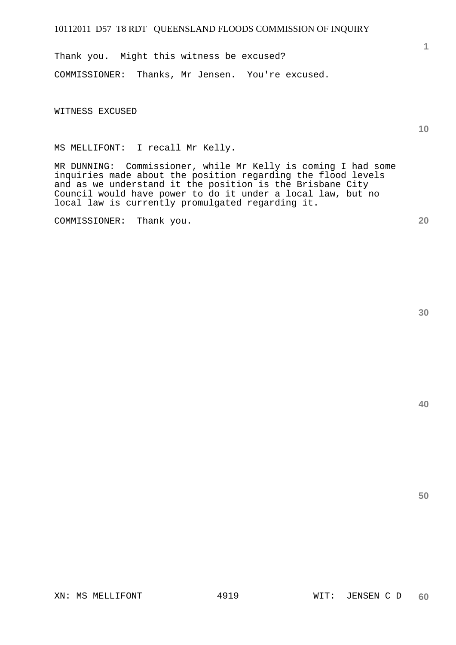Thank you. Might this witness be excused? COMMISSIONER: Thanks, Mr Jensen. You're excused.

WITNESS EXCUSED

MS MELLIFONT: I recall Mr Kelly.

MR DUNNING: Commissioner, while Mr Kelly is coming I had some inquiries made about the position regarding the flood levels and as we understand it the position is the Brisbane City Council would have power to do it under a local law, but no local law is currently promulgated regarding it.

COMMISSIONER: Thank you.

**30** 

**1**

**10** 

**20**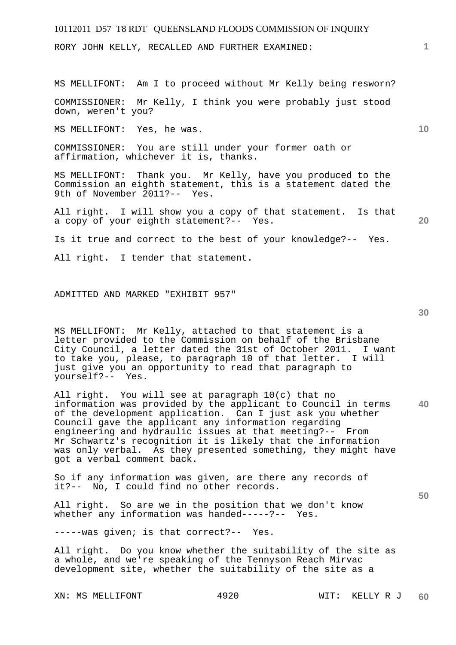RORY JOHN KELLY, RECALLED AND FURTHER EXAMINED:

MS MELLIFONT: Am I to proceed without Mr Kelly being resworn?

COMMISSIONER: Mr Kelly, I think you were probably just stood down, weren't you?

MS MELLIFONT: Yes, he was.

COMMISSIONER: You are still under your former oath or affirmation, whichever it is, thanks.

MS MELLIFONT: Thank you. Mr Kelly, have you produced to the Commission an eighth statement, this is a statement dated the 9th of November 2011?-- Yes.

All right. I will show you a copy of that statement. Is that a copy of your eighth statement?-- Yes.

Is it true and correct to the best of your knowledge?-- Yes.

All right. I tender that statement.

### ADMITTED AND MARKED "EXHIBIT 957"

**30** 

**50** 

**1**

**10** 

**20** 

MS MELLIFONT: Mr Kelly, attached to that statement is a letter provided to the Commission on behalf of the Brisbane City Council, a letter dated the 31st of October 2011. I want to take you, please, to paragraph 10 of that letter. I will just give you an opportunity to read that paragraph to yourself?-- Yes.

**40**  All right. You will see at paragraph 10(c) that no information was provided by the applicant to Council in terms of the development application. Can I just ask you whether Council gave the applicant any information regarding engineering and hydraulic issues at that meeting?-- From Mr Schwartz's recognition it is likely that the information was only verbal. As they presented something, they might have got a verbal comment back.

So if any information was given, are there any records of it?-- No, I could find no other records.

All right. So are we in the position that we don't know whether any information was handed-----?-- Yes.

-----was given; is that correct?-- Yes.

All right. Do you know whether the suitability of the site as a whole, and we're speaking of the Tennyson Reach Mirvac development site, whether the suitability of the site as a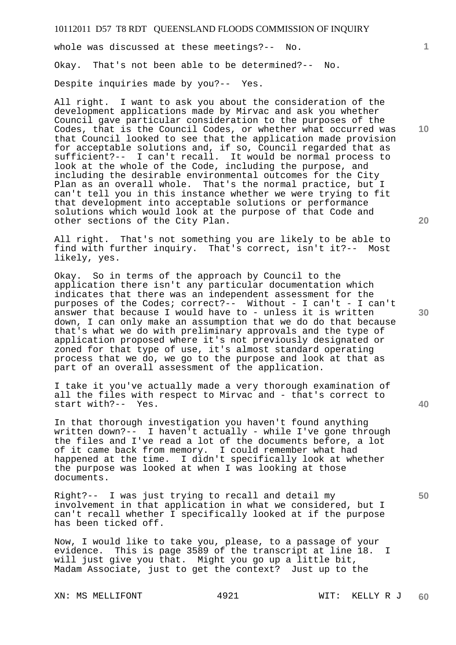whole was discussed at these meetings?-- No. Okay. That's not been able to be determined?-- No. Despite inquiries made by you?-- Yes.

All right. I want to ask you about the consideration of the development applications made by Mirvac and ask you whether Council gave particular consideration to the purposes of the Codes, that is the Council Codes, or whether what occurred was that Council looked to see that the application made provision for acceptable solutions and, if so, Council regarded that as sufficient?-- I can't recall. It would be normal process to look at the whole of the Code, including the purpose, and including the desirable environmental outcomes for the City Plan as an overall whole. That's the normal practice, but I can't tell you in this instance whether we were trying to fit that development into acceptable solutions or performance solutions which would look at the purpose of that Code and other sections of the City Plan.

All right. That's not something you are likely to be able to find with further inquiry. That's correct, isn't it?-- Most likely, yes.

Okay. So in terms of the approach by Council to the application there isn't any particular documentation which indicates that there was an independent assessment for the purposes of the Codes; correct?-- Without - I can't - I can't answer that because I would have to - unless it is written down, I can only make an assumption that we do do that because that's what we do with preliminary approvals and the type of application proposed where it's not previously designated or zoned for that type of use, it's almost standard operating process that we do, we go to the purpose and look at that as part of an overall assessment of the application.

I take it you've actually made a very thorough examination of all the files with respect to Mirvac and - that's correct to start with?-- Yes.

In that thorough investigation you haven't found anything written down?-- I haven't actually - while I've gone through the files and I've read a lot of the documents before, a lot of it came back from memory. I could remember what had happened at the time. I didn't specifically look at whether the purpose was looked at when I was looking at those documents.

Right?-- I was just trying to recall and detail my involvement in that application in what we considered, but I can't recall whether I specifically looked at if the purpose has been ticked off.

Now, I would like to take you, please, to a passage of your evidence. This is page 3589 of the transcript at line 18. I will just give you that. Might you go up a little bit, Madam Associate, just to get the context? Just up to the

**10** 

**1**

**20** 

**40** 

**50**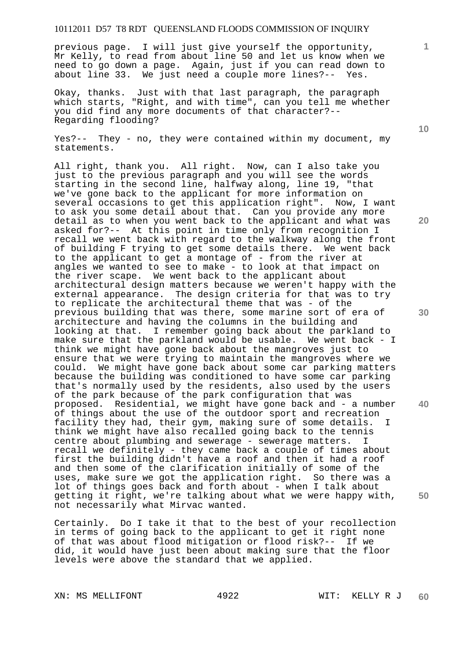previous page. I will just give yourself the opportunity, Mr Kelly, to read from about line 50 and let us know when we need to go down a page. Again, just if you can read down to about line 33. We just need a couple more lines?-- Yes.

Okay, thanks. Just with that last paragraph, the paragraph which starts, "Right, and with time", can you tell me whether you did find any more documents of that character?-- Regarding flooding?

Yes?-- They - no, they were contained within my document, my statements.

All right, thank you. All right. Now, can I also take you just to the previous paragraph and you will see the words starting in the second line, halfway along, line 19, "that we've gone back to the applicant for more information on several occasions to get this application right". Now, I want to ask you some detail about that. Can you provide any more detail as to when you went back to the applicant and what was asked for?-- At this point in time only from recognition I recall we went back with regard to the walkway along the front of building F trying to get some details there. We went back to the applicant to get a montage of - from the river at angles we wanted to see to make - to look at that impact on the river scape. We went back to the applicant about architectural design matters because we weren't happy with the external appearance. The design criteria for that was to try to replicate the architectural theme that was - of the previous building that was there, some marine sort of era of architecture and having the columns in the building and looking at that. I remember going back about the parkland to make sure that the parkland would be usable. We went back - I think we might have gone back about the mangroves just to ensure that we were trying to maintain the mangroves where we could. We might have gone back about some car parking matters because the building was conditioned to have some car parking that's normally used by the residents, also used by the users of the park because of the park configuration that was proposed. Residential, we might have gone back and - a number of things about the use of the outdoor sport and recreation facility they had, their gym, making sure of some details. I think we might have also recalled going back to the tennis centre about plumbing and sewerage - sewerage matters. I recall we definitely - they came back a couple of times about first the building didn't have a roof and then it had a roof and then some of the clarification initially of some of the uses, make sure we got the application right. So there was a lot of things goes back and forth about - when I talk about getting it right, we're talking about what we were happy with, not necessarily what Mirvac wanted.

Certainly. Do I take it that to the best of your recollection in terms of going back to the applicant to get it right none of that was about flood mitigation or flood risk?-- If we did, it would have just been about making sure that the floor levels were above the standard that we applied.

**10** 

**1**

**20** 

**40**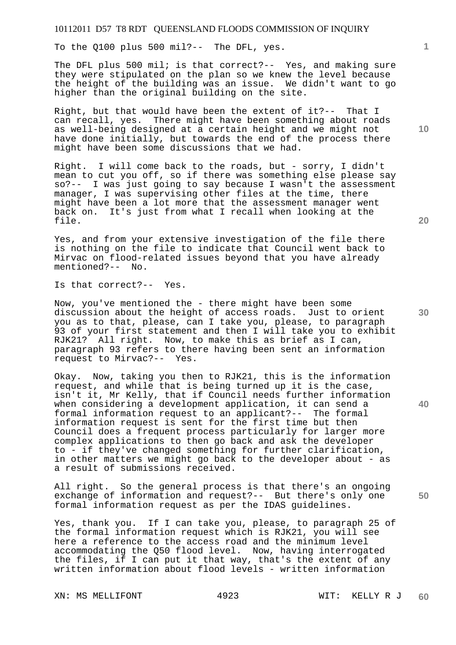To the Q100 plus 500 mil?-- The DFL, yes.

The DFL plus 500 mil; is that correct?-- Yes, and making sure they were stipulated on the plan so we knew the level because the height of the building was an issue. We didn't want to go higher than the original building on the site.

Right, but that would have been the extent of it?-- That I can recall, yes. There might have been something about roads as well-being designed at a certain height and we might not have done initially, but towards the end of the process there might have been some discussions that we had.

Right. I will come back to the roads, but - sorry, I didn't mean to cut you off, so if there was something else please say so?-- I was just going to say because I wasn't the assessment manager, I was supervising other files at the time, there might have been a lot more that the assessment manager went back on. It's just from what I recall when looking at the file.

Yes, and from your extensive investigation of the file there is nothing on the file to indicate that Council went back to Mirvac on flood-related issues beyond that you have already mentioned?-- No.

Is that correct?-- Yes.

Now, you've mentioned the - there might have been some discussion about the height of access roads. Just to orient you as to that, please, can I take you, please, to paragraph 93 of your first statement and then I will take you to exhibit RJK21? All right. Now, to make this as brief as I can, paragraph 93 refers to there having been sent an information request to Mirvac?-- Yes.

Okay. Now, taking you then to RJK21, this is the information request, and while that is being turned up it is the case, isn't it, Mr Kelly, that if Council needs further information when considering a development application, it can send a formal information request to an applicant?-- The formal information request is sent for the first time but then Council does a frequent process particularly for larger more complex applications to then go back and ask the developer to - if they've changed something for further clarification, in other matters we might go back to the developer about - as a result of submissions received.

All right. So the general process is that there's an ongoing exchange of information and request?-- But there's only one formal information request as per the IDAS guidelines.

Yes, thank you. If I can take you, please, to paragraph 25 of the formal information request which is RJK21, you will see here a reference to the access road and the minimum level accommodating the Q50 flood level. Now, having interrogated the files, if I can put it that way, that's the extent of any written information about flood levels - written information

XN: MS MELLIFONT 4923 WIT: KELLY R J

**10** 

**1**

**20** 

**40**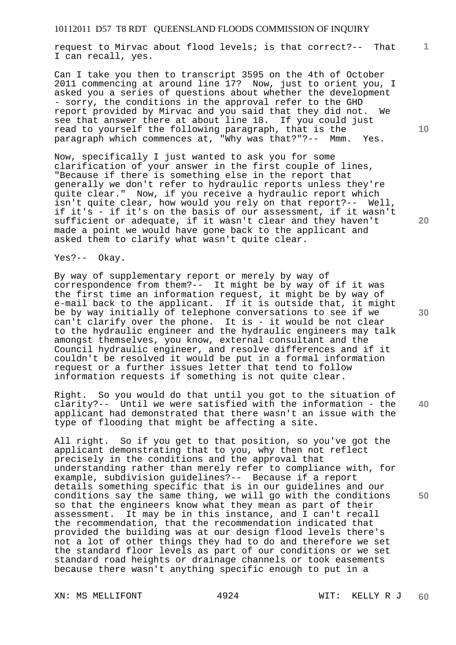request to Mirvac about flood levels; is that correct?-- That I can recall, yes.

Can I take you then to transcript 3595 on the 4th of October 2011 commencing at around line 17? Now, just to orient you, I asked you a series of questions about whether the development - sorry, the conditions in the approval refer to the GHD report provided by Mirvac and you said that they did not. We see that answer there at about line 18. If you could just read to yourself the following paragraph, that is the paragraph which commences at, "Why was that?"?-- Mmm. Yes.

Now, specifically I just wanted to ask you for some clarification of your answer in the first couple of lines, "Because if there is something else in the report that generally we don't refer to hydraulic reports unless they're quite clear." Now, if you receive a hydraulic report which isn't quite clear, how would you rely on that report?-- Well, if it's - if it's on the basis of our assessment, if it wasn't sufficient or adequate, if it wasn't clear and they haven't made a point we would have gone back to the applicant and asked them to clarify what wasn't quite clear.

Yes?-- Okay.

By way of supplementary report or merely by way of correspondence from them?-- It might be by way of if it was the first time an information request, it might be by way of e-mail back to the applicant. If it is outside that, it might be by way initially of telephone conversations to see if we can't clarify over the phone. It is - it would be not clear to the hydraulic engineer and the hydraulic engineers may talk amongst themselves, you know, external consultant and the Council hydraulic engineer, and resolve differences and if it couldn't be resolved it would be put in a formal information request or a further issues letter that tend to follow information requests if something is not quite clear.

Right. So you would do that until you got to the situation of clarity?-- Until we were satisfied with the information - the applicant had demonstrated that there wasn't an issue with the type of flooding that might be affecting a site.

All right. So if you get to that position, so you've got the applicant demonstrating that to you, why then not reflect precisely in the conditions and the approval that understanding rather than merely refer to compliance with, for example, subdivision guidelines?-- Because if a report details something specific that is in our guidelines and our conditions say the same thing, we will go with the conditions so that the engineers know what they mean as part of their<br>assessment. It may be in this instance, and I can't recall It may be in this instance, and I can't recall the recommendation, that the recommendation indicated that provided the building was at our design flood levels there's not a lot of other things they had to do and therefore we set the standard floor levels as part of our conditions or we set standard road heights or drainage channels or took easements because there wasn't anything specific enough to put in a

XN: MS MELLIFONT 4924 WIT: KELLY R J

**10** 

**1**

**20** 

**50**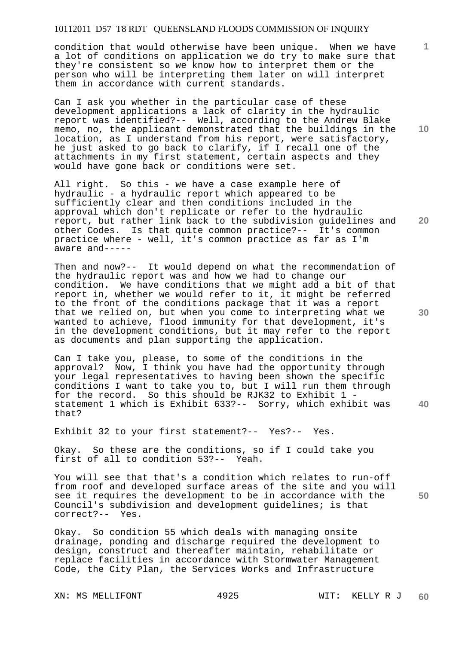condition that would otherwise have been unique. When we have a lot of conditions on application we do try to make sure that they're consistent so we know how to interpret them or the person who will be interpreting them later on will interpret them in accordance with current standards.

Can I ask you whether in the particular case of these development applications a lack of clarity in the hydraulic report was identified?-- Well, according to the Andrew Blake memo, no, the applicant demonstrated that the buildings in the location, as I understand from his report, were satisfactory, he just asked to go back to clarify, if I recall one of the attachments in my first statement, certain aspects and they would have gone back or conditions were set.

All right. So this - we have a case example here of hydraulic - a hydraulic report which appeared to be sufficiently clear and then conditions included in the approval which don't replicate or refer to the hydraulic report, but rather link back to the subdivision guidelines and other Codes. Is that quite common practice?-- It's common practice where - well, it's common practice as far as I'm aware and-----

Then and now?-- It would depend on what the recommendation of the hydraulic report was and how we had to change our condition. We have conditions that we might add a bit of that report in, whether we would refer to it, it might be referred to the front of the conditions package that it was a report that we relied on, but when you come to interpreting what we wanted to achieve, flood immunity for that development, it's in the development conditions, but it may refer to the report as documents and plan supporting the application.

Can I take you, please, to some of the conditions in the approval? Now, I think you have had the opportunity through your legal representatives to having been shown the specific conditions I want to take you to, but I will run them through for the record. So this should be RJK32 to Exhibit 1 statement 1 which is Exhibit 633?-- Sorry, which exhibit was that?

Exhibit 32 to your first statement?-- Yes?-- Yes.

Okay. So these are the conditions, so if I could take you first of all to condition 53?-- Yeah.

You will see that that's a condition which relates to run-off from roof and developed surface areas of the site and you will see it requires the development to be in accordance with the Council's subdivision and development guidelines; is that correct?-- Yes.

Okay. So condition 55 which deals with managing onsite drainage, ponding and discharge required the development to design, construct and thereafter maintain, rehabilitate or replace facilities in accordance with Stormwater Management Code, the City Plan, the Services Works and Infrastructure

XN: MS MELLIFONT 4925 WIT: KELLY R J

**10** 

**1**

**20** 

**30** 

**40**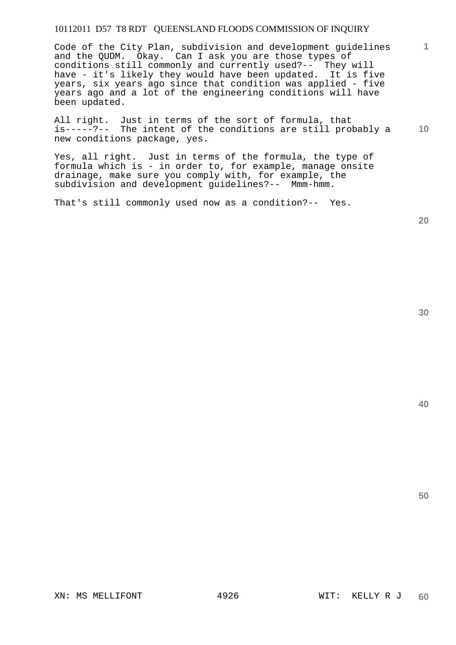Code of the City Plan, subdivision and development guidelines and the QUDM. Okay. Can I ask you are those types of conditions still commonly and currently used?-- They will have - it's likely they would have been updated. It is five years, six years ago since that condition was applied - five years ago and a lot of the engineering conditions will have been updated.

**10**  All right. Just in terms of the sort of formula, that is-----?-- The intent of the conditions are still probably a new conditions package, yes.

Yes, all right. Just in terms of the formula, the type of formula which is - in order to, for example, manage onsite drainage, make sure you comply with, for example, the subdivision and development guidelines?-- Mmm-hmm.

That's still commonly used now as a condition?-- Yes.

**20** 

**40** 

**50**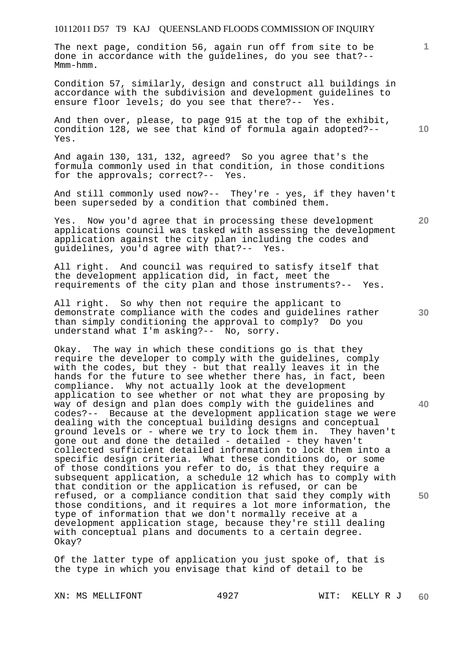The next page, condition 56, again run off from site to be done in accordance with the guidelines, do you see that?-- Mmm-hmm.

Condition 57, similarly, design and construct all buildings in accordance with the subdivision and development guidelines to ensure floor levels; do you see that there?-- Yes.

And then over, please, to page 915 at the top of the exhibit, condition 128, we see that kind of formula again adopted?-- Yes.

And again 130, 131, 132, agreed? So you agree that's the formula commonly used in that condition, in those conditions<br>for the approvals; correct?-- Yes. for the approvals; correct?--

And still commonly used now?-- They're - yes, if they haven't been superseded by a condition that combined them.

Yes. Now you'd agree that in processing these development applications council was tasked with assessing the development application against the city plan including the codes and guidelines, you'd agree with that?-- Yes.

All right. And council was required to satisfy itself that the development application did, in fact, meet the requirements of the city plan and those instruments?-- Yes.

All right. So why then not require the applicant to demonstrate compliance with the codes and guidelines rather than simply conditioning the approval to comply? Do you understand what I'm asking?-- No, sorry.

Okay. The way in which these conditions go is that they require the developer to comply with the guidelines, comply with the codes, but they - but that really leaves it in the hands for the future to see whether there has, in fact, been compliance. Why not actually look at the development application to see whether or not what they are proposing by way of design and plan does comply with the guidelines and codes?-- Because at the development application stage we were dealing with the conceptual building designs and conceptual ground levels or - where we try to lock them in. They haven't gone out and done the detailed - detailed - they haven't collected sufficient detailed information to lock them into a specific design criteria. What these conditions do, or some of those conditions you refer to do, is that they require a subsequent application, a schedule 12 which has to comply with that condition or the application is refused, or can be refused, or a compliance condition that said they comply with those conditions, and it requires a lot more information, the type of information that we don't normally receive at a development application stage, because they're still dealing with conceptual plans and documents to a certain degree. Okay?

Of the latter type of application you just spoke of, that is the type in which you envisage that kind of detail to be

**10** 

**1**

**30** 

**20** 

**40**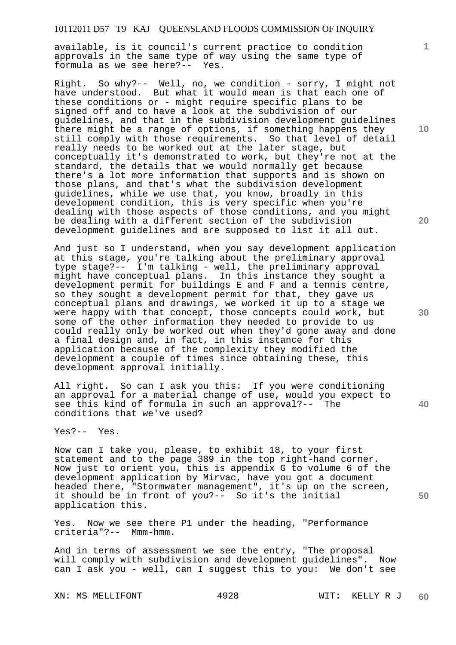available, is it council's current practice to condition approvals in the same type of way using the same type of formula as we see here?-- Yes.

Right. So why?-- Well, no, we condition - sorry, I might not have understood. But what it would mean is that each one of these conditions or - might require specific plans to be signed off and to have a look at the subdivision of our guidelines, and that in the subdivision development guidelines there might be a range of options, if something happens they still comply with those requirements. So that level of detail really needs to be worked out at the later stage, but conceptually it's demonstrated to work, but they're not at the standard, the details that we would normally get because there's a lot more information that supports and is shown on those plans, and that's what the subdivision development guidelines, while we use that, you know, broadly in this development condition, this is very specific when you're dealing with those aspects of those conditions, and you might be dealing with a different section of the subdivision development guidelines and are supposed to list it all out.

And just so I understand, when you say development application at this stage, you're talking about the preliminary approval type stage?-- I'm talking - well, the preliminary approval might have conceptual plans. In this instance they sought a development permit for buildings E and F and a tennis centre, so they sought a development permit for that, they gave us conceptual plans and drawings, we worked it up to a stage we were happy with that concept, those concepts could work, but some of the other information they needed to provide to us could really only be worked out when they'd gone away and done a final design and, in fact, in this instance for this application because of the complexity they modified the development a couple of times since obtaining these, this development approval initially.

All right. So can I ask you this: If you were conditioning an approval for a material change of use, would you expect to see this kind of formula in such an approval?-- The conditions that we've used?

Yes?-- Yes.

Now can I take you, please, to exhibit 18, to your first statement and to the page 389 in the top right-hand corner. Now just to orient you, this is appendix G to volume 6 of the development application by Mirvac, have you got a document headed there, "Stormwater management", it's up on the screen, it should be in front of you?-- So it's the initial application this.

Yes. Now we see there P1 under the heading, "Performance criteria"?-- Mmm-hmm.

And in terms of assessment we see the entry, "The proposal will comply with subdivision and development guidelines". Now can I ask you - well, can I suggest this to you: We don't see

XN: MS MELLIFONT 4928 WIT: KELLY R J

**10** 

**1**

**20** 

**30** 

**40**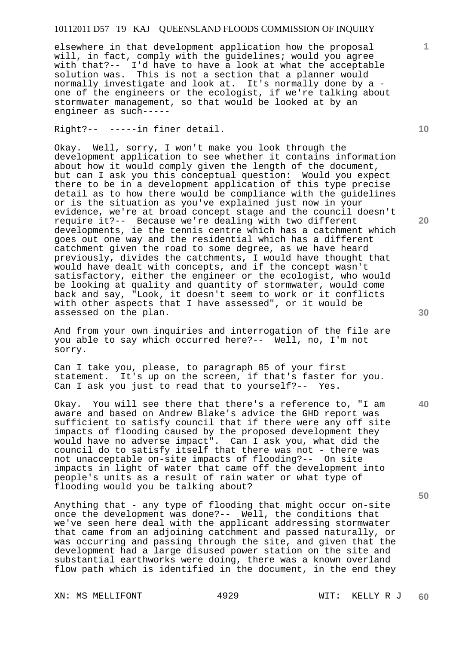elsewhere in that development application how the proposal will, in fact, comply with the guidelines; would you agree with that?-- I'd have to have a look at what the acceptable solution was. This is not a section that a planner would normally investigate and look at. It's normally done by a one of the engineers or the ecologist, if we're talking about stormwater management, so that would be looked at by an engineer as such-----

Right?-- -----in finer detail.

Okay. Well, sorry, I won't make you look through the development application to see whether it contains information about how it would comply given the length of the document, but can I ask you this conceptual question: Would you expect there to be in a development application of this type precise detail as to how there would be compliance with the guidelines or is the situation as you've explained just now in your evidence, we're at broad concept stage and the council doesn't require it?-- Because we're dealing with two different developments, ie the tennis centre which has a catchment which goes out one way and the residential which has a different catchment given the road to some degree, as we have heard previously, divides the catchments, I would have thought that would have dealt with concepts, and if the concept wasn't satisfactory, either the engineer or the ecologist, who would be looking at quality and quantity of stormwater, would come back and say, "Look, it doesn't seem to work or it conflicts with other aspects that I have assessed", or it would be assessed on the plan.

And from your own inquiries and interrogation of the file are you able to say which occurred here?-- Well, no, I'm not sorry.

Can I take you, please, to paragraph 85 of your first statement. It's up on the screen, if that's faster for you. Can I ask you just to read that to yourself?-- Yes.

Okay. You will see there that there's a reference to, "I am aware and based on Andrew Blake's advice the GHD report was sufficient to satisfy council that if there were any off site impacts of flooding caused by the proposed development they would have no adverse impact". Can I ask you, what did the council do to satisfy itself that there was not - there was not unacceptable on-site impacts of flooding?-- On site impacts in light of water that came off the development into people's units as a result of rain water or what type of flooding would you be talking about?

Anything that - any type of flooding that might occur on-site once the development was done?-- Well, the conditions that we've seen here deal with the applicant addressing stormwater that came from an adjoining catchment and passed naturally, or was occurring and passing through the site, and given that the development had a large disused power station on the site and substantial earthworks were doing, there was a known overland flow path which is identified in the document, in the end they

XN: MS MELLIFONT 4929 WIT: KELLY R J

**10** 

**1**

**20** 

**40**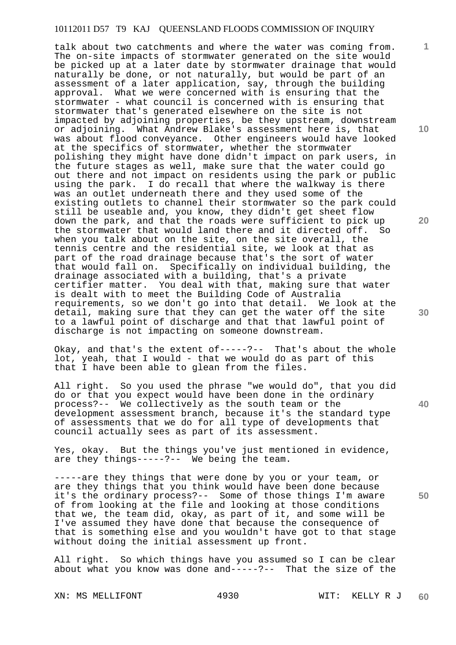talk about two catchments and where the water was coming from. The on-site impacts of stormwater generated on the site would be picked up at a later date by stormwater drainage that would naturally be done, or not naturally, but would be part of an assessment of a later application, say, through the building approval. What we were concerned with is ensuring that the stormwater - what council is concerned with is ensuring that stormwater that's generated elsewhere on the site is not impacted by adjoining properties, be they upstream, downstream or adjoining. What Andrew Blake's assessment here is, that was about flood conveyance. Other engineers would have looked at the specifics of stormwater, whether the stormwater polishing they might have done didn't impact on park users, in the future stages as well, make sure that the water could go out there and not impact on residents using the park or public using the park. I do recall that where the walkway is there was an outlet underneath there and they used some of the existing outlets to channel their stormwater so the park could still be useable and, you know, they didn't get sheet flow down the park, and that the roads were sufficient to pick up the stormwater that would land there and it directed off. So when you talk about on the site, on the site overall, the tennis centre and the residential site, we look at that as part of the road drainage because that's the sort of water that would fall on. Specifically on individual building, the drainage associated with a building, that's a private certifier matter. You deal with that, making sure that water is dealt with to meet the Building Code of Australia requirements, so we don't go into that detail. We look at the detail, making sure that they can get the water off the site to a lawful point of discharge and that that lawful point of discharge is not impacting on someone downstream.

Okay, and that's the extent of-----?-- That's about the whole lot, yeah, that I would - that we would do as part of this that I have been able to glean from the files.

All right. So you used the phrase "we would do", that you did do or that you expect would have been done in the ordinary process?-- We collectively as the south team or the development assessment branch, because it's the standard type of assessments that we do for all type of developments that council actually sees as part of its assessment.

Yes, okay. But the things you've just mentioned in evidence, are they things-----?-- We being the team.

-----are they things that were done by you or your team, or are they things that you think would have been done because it's the ordinary process?-- Some of those things I'm aware of from looking at the file and looking at those conditions that we, the team did, okay, as part of it, and some will be I've assumed they have done that because the consequence of that is something else and you wouldn't have got to that stage without doing the initial assessment up front.

All right. So which things have you assumed so I can be clear about what you know was done and-----?-- That the size of the

XN: MS MELLIFONT 4930 WIT: KELLY R J

**10** 

**1**

**20** 

**40** 

**50**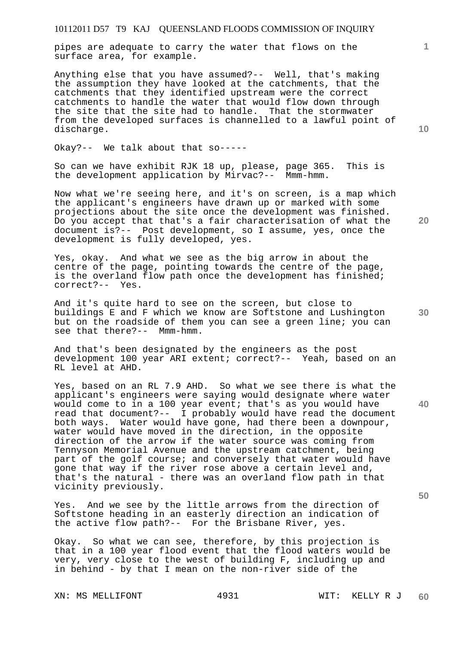pipes are adequate to carry the water that flows on the surface area, for example.

Anything else that you have assumed?-- Well, that's making the assumption they have looked at the catchments, that the catchments that they identified upstream were the correct catchments to handle the water that would flow down through the site that the site had to handle. That the stormwater from the developed surfaces is channelled to a lawful point of discharge.

Okay?-- We talk about that so-----

So can we have exhibit RJK 18 up, please, page 365. This is the development application by Mirvac?-- Mmm-hmm.

Now what we're seeing here, and it's on screen, is a map which the applicant's engineers have drawn up or marked with some projections about the site once the development was finished. Do you accept that that's a fair characterisation of what the document is?-- Post development, so I assume, yes, once the development is fully developed, yes.

Yes, okay. And what we see as the big arrow in about the centre of the page, pointing towards the centre of the page, is the overland flow path once the development has finished; correct?-- Yes.

And it's quite hard to see on the screen, but close to buildings E and F which we know are Softstone and Lushington but on the roadside of them you can see a green line; you can see that there?-- Mmm-hmm.

And that's been designated by the engineers as the post development 100 year ARI extent; correct?-- Yeah, based on an RL level at AHD.

Yes, based on an RL 7.9 AHD. So what we see there is what the applicant's engineers were saying would designate where water would come to in a 100 year event; that's as you would have read that document?-- I probably would have read the document both ways. Water would have gone, had there been a downpour, water would have moved in the direction, in the opposite direction of the arrow if the water source was coming from Tennyson Memorial Avenue and the upstream catchment, being part of the golf course; and conversely that water would have gone that way if the river rose above a certain level and, that's the natural - there was an overland flow path in that vicinity previously.

Yes. And we see by the little arrows from the direction of Softstone heading in an easterly direction an indication of the active flow path?-- For the Brisbane River, yes.

Okay. So what we can see, therefore, by this projection is that in a 100 year flood event that the flood waters would be very, very close to the west of building F, including up and in behind - by that I mean on the non-river side of the

XN: MS MELLIFONT 4931 WIT: KELLY R J

**10** 

**1**

**30** 

**20** 

**50**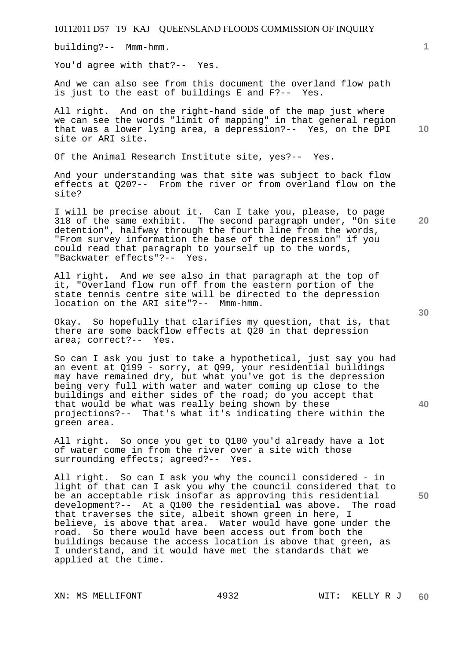building?-- Mmm-hmm.

You'd agree with that?-- Yes.

And we can also see from this document the overland flow path is just to the east of buildings E and F?-- Yes.

All right. And on the right-hand side of the map just where we can see the words "limit of mapping" in that general region that was a lower lying area, a depression?-- Yes, on the DPI site or ARI site.

Of the Animal Research Institute site, yes?-- Yes.

And your understanding was that site was subject to back flow effects at Q20?-- From the river or from overland flow on the site?

I will be precise about it. Can I take you, please, to page 318 of the same exhibit. The second paragraph under, "On site detention", halfway through the fourth line from the words, "From survey information the base of the depression" if you could read that paragraph to yourself up to the words, "Backwater effects"?-- Yes.

All right. And we see also in that paragraph at the top of it, "Overland flow run off from the eastern portion of the state tennis centre site will be directed to the depression location on the ARI site"?-- Mmm-hmm.

Okay. So hopefully that clarifies my question, that is, that there are some backflow effects at Q20 in that depression area; correct?-- Yes.

So can I ask you just to take a hypothetical, just say you had an event at Q199 - sorry, at Q99, your residential buildings may have remained dry, but what you've got is the depression being very full with water and water coming up close to the buildings and either sides of the road; do you accept that that would be what was really being shown by these projections?-- That's what it's indicating there within the green area.

All right. So once you get to Q100 you'd already have a lot of water come in from the river over a site with those surrounding effects; agreed?-- Yes.

All right. So can I ask you why the council considered - in light of that can I ask you why the council considered that to be an acceptable risk insofar as approving this residential development?-- At a Q100 the residential was above. The road that traverses the site, albeit shown green in here, I believe, is above that area. Water would have gone under the road. So there would have been access out from both the buildings because the access location is above that green, as I understand, and it would have met the standards that we applied at the time.

**30** 

**40** 

**50** 

**10**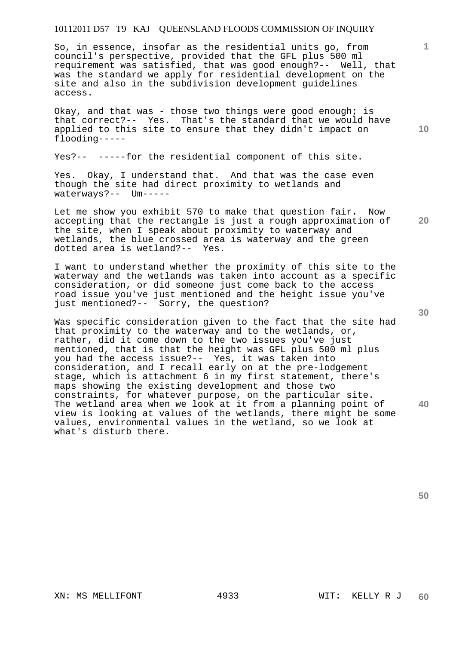So, in essence, insofar as the residential units go, from council's perspective, provided that the GFL plus 500 ml requirement was satisfied, that was good enough?-- Well, that was the standard we apply for residential development on the site and also in the subdivision development guidelines access.

Okay, and that was - those two things were good enough; is that correct?-- Yes. That's the standard that we would have applied to this site to ensure that they didn't impact on flooding-----

Yes?-- -----for the residential component of this site.

Yes. Okay, I understand that. And that was the case even though the site had direct proximity to wetlands and waterways?-- Um-----

Let me show you exhibit 570 to make that question fair. Now accepting that the rectangle is just a rough approximation of the site, when I speak about proximity to waterway and wetlands, the blue crossed area is waterway and the green dotted area is wetland?-- Yes.

I want to understand whether the proximity of this site to the waterway and the wetlands was taken into account as a specific consideration, or did someone just come back to the access road issue you've just mentioned and the height issue you've just mentioned?-- Sorry, the question?

Was specific consideration given to the fact that the site had that proximity to the waterway and to the wetlands, or, rather, did it come down to the two issues you've just mentioned, that is that the height was GFL plus 500 ml plus you had the access issue?-- Yes, it was taken into consideration, and I recall early on at the pre-lodgement stage, which is attachment 6 in my first statement, there's maps showing the existing development and those two constraints, for whatever purpose, on the particular site. The wetland area when we look at it from a planning point of view is looking at values of the wetlands, there might be some values, environmental values in the wetland, so we look at what's disturb there.

**30** 

**40** 

**50** 

**1**

**10**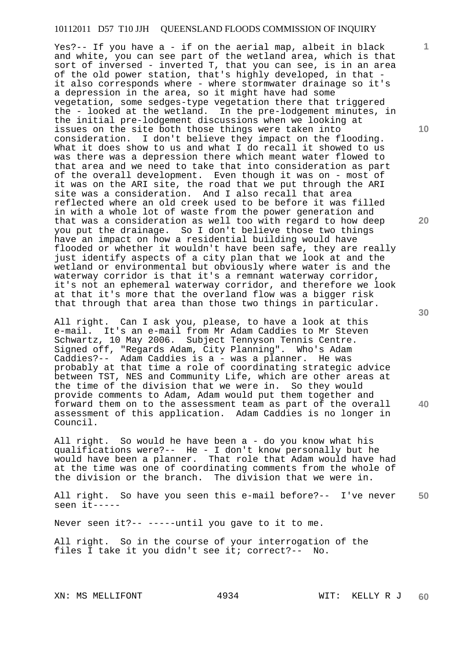Yes?-- If you have a - if on the aerial map, albeit in black and white, you can see part of the wetland area, which is that sort of inversed - inverted T, that you can see, is in an area of the old power station, that's highly developed, in that it also corresponds where - where stormwater drainage so it's a depression in the area, so it might have had some vegetation, some sedges-type vegetation there that triggered the - looked at the wetland. In the pre-lodgement minutes, in the initial pre-lodgement discussions when we looking at issues on the site both those things were taken into consideration. I don't believe they impact on the flooding. What it does show to us and what I do recall it showed to us was there was a depression there which meant water flowed to that area and we need to take that into consideration as part of the overall development. Even though it was on - most of it was on the ARI site, the road that we put through the ARI site was a consideration. And I also recall that area reflected where an old creek used to be before it was filled in with a whole lot of waste from the power generation and that was a consideration as well too with regard to how deep you put the drainage. So I don't believe those two things have an impact on how a residential building would have flooded or whether it wouldn't have been safe, they are really just identify aspects of a city plan that we look at and the wetland or environmental but obviously where water is and the waterway corridor is that it's a remnant waterway corridor, it's not an ephemeral waterway corridor, and therefore we look at that it's more that the overland flow was a bigger risk that through that area than those two things in particular.

All right. Can I ask you, please, to have a look at this e-mail. It's an e-mail from Mr Adam Caddies to Mr Steven Schwartz, 10 May 2006. Subject Tennyson Tennis Centre. Signed off, "Regards Adam, City Planning". Who's Adam Caddies?-- Adam Caddies is a - was a planner. He was probably at that time a role of coordinating strategic advice between TST, NES and Community Life, which are other areas at the time of the division that we were in. So they would provide comments to Adam, Adam would put them together and forward them on to the assessment team as part of the overall assessment of this application. Adam Caddies is no longer in Council.

All right. So would he have been a - do you know what his qualifications were?-- He - I don't know personally but he would have been a planner. That role that Adam would have had at the time was one of coordinating comments from the whole of the division or the branch. The division that we were in.

**50**  All right. So have you seen this e-mail before?-- I've never seen it-----

Never seen it?-- -----until you gave to it to me.

All right. So in the course of your interrogation of the files I take it you didn't see it; correct?-- No.

**10** 

**1**

**20** 

**30**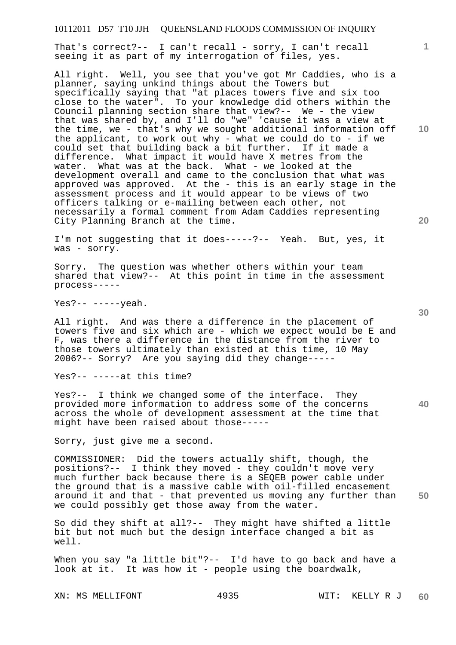That's correct?-- I can't recall - sorry, I can't recall seeing it as part of my interrogation of files, yes.

All right. Well, you see that you've got Mr Caddies, who is a planner, saying unkind things about the Towers but specifically saying that "at places towers five and six too close to the water". To your knowledge did others within the Council planning section share that view?-- We - the view that was shared by, and I'll do "we" 'cause it was a view at the time, we - that's why we sought additional information off the applicant, to work out why - what we could do to - if we could set that building back a bit further. If it made a difference. What impact it would have X metres from the water. What was at the back. What - we looked at the development overall and came to the conclusion that what was approved was approved. At the - this is an early stage in the assessment process and it would appear to be views of two officers talking or e-mailing between each other, not necessarily a formal comment from Adam Caddies representing City Planning Branch at the time.

I'm not suggesting that it does-----?-- Yeah. But, yes, it was - sorry.

Sorry. The question was whether others within your team shared that view?-- At this point in time in the assessment process-----

Yes?-- -----yeah.

All right. And was there a difference in the placement of towers five and six which are - which we expect would be E and F, was there a difference in the distance from the river to those towers ultimately than existed at this time, 10 May 2006?-- Sorry? Are you saying did they change-----

Yes?-- -----at this time?

Yes?-- I think we changed some of the interface. They provided more information to address some of the concerns across the whole of development assessment at the time that might have been raised about those-----

Sorry, just give me a second.

**50**  COMMISSIONER: Did the towers actually shift, though, the positions?-- I think they moved - they couldn't move very much further back because there is a SEQEB power cable under the ground that is a massive cable with oil-filled encasement around it and that - that prevented us moving any further than we could possibly get those away from the water.

So did they shift at all?-- They might have shifted a little bit but not much but the design interface changed a bit as well.

When you say "a little bit"?-- I'd have to go back and have a look at it. It was how it - people using the boardwalk,

**10** 

**1**

**20**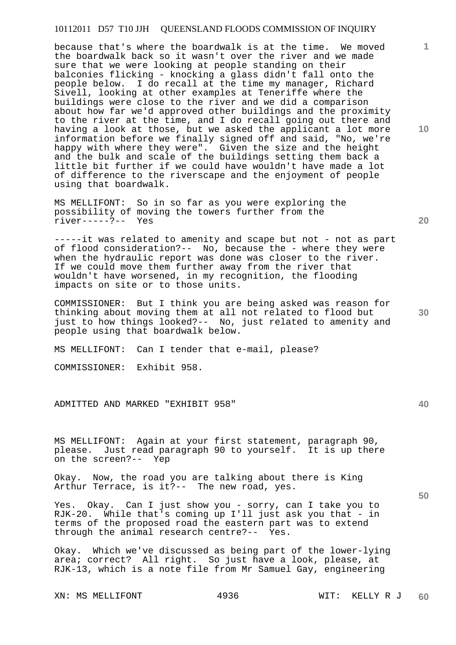because that's where the boardwalk is at the time. We moved the boardwalk back so it wasn't over the river and we made sure that we were looking at people standing on their balconies flicking - knocking a glass didn't fall onto the people below. I do recall at the time my manager, Richard Sivell, looking at other examples at Teneriffe where the buildings were close to the river and we did a comparison about how far we'd approved other buildings and the proximity to the river at the time, and I do recall going out there and having a look at those, but we asked the applicant a lot more information before we finally signed off and said, "No, we're happy with where they were". Given the size and the height and the bulk and scale of the buildings setting them back a little bit further if we could have wouldn't have made a lot of difference to the riverscape and the enjoyment of people using that boardwalk.

MS MELLIFONT: So in so far as you were exploring the possibility of moving the towers further from the river-----?-- Yes

-----it was related to amenity and scape but not - not as part of flood consideration?-- No, because the - where they were when the hydraulic report was done was closer to the river. If we could move them further away from the river that wouldn't have worsened, in my recognition, the flooding impacts on site or to those units.

COMMISSIONER: But I think you are being asked was reason for thinking about moving them at all not related to flood but just to how things looked?-- No, just related to amenity and people using that boardwalk below.

MS MELLIFONT: Can I tender that e-mail, please?

COMMISSIONER: Exhibit 958.

ADMITTED AND MARKED "EXHIBIT 958"

MS MELLIFONT: Again at your first statement, paragraph 90, please. Just read paragraph 90 to yourself. It is up there on the screen?-- Yep

Okay. Now, the road you are talking about there is King Arthur Terrace, is it?-- The new road, yes.

Yes. Okay. Can I just show you - sorry, can I take you to RJK-20. While that's coming up I'll just ask you that - in terms of the proposed road the eastern part was to extend through the animal research centre?-- Yes.

Okay. Which we've discussed as being part of the lower-lying area; correct? All right. So just have a look, please, at RJK-13, which is a note file from Mr Samuel Gay, engineering

**10** 

**1**

**20** 

**40**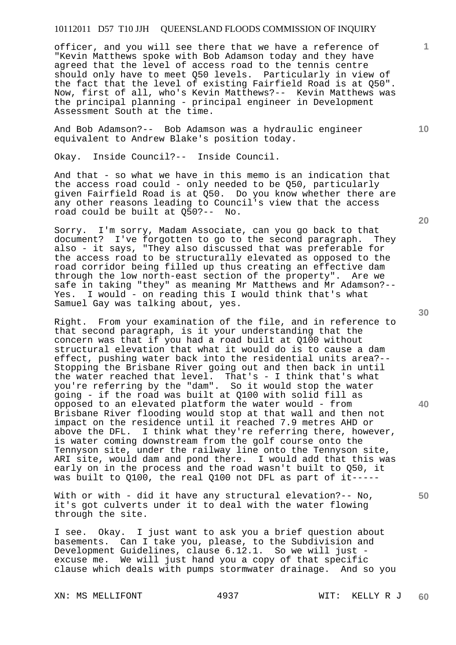officer, and you will see there that we have a reference of "Kevin Matthews spoke with Bob Adamson today and they have agreed that the level of access road to the tennis centre should only have to meet Q50 levels. Particularly in view of the fact that the level of existing Fairfield Road is at Q50". Now, first of all, who's Kevin Matthews?-- Kevin Matthews was the principal planning - principal engineer in Development Assessment South at the time.

And Bob Adamson?-- Bob Adamson was a hydraulic engineer equivalent to Andrew Blake's position today.

Okay. Inside Council?-- Inside Council.

And that - so what we have in this memo is an indication that the access road could - only needed to be Q50, particularly given Fairfield Road is at Q50. Do you know whether there are any other reasons leading to Council's view that the access road could be built at Q50?-- No.

Sorry. I'm sorry, Madam Associate, can you go back to that document? I've forgotten to go to the second paragraph. They also - it says, "They also discussed that was preferable for the access road to be structurally elevated as opposed to the road corridor being filled up thus creating an effective dam through the low north-east section of the property". Are we safe in taking "they" as meaning Mr Matthews and Mr Adamson?-- Yes. I would - on reading this I would think that's what Samuel Gay was talking about, yes.

Right. From your examination of the file, and in reference to that second paragraph, is it your understanding that the concern was that if you had a road built at Q100 without structural elevation that what it would do is to cause a dam effect, pushing water back into the residential units area?-- Stopping the Brisbane River going out and then back in until the water reached that level. That's - I think that's what you're referring by the "dam". So it would stop the water going - if the road was built at Q100 with solid fill as opposed to an elevated platform the water would - from Brisbane River flooding would stop at that wall and then not impact on the residence until it reached 7.9 metres AHD or above the DFL. I think what they're referring there, however, is water coming downstream from the golf course onto the Tennyson site, under the railway line onto the Tennyson site, ARI site, would dam and pond there. I would add that this was early on in the process and the road wasn't built to Q50, it was built to Q100, the real Q100 not DFL as part of it-----

With or with - did it have any structural elevation?-- No, it's got culverts under it to deal with the water flowing through the site.

I see. Okay. I just want to ask you a brief question about basements. Can I take you, please, to the Subdivision and Development Guidelines, clause 6.12.1. So we will just excuse me. We will just hand you a copy of that specific clause which deals with pumps stormwater drainage. And so you

XN: MS MELLIFONT 4937 WIT: KELLY R J

**20** 

**10** 

**1**

**30** 

**40**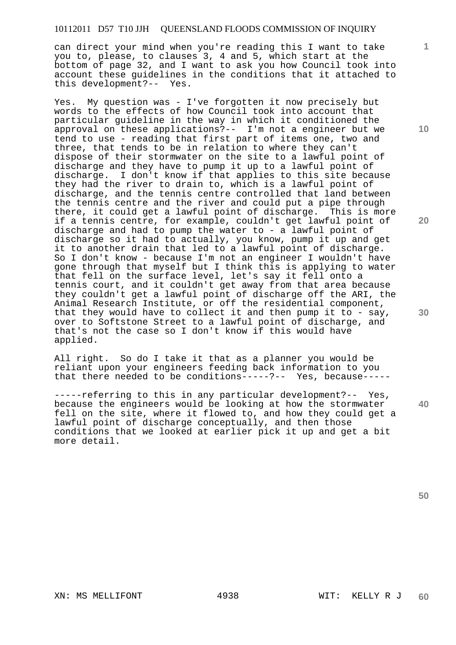can direct your mind when you're reading this I want to take you to, please, to clauses 3, 4 and 5, which start at the bottom of page 32, and I want to ask you how Council took into account these guidelines in the conditions that it attached to this development?-- Yes.

Yes. My question was - I've forgotten it now precisely but words to the effects of how Council took into account that particular guideline in the way in which it conditioned the approval on these applications?-- I'm not a engineer but we tend to use - reading that first part of items one, two and three, that tends to be in relation to where they can't dispose of their stormwater on the site to a lawful point of discharge and they have to pump it up to a lawful point of discharge. I don't know if that applies to this site because they had the river to drain to, which is a lawful point of discharge, and the tennis centre controlled that land between the tennis centre and the river and could put a pipe through there, it could get a lawful point of discharge. This is more if a tennis centre, for example, couldn't get lawful point of discharge and had to pump the water to - a lawful point of discharge so it had to actually, you know, pump it up and get it to another drain that led to a lawful point of discharge. So I don't know - because I'm not an engineer I wouldn't have gone through that myself but I think this is applying to water that fell on the surface level, let's say it fell onto a tennis court, and it couldn't get away from that area because they couldn't get a lawful point of discharge off the ARI, the Animal Research Institute, or off the residential component, that they would have to collect it and then pump it to - say, over to Softstone Street to a lawful point of discharge, and that's not the case so I don't know if this would have applied.

All right. So do I take it that as a planner you would be reliant upon your engineers feeding back information to you that there needed to be conditions-----?-- Yes, because-----

-----referring to this in any particular development?-- Yes, because the engineers would be looking at how the stormwater fell on the site, where it flowed to, and how they could get a lawful point of discharge conceptually, and then those conditions that we looked at earlier pick it up and get a bit more detail.

**10** 

**1**

**20**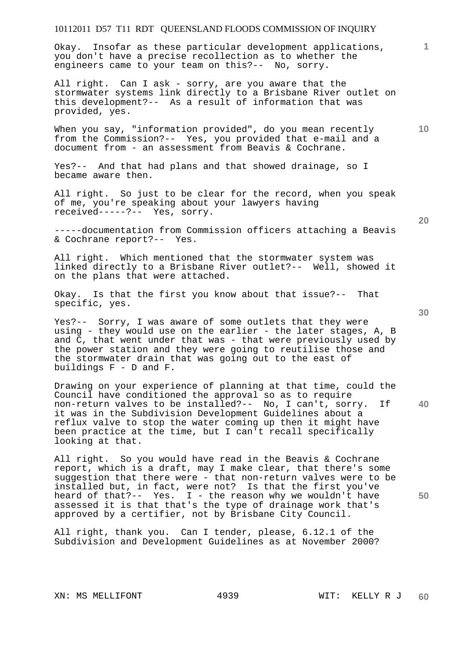Okay. Insofar as these particular development applications, you don't have a precise recollection as to whether the engineers came to your team on this?-- No, sorry.

All right. Can I ask - sorry, are you aware that the stormwater systems link directly to a Brisbane River outlet on this development?-- As a result of information that was provided, yes.

When you say, "information provided", do you mean recently from the Commission?-- Yes, you provided that e-mail and a document from - an assessment from Beavis & Cochrane.

Yes?-- And that had plans and that showed drainage, so I became aware then.

All right. So just to be clear for the record, when you speak of me, you're speaking about your lawyers having received-----?-- Yes, sorry.

-----documentation from Commission officers attaching a Beavis & Cochrane report?-- Yes.

All right. Which mentioned that the stormwater system was linked directly to a Brisbane River outlet?-- Well, showed it on the plans that were attached.

Okay. Is that the first you know about that issue?-- That specific, yes.

Yes?-- Sorry, I was aware of some outlets that they were using - they would use on the earlier - the later stages, A, B and  $\overline{C}$ , that went under that was - that were previously used by the power station and they were going to reutilise those and the stormwater drain that was going out to the east of buildings F - D and F.

**40**  Drawing on your experience of planning at that time, could the Council have conditioned the approval so as to require non-return valves to be installed?-- No, I can't, sorry. If it was in the Subdivision Development Guidelines about a reflux valve to stop the water coming up then it might have been practice at the time, but I can't recall specifically looking at that.

All right. So you would have read in the Beavis & Cochrane report, which is a draft, may I make clear, that there's some suggestion that there were - that non-return valves were to be installed but, in fact, were not? Is that the first you've heard of that?-- Yes. I - the reason why we wouldn't have assessed it is that that's the type of drainage work that's approved by a certifier, not by Brisbane City Council.

All right, thank you. Can I tender, please, 6.12.1 of the Subdivision and Development Guidelines as at November 2000?

**20** 

**50** 

**1**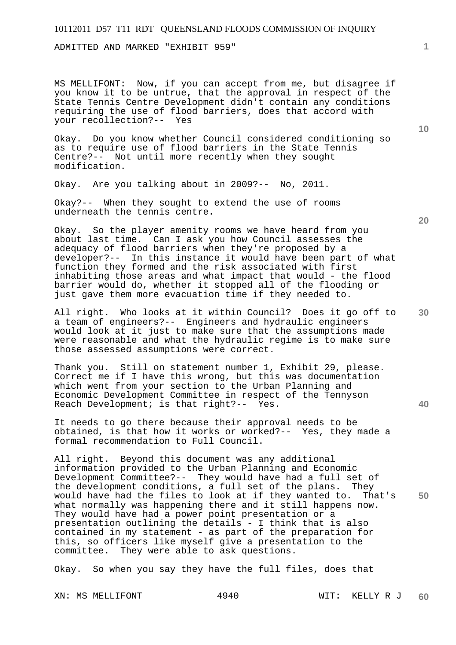ADMITTED AND MARKED "EXHIBIT 959"

MS MELLIFONT: Now, if you can accept from me, but disagree if you know it to be untrue, that the approval in respect of the State Tennis Centre Development didn't contain any conditions requiring the use of flood barriers, does that accord with your recollection?-- Yes

Okay. Do you know whether Council considered conditioning so as to require use of flood barriers in the State Tennis Centre?-- Not until more recently when they sought modification.

Okay. Are you talking about in 2009?-- No, 2011.

Okay?-- When they sought to extend the use of rooms underneath the tennis centre.

Okay. So the player amenity rooms we have heard from you about last time. Can I ask you how Council assesses the adequacy of flood barriers when they're proposed by a developer?-- In this instance it would have been part of what function they formed and the risk associated with first inhabiting those areas and what impact that would - the flood barrier would do, whether it stopped all of the flooding or just gave them more evacuation time if they needed to.

All right. Who looks at it within Council? Does it go off to a team of engineers?-- Engineers and hydraulic engineers would look at it just to make sure that the assumptions made were reasonable and what the hydraulic regime is to make sure those assessed assumptions were correct.

Thank you. Still on statement number 1, Exhibit 29, please. Correct me if I have this wrong, but this was documentation which went from your section to the Urban Planning and Economic Development Committee in respect of the Tennyson Reach Development; is that right?-- Yes.

It needs to go there because their approval needs to be obtained, is that how it works or worked?-- Yes, they made a formal recommendation to Full Council.

**50**  All right. Beyond this document was any additional information provided to the Urban Planning and Economic Development Committee?-- They would have had a full set of the development conditions, a full set of the plans. They would have had the files to look at if they wanted to. That's what normally was happening there and it still happens now. They would have had a power point presentation or a presentation outlining the details - I think that is also contained in my statement - as part of the preparation for this, so officers like myself give a presentation to the committee. They were able to ask questions.

Okay. So when you say they have the full files, does that

**1**

**20** 

**30** 

**40**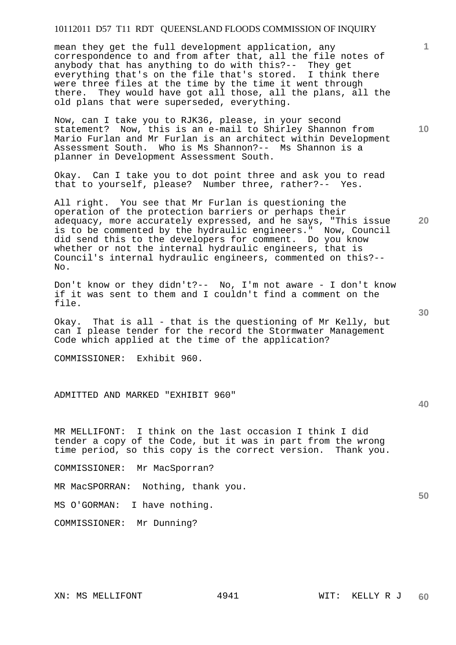mean they get the full development application, any correspondence to and from after that, all the file notes of anybody that has anything to do with this?-- They get everything that's on the file that's stored. I think there were three files at the time by the time it went through there. They would have got all those, all the plans, all the old plans that were superseded, everything.

Now, can I take you to RJK36, please, in your second statement? Now, this is an e-mail to Shirley Shannon from Mario Furlan and Mr Furlan is an architect within Development Assessment South. Who is Ms Shannon?-- Ms Shannon is a planner in Development Assessment South.

Okay. Can I take you to dot point three and ask you to read that to yourself, please? Number three, rather?-- Yes.

All right. You see that Mr Furlan is questioning the operation of the protection barriers or perhaps their adequacy, more accurately expressed, and he says, "This issue is to be commented by the hydraulic engineers." Now, Council did send this to the developers for comment. Do you know whether or not the internal hydraulic engineers, that is Council's internal hydraulic engineers, commented on this?-- No.

Don't know or they didn't?-- No, I'm not aware - I don't know if it was sent to them and I couldn't find a comment on the file.

Okay. That is all - that is the questioning of Mr Kelly, but can I please tender for the record the Stormwater Management Code which applied at the time of the application?

COMMISSIONER: Exhibit 960.

ADMITTED AND MARKED "EXHIBIT 960"

MR MELLIFONT: I think on the last occasion I think I did tender a copy of the Code, but it was in part from the wrong time period, so this copy is the correct version. Thank you.

COMMISSIONER: Mr MacSporran?

MR MacSPORRAN: Nothing, thank you.

MS O'GORMAN: I have nothing.

COMMISSIONER: Mr Dunning?

**40** 

**50** 

**10** 

**1**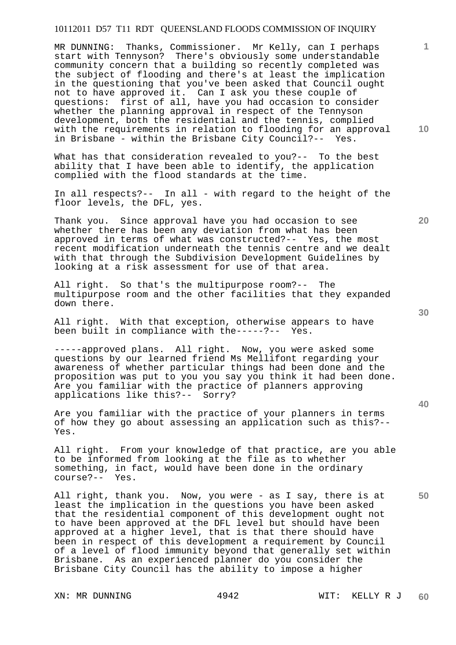MR DUNNING: Thanks, Commissioner. Mr Kelly, can I perhaps start with Tennyson? There's obviously some understandable community concern that a building so recently completed was the subject of flooding and there's at least the implication in the questioning that you've been asked that Council ought not to have approved it. Can I ask you these couple of questions: first of all, have you had occasion to consider whether the planning approval in respect of the Tennyson development, both the residential and the tennis, complied with the requirements in relation to flooding for an approval in Brisbane - within the Brisbane City Council?-- Yes.

What has that consideration revealed to you?-- To the best ability that I have been able to identify, the application complied with the flood standards at the time.

In all respects?-- In all - with regard to the height of the floor levels, the DFL, yes.

Thank you. Since approval have you had occasion to see whether there has been any deviation from what has been approved in terms of what was constructed?-- Yes, the most recent modification underneath the tennis centre and we dealt with that through the Subdivision Development Guidelines by looking at a risk assessment for use of that area.

All right. So that's the multipurpose room?-- The multipurpose room and the other facilities that they expanded down there.

All right. With that exception, otherwise appears to have been built in compliance with the-----?-- Yes.

-----approved plans. All right. Now, you were asked some questions by our learned friend Ms Mellifont regarding your awareness of whether particular things had been done and the proposition was put to you you say you think it had been done. Are you familiar with the practice of planners approving applications like this?-- Sorry?

Are you familiar with the practice of your planners in terms of how they go about assessing an application such as this?-- Yes.

All right. From your knowledge of that practice, are you able to be informed from looking at the file as to whether something, in fact, would have been done in the ordinary course?-- Yes.

All right, thank you. Now, you were - as I say, there is at least the implication in the questions you have been asked that the residential component of this development ought not to have been approved at the DFL level but should have been approved at a higher level, that is that there should have been in respect of this development a requirement by Council of a level of flood immunity beyond that generally set within Brisbane. As an experienced planner do you consider the Brisbane City Council has the ability to impose a higher

**30** 

**20** 

**40** 

**50** 

**10**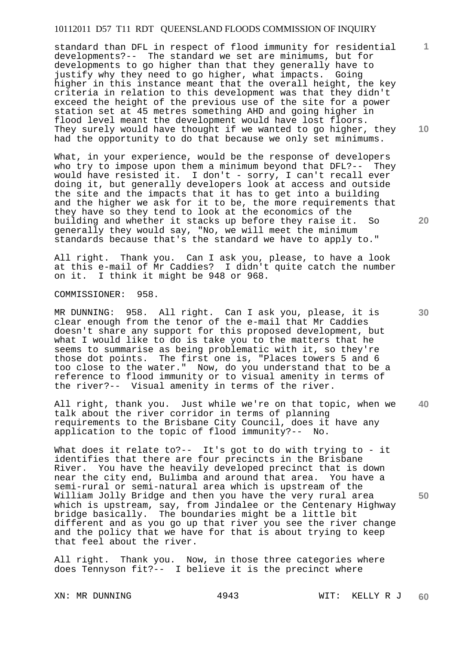standard than DFL in respect of flood immunity for residential developments?-- The standard we set are minimums, but for developments to go higher than that they generally have to justify why they need to go higher, what impacts. Going higher in this instance meant that the overall height, the key criteria in relation to this development was that they didn't exceed the height of the previous use of the site for a power station set at 45 metres something AHD and going higher in flood level meant the development would have lost floors. They surely would have thought if we wanted to go higher, they had the opportunity to do that because we only set minimums.

What, in your experience, would be the response of developers who try to impose upon them a minimum beyond that DFL?-- They would have resisted it. I don't - sorry, I can't recall ever doing it, but generally developers look at access and outside the site and the impacts that it has to get into a building and the higher we ask for it to be, the more requirements that they have so they tend to look at the economics of the building and whether it stacks up before they raise it. So generally they would say, "No, we will meet the minimum standards because that's the standard we have to apply to."

All right. Thank you. Can I ask you, please, to have a look at this e-mail of Mr Caddies? I didn't quite catch the number on it. I think it might be 948 or 968.

COMMISSIONER: 958.

MR DUNNING: 958. All right. Can I ask you, please, it is clear enough from the tenor of the e-mail that Mr Caddies doesn't share any support for this proposed development, but what I would like to do is take you to the matters that he seems to summarise as being problematic with it, so they're those dot points. The first one is, "Places towers 5 and 6 too close to the water." Now, do you understand that to be a reference to flood immunity or to visual amenity in terms of the river?-- Visual amenity in terms of the river.

**40**  All right, thank you. Just while we're on that topic, when we talk about the river corridor in terms of planning requirements to the Brisbane City Council, does it have any application to the topic of flood immunity?-- No.

What does it relate to?-- It's got to do with trying to - it identifies that there are four precincts in the Brisbane River. You have the heavily developed precinct that is down near the city end, Bulimba and around that area. You have a semi-rural or semi-natural area which is upstream of the William Jolly Bridge and then you have the very rural area which is upstream, say, from Jindalee or the Centenary Highway bridge basically. The boundaries might be a little bit different and as you go up that river you see the river change and the policy that we have for that is about trying to keep that feel about the river.

All right. Thank you. Now, in those three categories where does Tennyson fit?-- I believe it is the precinct where

**20** 

**10** 

**1**

**30**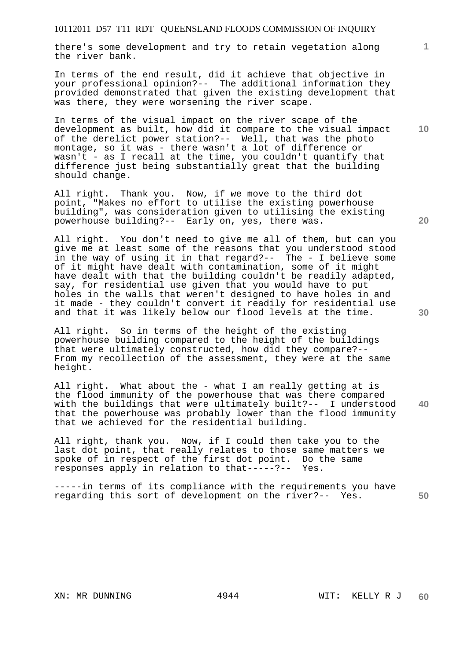there's some development and try to retain vegetation along the river bank.

In terms of the end result, did it achieve that objective in your professional opinion?-- The additional information they provided demonstrated that given the existing development that was there, they were worsening the river scape.

In terms of the visual impact on the river scape of the development as built, how did it compare to the visual impact of the derelict power station?-- Well, that was the photo montage, so it was - there wasn't a lot of difference or wasn't - as I recall at the time, you couldn't quantify that difference just being substantially great that the building should change.

All right. Thank you. Now, if we move to the third dot point, "Makes no effort to utilise the existing powerhouse building", was consideration given to utilising the existing powerhouse building?-- Early on, yes, there was.

All right. You don't need to give me all of them, but can you give me at least some of the reasons that you understood stood in the way of using it in that regard?-- The - I believe some of it might have dealt with contamination, some of it might have dealt with that the building couldn't be readily adapted, say, for residential use given that you would have to put holes in the walls that weren't designed to have holes in and it made - they couldn't convert it readily for residential use and that it was likely below our flood levels at the time.

All right. So in terms of the height of the existing powerhouse building compared to the height of the buildings that were ultimately constructed, how did they compare?-- From my recollection of the assessment, they were at the same height.

**40**  All right. What about the - what I am really getting at is the flood immunity of the powerhouse that was there compared with the buildings that were ultimately built?-- I understood that the powerhouse was probably lower than the flood immunity that we achieved for the residential building.

All right, thank you. Now, if I could then take you to the last dot point, that really relates to those same matters we spoke of in respect of the first dot point. Do the same responses apply in relation to that-----?-- Yes.

**50**  -----in terms of its compliance with the requirements you have regarding this sort of development on the river?-- Yes.

**20** 

**10**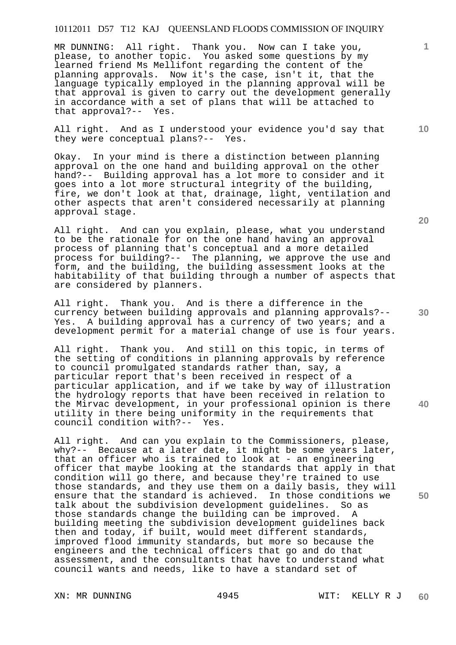MR DUNNING: All right. Thank you. Now can I take you, please, to another topic. You asked some questions by my learned friend Ms Mellifont regarding the content of the planning approvals. Now it's the case, isn't it, that the language typically employed in the planning approval will be that approval is given to carry out the development generally in accordance with a set of plans that will be attached to that approval?-- Yes.

All right. And as I understood your evidence you'd say that they were conceptual plans?-- Yes.

Okay. In your mind is there a distinction between planning approval on the one hand and building approval on the other hand?-- Building approval has a lot more to consider and it goes into a lot more structural integrity of the building, fire, we don't look at that, drainage, light, ventilation and other aspects that aren't considered necessarily at planning approval stage.

All right. And can you explain, please, what you understand to be the rationale for on the one hand having an approval process of planning that's conceptual and a more detailed process for building?-- The planning, we approve the use and form, and the building, the building assessment looks at the habitability of that building through a number of aspects that are considered by planners.

All right. Thank you. And is there a difference in the currency between building approvals and planning approvals?-- Yes. A building approval has a currency of two years; and a development permit for a material change of use is four years.

All right. Thank you. And still on this topic, in terms of the setting of conditions in planning approvals by reference to council promulgated standards rather than, say, a particular report that's been received in respect of a particular application, and if we take by way of illustration the hydrology reports that have been received in relation to the Mirvac development, in your professional opinion is there utility in there being uniformity in the requirements that council condition with?-- Yes.

All right. And can you explain to the Commissioners, please, why?-- Because at a later date, it might be some years later, that an officer who is trained to look at - an engineering officer that maybe looking at the standards that apply in that condition will go there, and because they're trained to use those standards, and they use them on a daily basis, they will ensure that the standard is achieved. In those conditions we talk about the subdivision development guidelines. So as those standards change the building can be improved. A building meeting the subdivision development guidelines back then and today, if built, would meet different standards, improved flood immunity standards, but more so because the engineers and the technical officers that go and do that assessment, and the consultants that have to understand what council wants and needs, like to have a standard set of

**20** 

**10** 

**30**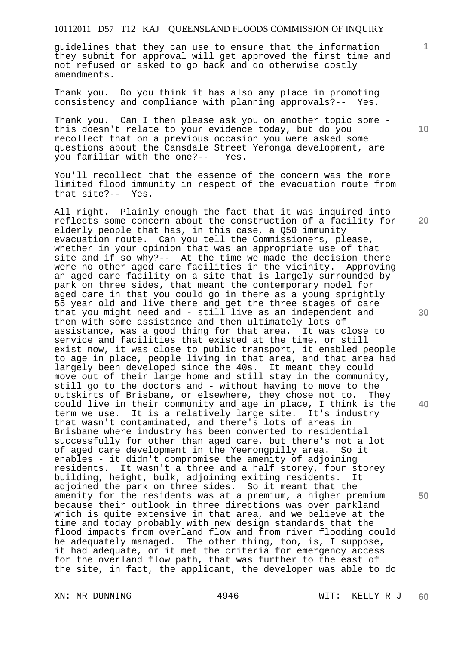guidelines that they can use to ensure that the information they submit for approval will get approved the first time and not refused or asked to go back and do otherwise costly amendments.

Thank you. Do you think it has also any place in promoting consistency and compliance with planning approvals?-- Yes.

Thank you. Can I then please ask you on another topic some this doesn't relate to your evidence today, but do you recollect that on a previous occasion you were asked some questions about the Cansdale Street Yeronga development, are you familiar with the one?-- Yes.

You'll recollect that the essence of the concern was the more limited flood immunity in respect of the evacuation route from that site?-- Yes.

**30 40 50**  All right. Plainly enough the fact that it was inquired into reflects some concern about the construction of a facility for elderly people that has, in this case, a Q50 immunity evacuation route. Can you tell the Commissioners, please, whether in your opinion that was an appropriate use of that site and if so why?-- At the time we made the decision there were no other aged care facilities in the vicinity. Approving an aged care facility on a site that is largely surrounded by park on three sides, that meant the contemporary model for aged care in that you could go in there as a young sprightly 55 year old and live there and get the three stages of care that you might need and - still live as an independent and then with some assistance and then ultimately lots of assistance, was a good thing for that area. It was close to service and facilities that existed at the time, or still exist now, it was close to public transport, it enabled people to age in place, people living in that area, and that area had largely been developed since the 40s. It meant they could move out of their large home and still stay in the community, still go to the doctors and - without having to move to the outskirts of Brisbane, or elsewhere, they chose not to. They could live in their community and age in place, I think is the term we use. It is a relatively large site. It's industry that wasn't contaminated, and there's lots of areas in Brisbane where industry has been converted to residential successfully for other than aged care, but there's not a lot of aged care development in the Yeerongpilly area. So it enables - it didn't compromise the amenity of adjoining residents. It wasn't a three and a half storey, four storey building, height, bulk, adjoining exiting residents. It adjoined the park on three sides. So it meant that the amenity for the residents was at a premium, a higher premium because their outlook in three directions was over parkland which is quite extensive in that area, and we believe at the time and today probably with new design standards that the flood impacts from overland flow and from river flooding could be adequately managed. The other thing, too, is, I suppose, it had adequate, or it met the criteria for emergency access for the overland flow path, that was further to the east of the site, in fact, the applicant, the developer was able to do

**10** 

**1**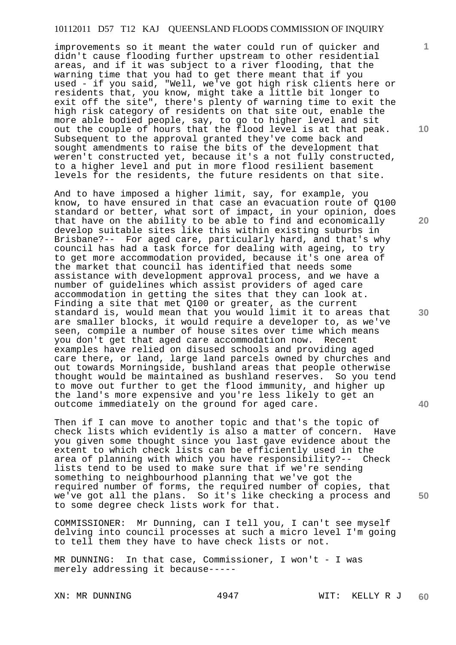improvements so it meant the water could run of quicker and didn't cause flooding further upstream to other residential areas, and if it was subject to a river flooding, that the warning time that you had to get there meant that if you used - if you said, "Well, we've got high risk clients here or residents that, you know, might take a little bit longer to exit off the site", there's plenty of warning time to exit the high risk category of residents on that site out, enable the more able bodied people, say, to go to higher level and sit out the couple of hours that the flood level is at that peak. Subsequent to the approval granted they've come back and sought amendments to raise the bits of the development that weren't constructed yet, because it's a not fully constructed, to a higher level and put in more flood resilient basement levels for the residents, the future residents on that site.

And to have imposed a higher limit, say, for example, you know, to have ensured in that case an evacuation route of Q100 standard or better, what sort of impact, in your opinion, does that have on the ability to be able to find and economically develop suitable sites like this within existing suburbs in Brisbane?-- For aged care, particularly hard, and that's why council has had a task force for dealing with ageing, to try to get more accommodation provided, because it's one area of the market that council has identified that needs some assistance with development approval process, and we have a number of guidelines which assist providers of aged care accommodation in getting the sites that they can look at. Finding a site that met Q100 or greater, as the current standard is, would mean that you would limit it to areas that are smaller blocks, it would require a developer to, as we've seen, compile a number of house sites over time which means<br>you don't get that aged care accommodation now. Recent you don't get that aged care accommodation now. examples have relied on disused schools and providing aged care there, or land, large land parcels owned by churches and out towards Morningside, bushland areas that people otherwise thought would be maintained as bushland reserves. So you tend to move out further to get the flood immunity, and higher up the land's more expensive and you're less likely to get an outcome immediately on the ground for aged care.

Then if I can move to another topic and that's the topic of check lists which evidently is also a matter of concern. Have you given some thought since you last gave evidence about the extent to which check lists can be efficiently used in the area of planning with which you have responsibility?-- Check lists tend to be used to make sure that if we're sending something to neighbourhood planning that we've got the required number of forms, the required number of copies, that we've got all the plans. So it's like checking a process and to some degree check lists work for that.

COMMISSIONER: Mr Dunning, can I tell you, I can't see myself delving into council processes at such a micro level I'm going to tell them they have to have check lists or not.

MR DUNNING: In that case, Commissioner, I won't - I was merely addressing it because-----

**10** 

**1**

**20** 

**30** 

**40**